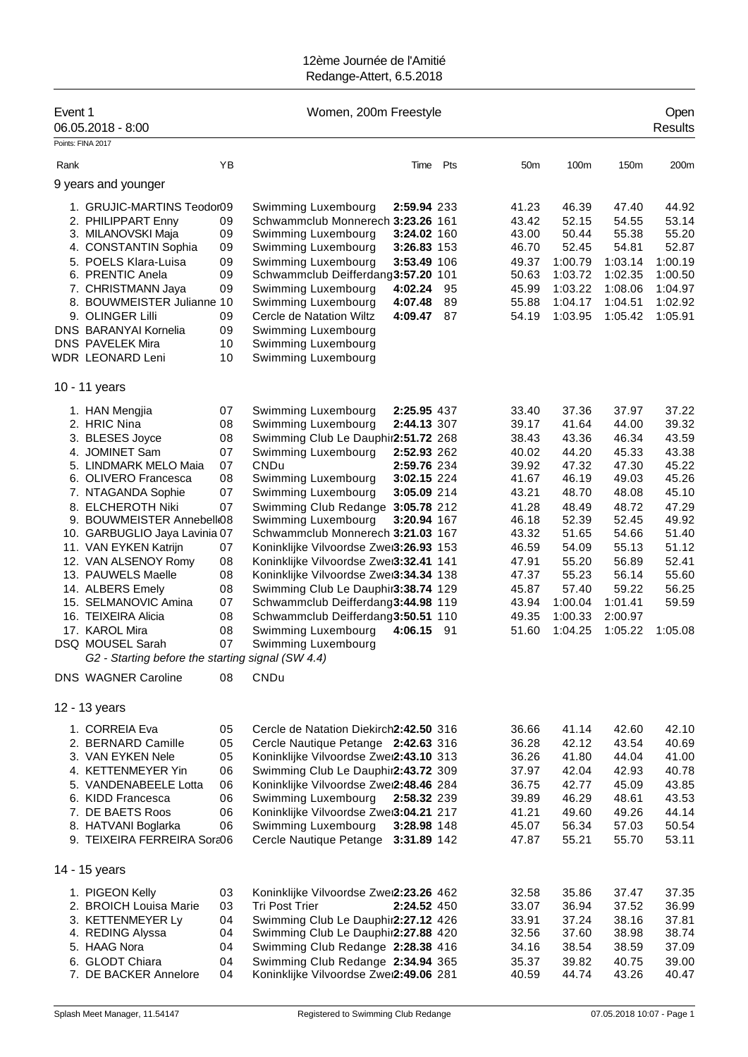| Event 1<br>06.05.2018 - 8:00<br>Points: FINA 2017                                                                                                                                                                                                                                                                                                                                                                                                                                                 |                                                                                                    | Women, 200m Freestyle                                                                                                                                                                                                                                                                                                                                                                                                                                                                                                                                                                                                                                                                             |                |                                                                                                                                                       |                                                                                                                                                             |                                                                                                                                                             | Open<br><b>Results</b>                                                                                                                         |
|---------------------------------------------------------------------------------------------------------------------------------------------------------------------------------------------------------------------------------------------------------------------------------------------------------------------------------------------------------------------------------------------------------------------------------------------------------------------------------------------------|----------------------------------------------------------------------------------------------------|---------------------------------------------------------------------------------------------------------------------------------------------------------------------------------------------------------------------------------------------------------------------------------------------------------------------------------------------------------------------------------------------------------------------------------------------------------------------------------------------------------------------------------------------------------------------------------------------------------------------------------------------------------------------------------------------------|----------------|-------------------------------------------------------------------------------------------------------------------------------------------------------|-------------------------------------------------------------------------------------------------------------------------------------------------------------|-------------------------------------------------------------------------------------------------------------------------------------------------------------|------------------------------------------------------------------------------------------------------------------------------------------------|
| Rank                                                                                                                                                                                                                                                                                                                                                                                                                                                                                              | YB                                                                                                 | Time                                                                                                                                                                                                                                                                                                                                                                                                                                                                                                                                                                                                                                                                                              | Pts            | 50 <sub>m</sub>                                                                                                                                       | 100m                                                                                                                                                        | 150m                                                                                                                                                        | 200m                                                                                                                                           |
| 9 years and younger                                                                                                                                                                                                                                                                                                                                                                                                                                                                               |                                                                                                    |                                                                                                                                                                                                                                                                                                                                                                                                                                                                                                                                                                                                                                                                                                   |                |                                                                                                                                                       |                                                                                                                                                             |                                                                                                                                                             |                                                                                                                                                |
| 1. GRUJIC-MARTINS Teodor09<br>2. PHILIPPART Enny<br>3. MILANOVSKI Maja<br>4. CONSTANTIN Sophia<br>5. POELS Klara-Luisa<br>6. PRENTIC Anela<br>7. CHRISTMANN Jaya<br>8. BOUWMEISTER Julianne 10<br>9. OLINGER Lilli<br><b>DNS BARANYAI Kornelia</b><br>DNS PAVELEK Mira<br><b>WDR LEONARD Leni</b>                                                                                                                                                                                                 | 09<br>09<br>09<br>09<br>09<br>09<br>09<br>09<br>10<br>10                                           | Swimming Luxembourg<br>2:59.94 233<br>Schwammclub Monnerech 3:23.26 161<br>Swimming Luxembourg<br>3:24.02 160<br>Swimming Luxembourg<br>3:26.83 153<br>Swimming Luxembourg<br>3:53.49 106<br>Schwammclub Deifferdang3:57.20 101<br>Swimming Luxembourg<br>4:02.24<br>Swimming Luxembourg<br>4:07.48<br>Cercle de Natation Wiltz<br>4:09.47<br>Swimming Luxembourg<br>Swimming Luxembourg<br>Swimming Luxembourg                                                                                                                                                                                                                                                                                   | 95<br>89<br>87 | 41.23<br>43.42<br>43.00<br>46.70<br>49.37<br>50.63<br>45.99<br>55.88<br>54.19                                                                         | 46.39<br>52.15<br>50.44<br>52.45<br>1:00.79<br>1:03.72<br>1:03.22<br>1:04.17<br>1:03.95                                                                     | 47.40<br>54.55<br>55.38<br>54.81<br>1:03.14<br>1:02.35<br>1:08.06<br>1:04.51<br>1:05.42                                                                     | 44.92<br>53.14<br>55.20<br>52.87<br>1:00.19<br>1:00.50<br>1:04.97<br>1:02.92<br>1:05.91                                                        |
| 10 - 11 years                                                                                                                                                                                                                                                                                                                                                                                                                                                                                     |                                                                                                    |                                                                                                                                                                                                                                                                                                                                                                                                                                                                                                                                                                                                                                                                                                   |                |                                                                                                                                                       |                                                                                                                                                             |                                                                                                                                                             |                                                                                                                                                |
| 1. HAN Mengjia<br>2. HRIC Nina<br>3. BLESES Joyce<br>4. JOMINET Sam<br>5. LINDMARK MELO Maia<br>6. OLIVERO Francesca<br>7. NTAGANDA Sophie<br>8. ELCHEROTH Niki<br>9. BOUWMEISTER Annebell 08<br>10. GARBUGLIO Jaya Lavinia 07<br>11. VAN EYKEN Katrijn<br>12. VAN ALSENOY Romy<br>13. PAUWELS Maelle<br>14. ALBERS Emely<br>15. SELMANOVIC Amina<br>16. TEIXEIRA Alicia<br>17. KAROL Mira<br>DSQ MOUSEL Sarah<br>G2 - Starting before the starting signal (SW 4.4)<br><b>DNS WAGNER Caroline</b> | 07<br>08<br>08<br>07<br>07<br>08<br>07<br>07<br>07<br>08<br>08<br>08<br>07<br>08<br>08<br>07<br>08 | Swimming Luxembourg<br>2:25.95 437<br>Swimming Luxembourg<br>2:44.13 307<br>Swimming Club Le Dauphir2:51.72 268<br>Swimming Luxembourg<br>2:52.93 262<br>CNDu<br>2:59.76 234<br>Swimming Luxembourg<br>3:02.15 224<br>Swimming Luxembourg<br>3:05.09 214<br>Swimming Club Redange 3:05.78 212<br>Swimming Luxembourg<br><b>3:20.94 167</b><br>Schwammclub Monnerech 3:21.03 167<br>Koninklijke Vilvoordse Zwei3:26.93 153<br>Koninklijke Vilvoordse Zwei3:32.41 141<br>Koninklijke Vilvoordse Zwei3:34.34 138<br>Swimming Club Le Dauphir3:38.74 129<br>Schwammclub Deifferdang3:44.98 119<br>Schwammclub Deifferdang3:50.51 110<br>Swimming Luxembourg<br>4:06.15<br>Swimming Luxembourg<br>CNDu | -91            | 33.40<br>39.17<br>38.43<br>40.02<br>39.92<br>41.67<br>43.21<br>41.28<br>46.18<br>43.32<br>46.59<br>47.91<br>47.37<br>45.87<br>43.94<br>49.35<br>51.60 | 37.36<br>41.64<br>43.36<br>44.20<br>47.32<br>46.19<br>48.70<br>48.49<br>52.39<br>51.65<br>54.09<br>55.20<br>55.23<br>57.40<br>1:00.04<br>1:00.33<br>1:04.25 | 37.97<br>44.00<br>46.34<br>45.33<br>47.30<br>49.03<br>48.08<br>48.72<br>52.45<br>54.66<br>55.13<br>56.89<br>56.14<br>59.22<br>1:01.41<br>2:00.97<br>1:05.22 | 37.22<br>39.32<br>43.59<br>43.38<br>45.22<br>45.26<br>45.10<br>47.29<br>49.92<br>51.40<br>51.12<br>52.41<br>55.60<br>56.25<br>59.59<br>1:05.08 |
| 12 - 13 years                                                                                                                                                                                                                                                                                                                                                                                                                                                                                     |                                                                                                    |                                                                                                                                                                                                                                                                                                                                                                                                                                                                                                                                                                                                                                                                                                   |                |                                                                                                                                                       |                                                                                                                                                             |                                                                                                                                                             |                                                                                                                                                |
| 1. CORREIA Eva<br>2. BERNARD Camille<br>3. VAN EYKEN Nele<br>4. KETTENMEYER Yin<br>5. VANDENABEELE Lotta<br>6. KIDD Francesca<br>7. DE BAETS Roos<br>8. HATVANI Boglarka<br>9. TEIXEIRA FERREIRA Sora06                                                                                                                                                                                                                                                                                           | 05<br>05<br>05<br>06<br>06<br>06<br>06<br>06                                                       | Cercle de Natation Diekirch2:42.50 316<br>Cercle Nautique Petange 2:42.63 316<br>Koninklijke Vilvoordse Zwei2:43.10 313<br>Swimming Club Le Dauphir2:43.72 309<br>Koninklijke Vilvoordse Zwei2:48.46 284<br>Swimming Luxembourg<br>2:58.32 239<br>Koninklijke Vilvoordse Zwei3:04.21 217<br>Swimming Luxembourg<br>3:28.98 148<br>Cercle Nautique Petange 3:31.89 142                                                                                                                                                                                                                                                                                                                             |                | 36.66<br>36.28<br>36.26<br>37.97<br>36.75<br>39.89<br>41.21<br>45.07<br>47.87                                                                         | 41.14<br>42.12<br>41.80<br>42.04<br>42.77<br>46.29<br>49.60<br>56.34<br>55.21                                                                               | 42.60<br>43.54<br>44.04<br>42.93<br>45.09<br>48.61<br>49.26<br>57.03<br>55.70                                                                               | 42.10<br>40.69<br>41.00<br>40.78<br>43.85<br>43.53<br>44.14<br>50.54<br>53.11                                                                  |
| 14 - 15 years                                                                                                                                                                                                                                                                                                                                                                                                                                                                                     |                                                                                                    |                                                                                                                                                                                                                                                                                                                                                                                                                                                                                                                                                                                                                                                                                                   |                |                                                                                                                                                       |                                                                                                                                                             |                                                                                                                                                             |                                                                                                                                                |
| 1. PIGEON Kelly<br>2. BROICH Louisa Marie<br>3. KETTENMEYER Ly<br>4. REDING Alyssa<br>5. HAAG Nora<br>6. GLODT Chiara<br>7. DE BACKER Annelore                                                                                                                                                                                                                                                                                                                                                    | 03<br>03<br>04<br>04<br>04<br>04<br>04                                                             | Koninklijke Vilvoordse Zwei2:23.26 462<br><b>Tri Post Trier</b><br>2:24.52 450<br>Swimming Club Le Dauphir2:27.12 426<br>Swimming Club Le Dauphir2:27.88 420<br>Swimming Club Redange 2:28.38 416<br>Swimming Club Redange 2:34.94 365<br>Koninklijke Vilvoordse Zwei2:49.06 281                                                                                                                                                                                                                                                                                                                                                                                                                  |                | 32.58<br>33.07<br>33.91<br>32.56<br>34.16<br>35.37<br>40.59                                                                                           | 35.86<br>36.94<br>37.24<br>37.60<br>38.54<br>39.82<br>44.74                                                                                                 | 37.47<br>37.52<br>38.16<br>38.98<br>38.59<br>40.75<br>43.26                                                                                                 | 37.35<br>36.99<br>37.81<br>38.74<br>37.09<br>39.00<br>40.47                                                                                    |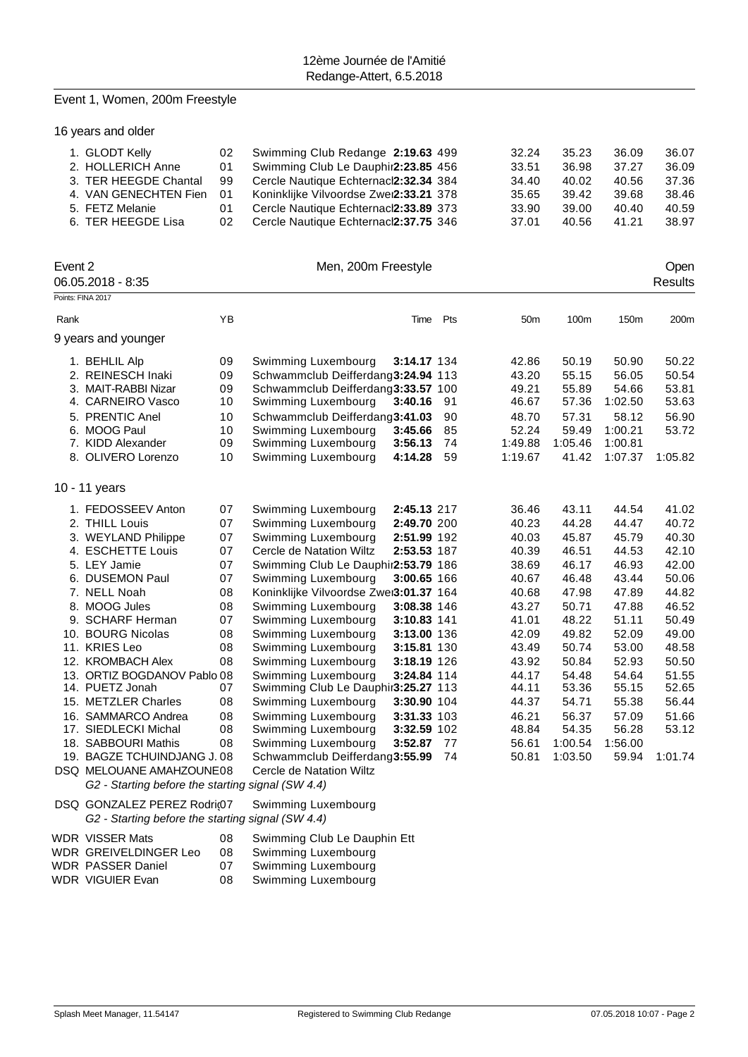### Event 1, Women, 200m Freestyle

16 years and older

| 1. GLODT Kelly<br>2. HOLLERICH Anne<br>3. TER HEEGDE Chantal<br>4. VAN GENECHTEN Fien<br>5. FETZ Melanie | 02<br>01<br>99<br>01<br>01 | Swimming Club Redange 2:19.63 499<br>Swimming Club Le Dauphir2:23.85 456<br>Cercle Nautique Echternacl2:32.34 384<br>Koninklijke Vilvoordse Zwei2:33.21 378<br>Cercle Nautique Echternacl2:33.89 373 | 32.24<br>33.51<br>34.40<br>35.65<br>33.90 | 35.23<br>36.98<br>40.02<br>39.42<br>39.00 | 36.09<br>37.27<br>40.56<br>39.68<br>40.40 | 36.07<br>36.09<br>37.36<br>38.46<br>40.59 |
|----------------------------------------------------------------------------------------------------------|----------------------------|------------------------------------------------------------------------------------------------------------------------------------------------------------------------------------------------------|-------------------------------------------|-------------------------------------------|-------------------------------------------|-------------------------------------------|
| 6. TER HEEGDE Lisa                                                                                       | 02.                        | Cercle Nautique Echternacl2:37.75 346                                                                                                                                                                | 37.01                                     | 40.56                                     | 41.21                                     | 38.97                                     |

| Event 2 | 06.05.2018 - 8:35                                 |      | Men, 200m Freestyle                    |                    |      |                 |         |         | Open<br><b>Results</b> |
|---------|---------------------------------------------------|------|----------------------------------------|--------------------|------|-----------------|---------|---------|------------------------|
|         | Points: FINA 2017                                 |      |                                        |                    |      |                 |         |         |                        |
| Rank    |                                                   | YB   |                                        | Time Pts           |      | 50 <sub>m</sub> | 100m    | 150m    | 200m                   |
|         | 9 years and younger                               |      |                                        |                    |      |                 |         |         |                        |
|         | 1. BEHLIL Alp                                     | 09   | Swimming Luxembourg                    | 3:14.17 134        |      | 42.86           | 50.19   | 50.90   | 50.22                  |
|         | 2. REINESCH Inaki                                 | 09   | Schwammclub Deifferdang3:24.94 113     |                    |      | 43.20           | 55.15   | 56.05   | 50.54                  |
|         | 3. MAIT-RABBI Nizar                               | 09   | Schwammclub Deifferdang3:33.57 100     |                    |      | 49.21           | 55.89   | 54.66   | 53.81                  |
|         | 4. CARNEIRO Vasco                                 | $10$ | Swimming Luxembourg                    | 3:40.16            | 91   | 46.67           | 57.36   | 1:02.50 | 53.63                  |
|         | 5. PRENTIC Anel                                   | 10   | Schwammclub Deifferdang3:41.03         |                    | 90   | 48.70           | 57.31   | 58.12   | 56.90                  |
|         | 6. MOOG Paul                                      | 10   | Swimming Luxembourg                    | 3:45.66            | 85   | 52.24           | 59.49   | 1:00.21 | 53.72                  |
|         | 7. KIDD Alexander                                 | 09   | Swimming Luxembourg                    | 3:56.13            | 74   | 1:49.88         | 1:05.46 | 1:00.81 |                        |
|         | 8. OLIVERO Lorenzo                                | 10   | Swimming Luxembourg                    | 4:14.28            | 59   | 1:19.67         | 41.42   | 1:07.37 | 1:05.82                |
|         | 10 - 11 years                                     |      |                                        |                    |      |                 |         |         |                        |
|         | 1. FEDOSSEEV Anton                                | 07   | Swimming Luxembourg                    | 2:45.13 217        |      | 36.46           | 43.11   | 44.54   | 41.02                  |
|         | 2. THILL Louis                                    | 07   | Swimming Luxembourg                    | 2:49.70 200        |      | 40.23           | 44.28   | 44.47   | 40.72                  |
|         | 3. WEYLAND Philippe                               | 07   | Swimming Luxembourg                    | 2:51.99 192        |      | 40.03           | 45.87   | 45.79   | 40.30                  |
|         | 4. ESCHETTE Louis                                 | 07   | Cercle de Natation Wiltz               | 2:53.53 187        |      | 40.39           | 46.51   | 44.53   | 42.10                  |
|         | 5. LEY Jamie                                      | 07   | Swimming Club Le Dauphir2:53.79 186    |                    |      | 38.69           | 46.17   | 46.93   | 42.00                  |
|         | 6. DUSEMON Paul                                   | 07   | Swimming Luxembourg                    | 3:00.65 166        |      | 40.67           | 46.48   | 43.44   | 50.06                  |
|         | 7. NELL Noah                                      | 08   | Koninklijke Vilvoordse Zwei3:01.37 164 |                    |      | 40.68           | 47.98   | 47.89   | 44.82                  |
|         | 8. MOOG Jules                                     | 08   | Swimming Luxembourg                    | 3:08.38 146        |      | 43.27           | 50.71   | 47.88   | 46.52                  |
|         | 9. SCHARF Herman                                  | 07   | Swimming Luxembourg                    | 3:10.83 141        |      | 41.01           | 48.22   | 51.11   | 50.49                  |
|         | 10. BOURG Nicolas                                 | 08   | Swimming Luxembourg                    | 3:13.00 136        |      | 42.09           | 49.82   | 52.09   | 49.00                  |
|         | 11. KRIES Leo                                     | 08   | Swimming Luxembourg                    | 3:15.81 130        |      | 43.49           | 50.74   | 53.00   | 48.58                  |
|         | 12. KROMBACH Alex                                 | 08   | Swimming Luxembourg                    | 3:18.19 126        |      | 43.92           | 50.84   | 52.93   | 50.50                  |
|         | 13. ORTIZ BOGDANOV Pablo 08                       |      | Swimming Luxembourg                    | 3:24.84 114        |      | 44.17           | 54.48   | 54.64   | 51.55                  |
|         | 14. PUETZ Jonah                                   | 07   | Swimming Club Le Dauphir3:25.27 113    |                    |      | 44.11           | 53.36   | 55.15   | 52.65                  |
|         | 15. METZLER Charles                               | 08   | Swimming Luxembourg                    | <b>3:30.90 104</b> |      | 44.37           | 54.71   | 55.38   | 56.44                  |
|         | 16. SAMMARCO Andrea                               | 08   | Swimming Luxembourg                    | 3:31.33 103        |      | 46.21           | 56.37   | 57.09   | 51.66                  |
|         | 17. SIEDLECKI Michal                              | 08   | Swimming Luxembourg                    | 3:32.59 102        |      | 48.84           | 54.35   | 56.28   | 53.12                  |
|         | 18. SABBOURI Mathis                               | 08   | Swimming Luxembourg                    | 3:52.87            | - 77 | 56.61           | 1:00.54 | 1:56.00 |                        |
|         | 19. BAGZE TCHUINDJANG J. 08                       |      | Schwammclub Deifferdang3:55.99         |                    | 74   | 50.81           | 1:03.50 | 59.94   | 1:01.74                |
|         | DSQ MELOUANE AMAHZOUNE08                          |      | Cercle de Natation Wiltz               |                    |      |                 |         |         |                        |
|         | G2 - Starting before the starting signal (SW 4.4) |      |                                        |                    |      |                 |         |         |                        |
|         | DSQ GONZALEZ PEREZ Rodri@7                        |      | Swimming Luxembourg                    |                    |      |                 |         |         |                        |
|         | G2 - Starting before the starting signal (SW 4.4) |      |                                        |                    |      |                 |         |         |                        |
|         | WDR VISSER Mats                                   | 08   | Swimming Club Le Dauphin Ett           |                    |      |                 |         |         |                        |
|         | <b>WDR GREIVELDINGER Leo</b>                      | 08   | Swimming Luxembourg                    |                    |      |                 |         |         |                        |

- WDR PASSER Daniel 07 Swimming Luxembourg
- WDR VIGUIER Evan 08 Swimming Luxembourg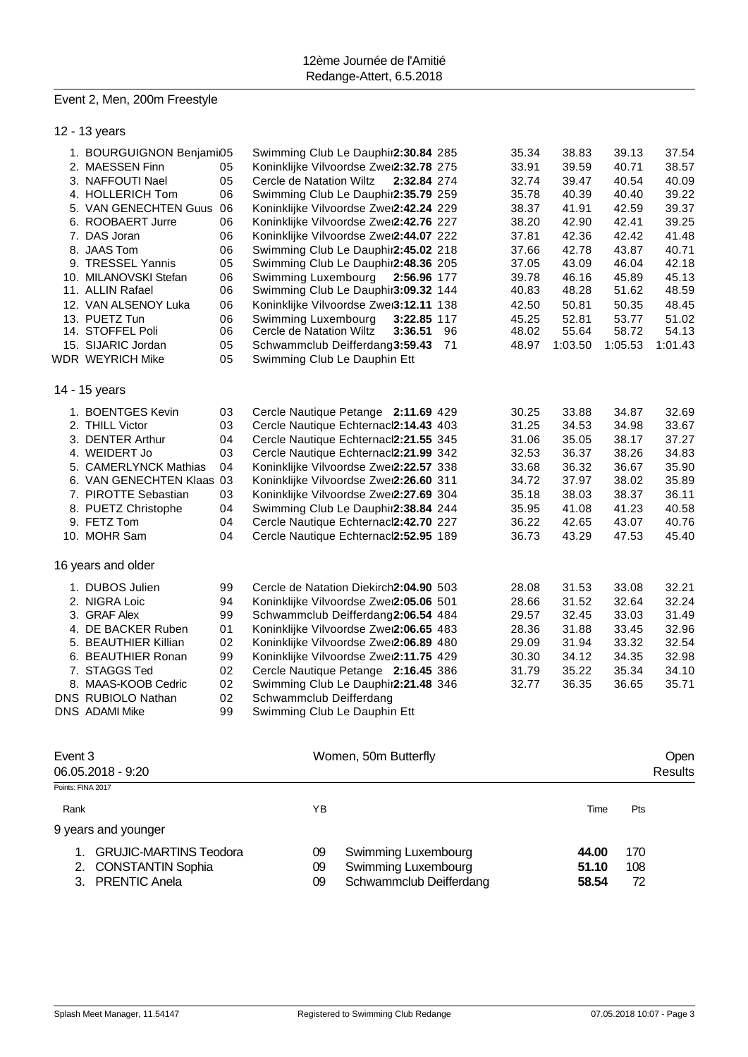#### Event 2, Men, 200m Freestyle

|         | 12 - 13 years                          |    |                                         |             |         |         |                |
|---------|----------------------------------------|----|-----------------------------------------|-------------|---------|---------|----------------|
|         | 1. BOURGUIGNON Benjami05               |    | Swimming Club Le Dauphir2:30.84 285     | 35.34       | 38.83   | 39.13   | 37.54          |
|         | 2. MAESSEN Finn                        | 05 | Koninklijke Vilvoordse Zwei2:32.78 275  | 33.91       | 39.59   | 40.71   | 38.57          |
|         | 3. NAFFOUTI Nael                       | 05 | Cercle de Natation Wiltz<br>2:32.84 274 | 32.74       | 39.47   | 40.54   | 40.09          |
|         | 4. HOLLERICH Tom                       | 06 | Swimming Club Le Dauphir2:35.79 259     | 35.78       | 40.39   | 40.40   | 39.22          |
|         | 5. VAN GENECHTEN Guus                  | 06 | Koninklijke Vilvoordse Zwei2:42.24 229  | 38.37       | 41.91   | 42.59   | 39.37          |
|         | 6. ROOBAERT Jurre                      | 06 | Koninklijke Vilvoordse Zwei2:42.76 227  | 38.20       | 42.90   | 42.41   | 39.25          |
|         | 7. DAS Joran                           | 06 | Koninklijke Vilvoordse Zwei2:44.07 222  | 37.81       | 42.36   | 42.42   | 41.48          |
|         | 8. JAAS Tom                            | 06 | Swimming Club Le Dauphir2:45.02 218     | 37.66       | 42.78   | 43.87   | 40.71          |
|         | 9. TRESSEL Yannis                      | 05 | Swimming Club Le Dauphir2:48.36 205     | 37.05       | 43.09   | 46.04   | 42.18          |
|         | 10. MILANOVSKI Stefan                  | 06 | Swimming Luxembourg<br>2:56.96 177      | 39.78       | 46.16   | 45.89   | 45.13          |
|         | 11. ALLIN Rafael                       | 06 | Swimming Club Le Dauphir3:09.32 144     | 40.83       | 48.28   | 51.62   | 48.59          |
|         | 12. VAN ALSENOY Luka                   | 06 | Koninklijke Vilvoordse Zwei3:12.11 138  | 42.50       | 50.81   | 50.35   | 48.45          |
|         | 13. PUETZ Tun                          | 06 | Swimming Luxembourg<br>3:22.85 117      | 45.25       | 52.81   | 53.77   | 51.02          |
|         | 14. STOFFEL Poli                       | 06 | Cercle de Natation Wiltz<br>3:36.51     | 96<br>48.02 | 55.64   | 58.72   | 54.13          |
|         | 15. SIJARIC Jordan                     | 05 | Schwammclub Deifferdang3:59.43          | 71<br>48.97 | 1:03.50 | 1:05.53 | 1:01.43        |
|         | WDR WEYRICH Mike                       | 05 | Swimming Club Le Dauphin Ett            |             |         |         |                |
|         | 14 - 15 years                          |    |                                         |             |         |         |                |
|         | 1. BOENTGES Kevin                      | 03 | Cercle Nautique Petange 2:11.69 429     | 30.25       | 33.88   | 34.87   | 32.69          |
|         | 2. THILL Victor                        | 03 | Cercle Nautique Echternacl2:14.43 403   | 31.25       | 34.53   | 34.98   | 33.67          |
|         | 3. DENTER Arthur                       | 04 | Cercle Nautique Echternacl2:21.55 345   | 31.06       | 35.05   | 38.17   | 37.27          |
|         | 4. WEIDERT Jo                          | 03 | Cercle Nautique Echternacl2:21.99 342   | 32.53       | 36.37   | 38.26   | 34.83          |
|         | 5. CAMERLYNCK Mathias                  | 04 | Koninklijke Vilvoordse Zwei2:22.57 338  | 33.68       | 36.32   | 36.67   | 35.90          |
|         | 6. VAN GENECHTEN Klaas 03              |    | Koninklijke Vilvoordse Zwei2:26.60 311  | 34.72       | 37.97   | 38.02   | 35.89          |
|         | 7. PIROTTE Sebastian                   | 03 | Koninklijke Vilvoordse Zwei2:27.69 304  | 35.18       | 38.03   | 38.37   | 36.11          |
|         | 8. PUETZ Christophe                    | 04 | Swimming Club Le Dauphir2:38.84 244     | 35.95       | 41.08   | 41.23   | 40.58          |
|         | 9. FETZ Tom                            | 04 | Cercle Nautique Echternacl2:42.70 227   | 36.22       | 42.65   | 43.07   | 40.76          |
|         | 10. MOHR Sam                           | 04 | Cercle Nautique Echternacl2:52.95 189   | 36.73       | 43.29   | 47.53   | 45.40          |
|         | 16 years and older                     |    |                                         |             |         |         |                |
|         | 1. DUBOS Julien                        | 99 | Cercle de Natation Diekirch2:04.90 503  | 28.08       | 31.53   | 33.08   | 32.21          |
|         | 2. NIGRA Loic                          | 94 | Koninklijke Vilvoordse Zwei2:05.06 501  | 28.66       | 31.52   | 32.64   | 32.24          |
|         | 3. GRAF Alex                           | 99 | Schwammclub Deifferdang2:06.54 484      | 29.57       | 32.45   | 33.03   | 31.49          |
|         | 4. DE BACKER Ruben                     | 01 | Koninklijke Vilvoordse Zwei2:06.65 483  | 28.36       | 31.88   | 33.45   | 32.96          |
|         | 5. BEAUTHIER Killian                   | 02 | Koninklijke Vilvoordse Zwei2:06.89 480  | 29.09       | 31.94   | 33.32   | 32.54          |
|         | 6. BEAUTHIER Ronan                     | 99 | Koninklijke Vilvoordse Zwei2:11.75 429  | 30.30       | 34.12   | 34.35   | 32.98          |
|         | 7. STAGGS Ted                          | 02 | Cercle Nautique Petange 2:16.45 386     | 31.79       | 35.22   | 35.34   | 34.10          |
|         | 8. MAAS-KOOB Cedric                    | 02 | Swimming Club Le Dauphir2:21.48 346     | 32.77       | 36.35   | 36.65   | 35.71          |
|         | DNS RUBIOLO Nathan                     | 02 | Schwammclub Deifferdang                 |             |         |         |                |
|         | <b>DNS ADAMI Mike</b>                  | 99 | Swimming Club Le Dauphin Ett            |             |         |         |                |
|         |                                        |    |                                         |             |         |         |                |
| Event 3 |                                        |    | Women, 50m Butterfly                    |             |         |         | Open           |
|         | 06.05.2018 - 9:20<br>Points: FINA 2017 |    |                                         |             |         |         | <b>Results</b> |
| Rank    |                                        |    | YB                                      |             | Time    | Pts     |                |
|         | 9 years and younger                    |    |                                         |             |         |         |                |
|         | 1. GRUJIC-MARTINS Teodora              |    | Swimming Luxembourg<br>09               |             | 44.00   | 170     |                |

3. PRENTIC Anela 09 Schwammclub Deifferdang **58.54** 72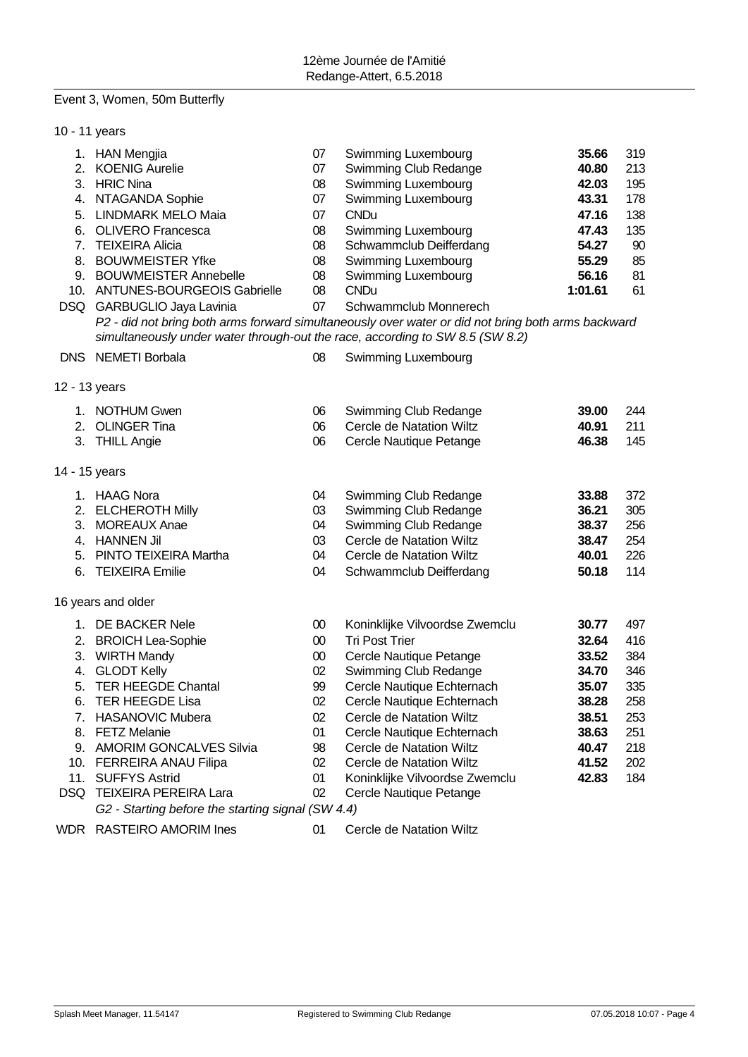#### Event 3, Women, 50m Butterfly

- 10 11 years 1. HAN Mengjia 07 Swimming Luxembourg **35.66** 319 2. KOENIG Aurelie 07 Swimming Club Redange **40.80** 213 3. HRIC Nina 08 Swimming Luxembourg **42.03** 195 4. NTAGANDA Sophie 07 Swimming Luxembourg **43.31** 178 5. LINDMARK MELO Maia 07 CNDu **47.16** 138 6. OLIVERO Francesca 08 Swimming Luxembourg **47.43** 135 7. TEIXEIRA Alicia 08 Schwammclub Deifferdang **54.27** 90 8. BOUWMEISTER Yfke 08 Swimming Luxembourg **55.29** 85 9. BOUWMEISTER Annebelle 08 Swimming Luxembourg **56.16** 81 10. ANTUNES-BOURGEOIS Gabrielle 08 CNDu **1:01.61** 61 DSQ GARBUGLIO Jaya Lavinia 07 Schwammclub Monnerech *P2 - did not bring both arms forward simultaneously over water or did not bring both arms backward simultaneously under water through-out the race, according to SW 8.5 (SW 8.2)* DNS NEMETI Borbala 08 Swimming Luxembourg 12 - 13 years 1. NOTHUM Gwen 06 Swimming Club Redange **39.00** 244 2. OLINGER Tina 06 Cercle de Natation Wiltz **40.91** 211 3. THILL Angie 06 Cercle Nautique Petange **46.38** 145 14 - 15 years 1. HAAG Nora 04 Swimming Club Redange **33.88** 372 2. ELCHEROTH Milly 03 Swimming Club Redange **36.21** 305 3. MOREAUX Anae 04 Swimming Club Redange **38.37** 256 4. HANNEN Jil 03 Cercle de Natation Wiltz **38.47** 254 5. PINTO TEIXEIRA Martha 04 Cercle de Natation Wiltz **40.01** 226 6. TEIXEIRA Emilie 04 Schwammclub Deifferdang **50.18** 114 16 years and older 1. DE BACKER Nele 00 Koninklijke Vilvoordse Zwemclu **30.77** 497 2. BROICH Lea-Sophie 00 Tri Post Trier **32.64** 416 3. WIRTH Mandy 00 Cercle Nautique Petange **33.52** 384 4. GLODT Kelly 02 Swimming Club Redange **34.70** 346 5. TER HEEGDE Chantal 99 Cercle Nautique Echternach **35.07** 335 6. TER HEEGDE Lisa 02 Cercle Nautique Echternach **38.28** 258 7. HASANOVIC Mubera 02 Cercle de Natation Wiltz **38.51** 253 8. FETZ Melanie 01 Cercle Nautique Echternach **38.63** 251 9. AMORIM GONCALVES Silvia 98 Cercle de Natation Wiltz **40.47** 218 10. FERREIRA ANAU Filipa 02 Cercle de Natation Wiltz **41.52** 202 11. SUFFYS Astrid 01 Koninklijke Vilvoordse Zwemclu **42.83** 184 DSQ TEIXEIRA PEREIRA Lara 02 Cercle Nautique Petange *G2 - Starting before the starting signal (SW 4.4)*
- WDR RASTEIRO AMORIM Ines 01 Cercle de Natation Wiltz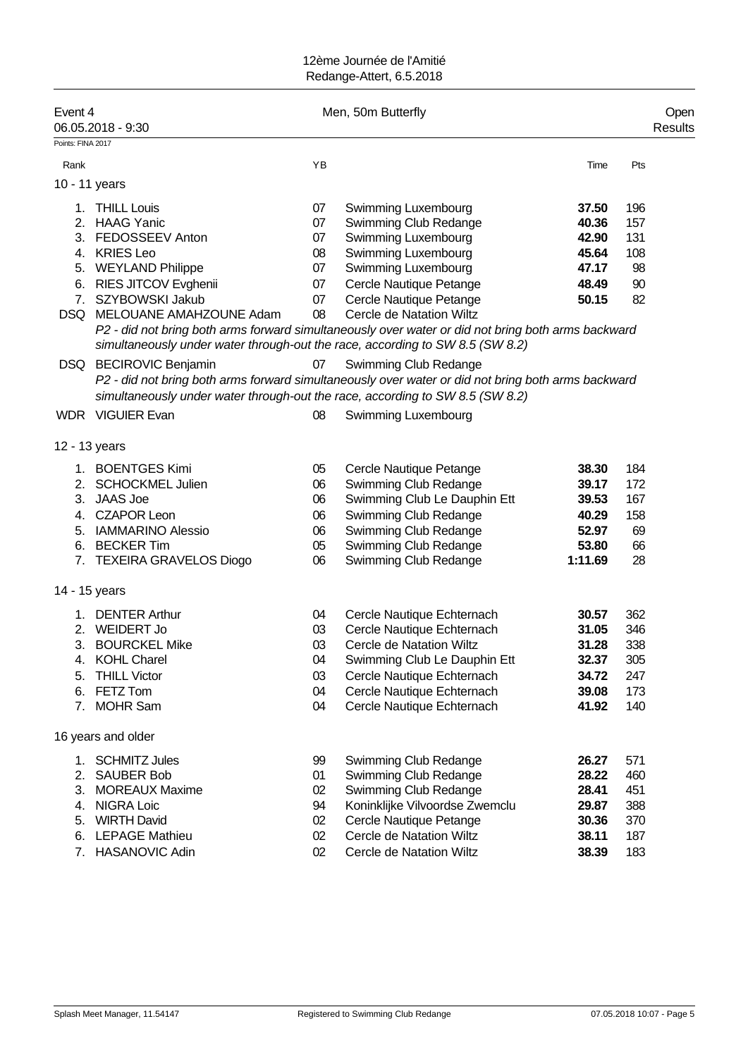| Event 4           | 06.05.2018 - 9:30                                                             |    | Men, 50m Butterfly                                                                                 |         |     | Open<br>Results |
|-------------------|-------------------------------------------------------------------------------|----|----------------------------------------------------------------------------------------------------|---------|-----|-----------------|
| Points: FINA 2017 |                                                                               |    |                                                                                                    |         |     |                 |
| Rank              |                                                                               | YB |                                                                                                    | Time    | Pts |                 |
| 10 - 11 years     |                                                                               |    |                                                                                                    |         |     |                 |
| 1.                | <b>THILL Louis</b>                                                            | 07 | <b>Swimming Luxembourg</b>                                                                         | 37.50   | 196 |                 |
|                   | 2. HAAG Yanic                                                                 | 07 | Swimming Club Redange                                                                              | 40.36   | 157 |                 |
|                   | 3. FEDOSSEEV Anton                                                            | 07 | Swimming Luxembourg                                                                                | 42.90   | 131 |                 |
|                   | 4. KRIES Leo                                                                  | 08 | Swimming Luxembourg                                                                                | 45.64   | 108 |                 |
|                   | 5. WEYLAND Philippe                                                           | 07 | Swimming Luxembourg                                                                                | 47.17   | 98  |                 |
|                   | 6. RIES JITCOV Evghenii                                                       | 07 | Cercle Nautique Petange                                                                            | 48.49   | 90  |                 |
|                   | 7. SZYBOWSKI Jakub                                                            | 07 | Cercle Nautique Petange                                                                            | 50.15   | 82  |                 |
|                   | DSQ MELOUANE AMAHZOUNE Adam                                                   | 08 | Cercle de Natation Wiltz                                                                           |         |     |                 |
|                   |                                                                               |    | P2 - did not bring both arms forward simultaneously over water or did not bring both arms backward |         |     |                 |
|                   | simultaneously under water through-out the race, according to SW 8.5 (SW 8.2) |    |                                                                                                    |         |     |                 |
|                   | DSQ BECIROVIC Benjamin                                                        | 07 | Swimming Club Redange                                                                              |         |     |                 |
|                   |                                                                               |    | P2 - did not bring both arms forward simultaneously over water or did not bring both arms backward |         |     |                 |
|                   | simultaneously under water through-out the race, according to SW 8.5 (SW 8.2) |    |                                                                                                    |         |     |                 |
|                   | <b>WDR</b> VIGUIER Evan                                                       | 08 | Swimming Luxembourg                                                                                |         |     |                 |
|                   |                                                                               |    |                                                                                                    |         |     |                 |
| 12 - 13 years     |                                                                               |    |                                                                                                    |         |     |                 |
|                   | 1. BOENTGES Kimi                                                              | 05 | Cercle Nautique Petange                                                                            | 38.30   | 184 |                 |
| 2.                | <b>SCHOCKMEL Julien</b>                                                       | 06 | Swimming Club Redange                                                                              | 39.17   | 172 |                 |
| 3.                | <b>JAAS Joe</b>                                                               | 06 | Swimming Club Le Dauphin Ett                                                                       | 39.53   | 167 |                 |
|                   | 4. CZAPOR Leon                                                                | 06 | Swimming Club Redange                                                                              | 40.29   | 158 |                 |
|                   | 5. IAMMARINO Alessio                                                          | 06 | Swimming Club Redange                                                                              | 52.97   | 69  |                 |
|                   | 6. BECKER Tim                                                                 | 05 | Swimming Club Redange                                                                              | 53.80   | 66  |                 |
|                   | 7. TEXEIRA GRAVELOS Diogo                                                     | 06 | Swimming Club Redange                                                                              | 1:11.69 | 28  |                 |
| 14 - 15 years     |                                                                               |    |                                                                                                    |         |     |                 |
| 1.                | <b>DENTER Arthur</b>                                                          | 04 | Cercle Nautique Echternach                                                                         | 30.57   | 362 |                 |
|                   | 2. WEIDERT Jo                                                                 | 03 | Cercle Nautique Echternach                                                                         | 31.05   | 346 |                 |
|                   | 3. BOURCKEL Mike                                                              | 03 | Cercle de Natation Wiltz                                                                           | 31.28   | 338 |                 |
| 4.                | <b>KOHL Charel</b>                                                            | 04 | Swimming Club Le Dauphin Ett                                                                       | 32.37   | 305 |                 |
| 5.                | <b>THILL Victor</b>                                                           | 03 | Cercle Nautique Echternach                                                                         | 34.72   | 247 |                 |
| 6.                | FETZ Tom                                                                      | 04 | Cercle Nautique Echternach                                                                         | 39.08   | 173 |                 |
| 7.                | <b>MOHR Sam</b>                                                               | 04 | Cercle Nautique Echternach                                                                         | 41.92   | 140 |                 |
|                   | 16 years and older                                                            |    |                                                                                                    |         |     |                 |
| 1.                | <b>SCHMITZ Jules</b>                                                          | 99 | Swimming Club Redange                                                                              | 26.27   | 571 |                 |
| 2.                | <b>SAUBER Bob</b>                                                             | 01 | Swimming Club Redange                                                                              | 28.22   | 460 |                 |
| 3.                | <b>MOREAUX Maxime</b>                                                         | 02 | Swimming Club Redange                                                                              | 28.41   | 451 |                 |
| 4.                | <b>NIGRA Loic</b>                                                             | 94 | Koninklijke Vilvoordse Zwemclu                                                                     | 29.87   | 388 |                 |
| 5.                | <b>WIRTH David</b>                                                            | 02 | Cercle Nautique Petange                                                                            | 30.36   | 370 |                 |
| 6.                | <b>LEPAGE Mathieu</b>                                                         | 02 | Cercle de Natation Wiltz                                                                           | 38.11   | 187 |                 |
| 7.                | HASANOVIC Adin                                                                | 02 | Cercle de Natation Wiltz                                                                           | 38.39   | 183 |                 |
|                   |                                                                               |    |                                                                                                    |         |     |                 |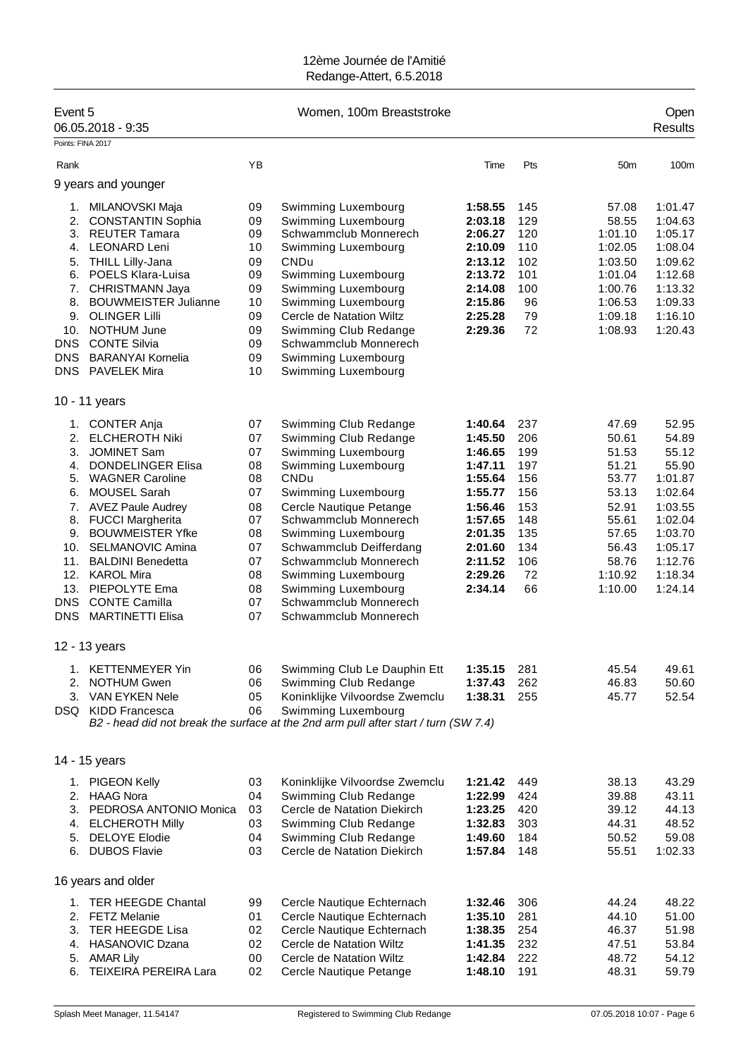| Event 5                                                                                              | 06.05.2018 - 9:35                                                                                                                                                                                                                                                                                                                                                            |                                                                                        | Women, 100m Breaststroke                                                                                                                                                                                                                                                                                                                                   |                                                                                                                                             |                                                                                       |                                                                                                                       | Open<br><b>Results</b>                                                                                                              |
|------------------------------------------------------------------------------------------------------|------------------------------------------------------------------------------------------------------------------------------------------------------------------------------------------------------------------------------------------------------------------------------------------------------------------------------------------------------------------------------|----------------------------------------------------------------------------------------|------------------------------------------------------------------------------------------------------------------------------------------------------------------------------------------------------------------------------------------------------------------------------------------------------------------------------------------------------------|---------------------------------------------------------------------------------------------------------------------------------------------|---------------------------------------------------------------------------------------|-----------------------------------------------------------------------------------------------------------------------|-------------------------------------------------------------------------------------------------------------------------------------|
| Points: FINA 2017                                                                                    |                                                                                                                                                                                                                                                                                                                                                                              |                                                                                        |                                                                                                                                                                                                                                                                                                                                                            |                                                                                                                                             |                                                                                       |                                                                                                                       |                                                                                                                                     |
| Rank                                                                                                 |                                                                                                                                                                                                                                                                                                                                                                              | ΥB                                                                                     |                                                                                                                                                                                                                                                                                                                                                            | Time                                                                                                                                        | Pts                                                                                   | 50 <sub>m</sub>                                                                                                       | 100m                                                                                                                                |
|                                                                                                      | 9 years and younger                                                                                                                                                                                                                                                                                                                                                          |                                                                                        |                                                                                                                                                                                                                                                                                                                                                            |                                                                                                                                             |                                                                                       |                                                                                                                       |                                                                                                                                     |
| 1.<br>2.<br>3.<br>5.<br>6.<br>8.<br>9.<br>10.<br><b>DNS</b>                                          | MILANOVSKI Maja<br><b>CONSTANTIN Sophia</b><br><b>REUTER Tamara</b><br>4. LEONARD Leni<br><b>THILL Lilly-Jana</b><br>POELS Klara-Luisa<br>7. CHRISTMANN Jaya<br><b>BOUWMEISTER Julianne</b><br><b>OLINGER Lilli</b><br><b>NOTHUM June</b><br><b>CONTE Silvia</b>                                                                                                             | 09<br>09<br>09<br>10<br>09<br>09<br>09<br>10<br>09<br>09<br>09                         | Swimming Luxembourg<br>Swimming Luxembourg<br>Schwammclub Monnerech<br>Swimming Luxembourg<br>CNDu<br>Swimming Luxembourg<br>Swimming Luxembourg<br>Swimming Luxembourg<br>Cercle de Natation Wiltz<br>Swimming Club Redange<br>Schwammclub Monnerech                                                                                                      | 1:58.55<br>2:03.18<br>2:06.27<br>2:10.09<br>2:13.12<br>2:13.72<br>2:14.08<br>2:15.86<br>2:25.28<br>2:29.36                                  | 145<br>129<br>120<br>110<br>102<br>101<br>100<br>96<br>79<br>72                       | 57.08<br>58.55<br>1:01.10<br>1:02.05<br>1:03.50<br>1:01.04<br>1:00.76<br>1:06.53<br>1:09.18<br>1:08.93                | 1:01.47<br>1:04.63<br>1:05.17<br>1:08.04<br>1:09.62<br>1:12.68<br>1:13.32<br>1:09.33<br>1:16.10<br>1:20.43                          |
| <b>DNS</b><br><b>DNS</b>                                                                             | <b>BARANYAI Kornelia</b><br><b>PAVELEK Mira</b>                                                                                                                                                                                                                                                                                                                              | 09<br>10                                                                               | Swimming Luxembourg                                                                                                                                                                                                                                                                                                                                        |                                                                                                                                             |                                                                                       |                                                                                                                       |                                                                                                                                     |
|                                                                                                      | 10 - 11 years                                                                                                                                                                                                                                                                                                                                                                |                                                                                        | Swimming Luxembourg                                                                                                                                                                                                                                                                                                                                        |                                                                                                                                             |                                                                                       |                                                                                                                       |                                                                                                                                     |
| 1.<br>2.<br>3.<br>4.<br>5.<br>6.<br>8.<br>9.<br>10.<br>11.<br>12.<br>13.<br><b>DNS</b><br><b>DNS</b> | <b>CONTER Anja</b><br><b>ELCHEROTH Niki</b><br><b>JOMINET Sam</b><br><b>DONDELINGER Elisa</b><br><b>WAGNER Caroline</b><br><b>MOUSEL Sarah</b><br>7. AVEZ Paule Audrey<br><b>FUCCI Margherita</b><br><b>BOUWMEISTER Yfke</b><br><b>SELMANOVIC Amina</b><br><b>BALDINI Benedetta</b><br><b>KAROL Mira</b><br>PIEPOLYTE Ema<br><b>CONTE Camilla</b><br><b>MARTINETTI Elisa</b> | 07<br>07<br>07<br>08<br>08<br>07<br>08<br>07<br>08<br>07<br>07<br>08<br>08<br>07<br>07 | Swimming Club Redange<br>Swimming Club Redange<br>Swimming Luxembourg<br>Swimming Luxembourg<br>CNDu<br>Swimming Luxembourg<br>Cercle Nautique Petange<br>Schwammclub Monnerech<br>Swimming Luxembourg<br>Schwammclub Deifferdang<br>Schwammclub Monnerech<br>Swimming Luxembourg<br>Swimming Luxembourg<br>Schwammclub Monnerech<br>Schwammclub Monnerech | 1:40.64<br>1:45.50<br>1:46.65<br>1:47.11<br>1:55.64<br>1:55.77<br>1:56.46<br>1:57.65<br>2:01.35<br>2:01.60<br>2:11.52<br>2:29.26<br>2:34.14 | 237<br>206<br>199<br>197<br>156<br>156<br>153<br>148<br>135<br>134<br>106<br>72<br>66 | 47.69<br>50.61<br>51.53<br>51.21<br>53.77<br>53.13<br>52.91<br>55.61<br>57.65<br>56.43<br>58.76<br>1:10.92<br>1:10.00 | 52.95<br>54.89<br>55.12<br>55.90<br>1:01.87<br>1:02.64<br>1:03.55<br>1:02.04<br>1:03.70<br>1:05.17<br>1:12.76<br>1:18.34<br>1:24.14 |
|                                                                                                      | 12 - 13 years<br>1. KETTENMEYER Yin<br>2. NOTHUM Gwen<br>3. VAN EYKEN Nele<br>DSQ KIDD Francesca                                                                                                                                                                                                                                                                             | 06<br>06<br>05<br>06                                                                   | Swimming Club Le Dauphin Ett<br>Swimming Club Redange<br>Koninklijke Vilvoordse Zwemclu<br>Swimming Luxembourg<br>B2 - head did not break the surface at the 2nd arm pull after start / turn (SW 7.4)                                                                                                                                                      | 1:35.15<br>1:37.43<br>1:38.31                                                                                                               | 281<br>262<br>255                                                                     | 45.54<br>46.83<br>45.77                                                                                               | 49.61<br>50.60<br>52.54                                                                                                             |
|                                                                                                      | 14 - 15 years                                                                                                                                                                                                                                                                                                                                                                |                                                                                        |                                                                                                                                                                                                                                                                                                                                                            |                                                                                                                                             |                                                                                       |                                                                                                                       |                                                                                                                                     |
| 1.<br>4.<br>5.<br>6.                                                                                 | PIGEON Kelly<br>2. HAAG Nora<br>3. PEDROSA ANTONIO Monica<br><b>ELCHEROTH Milly</b><br><b>DELOYE Elodie</b><br><b>DUBOS Flavie</b>                                                                                                                                                                                                                                           | 03<br>04<br>03<br>03<br>04<br>03                                                       | Koninklijke Vilvoordse Zwemclu<br>Swimming Club Redange<br>Cercle de Natation Diekirch<br>Swimming Club Redange<br>Swimming Club Redange<br>Cercle de Natation Diekirch                                                                                                                                                                                    | 1:21.42<br>1:22.99<br>1:23.25<br>1:32.83<br>1:49.60<br>1:57.84                                                                              | 449<br>424<br>420<br>303<br>184<br>148                                                | 38.13<br>39.88<br>39.12<br>44.31<br>50.52<br>55.51                                                                    | 43.29<br>43.11<br>44.13<br>48.52<br>59.08<br>1:02.33                                                                                |
|                                                                                                      | 16 years and older                                                                                                                                                                                                                                                                                                                                                           |                                                                                        |                                                                                                                                                                                                                                                                                                                                                            |                                                                                                                                             |                                                                                       |                                                                                                                       |                                                                                                                                     |
| 1.<br>2.<br>3.<br>4.<br>5.<br>6.                                                                     | <b>TER HEEGDE Chantal</b><br><b>FETZ Melanie</b><br><b>TER HEEGDE Lisa</b><br><b>HASANOVIC Dzana</b><br><b>AMAR Lily</b><br><b>TEIXEIRA PEREIRA Lara</b>                                                                                                                                                                                                                     | 99<br>01<br>02<br>02<br>00<br>02                                                       | Cercle Nautique Echternach<br>Cercle Nautique Echternach<br>Cercle Nautique Echternach<br>Cercle de Natation Wiltz<br>Cercle de Natation Wiltz<br>Cercle Nautique Petange                                                                                                                                                                                  | 1:32.46<br>1:35.10<br>1:38.35<br>1:41.35<br>1:42.84<br>1:48.10                                                                              | 306<br>281<br>254<br>232<br>222<br>191                                                | 44.24<br>44.10<br>46.37<br>47.51<br>48.72<br>48.31                                                                    | 48.22<br>51.00<br>51.98<br>53.84<br>54.12<br>59.79                                                                                  |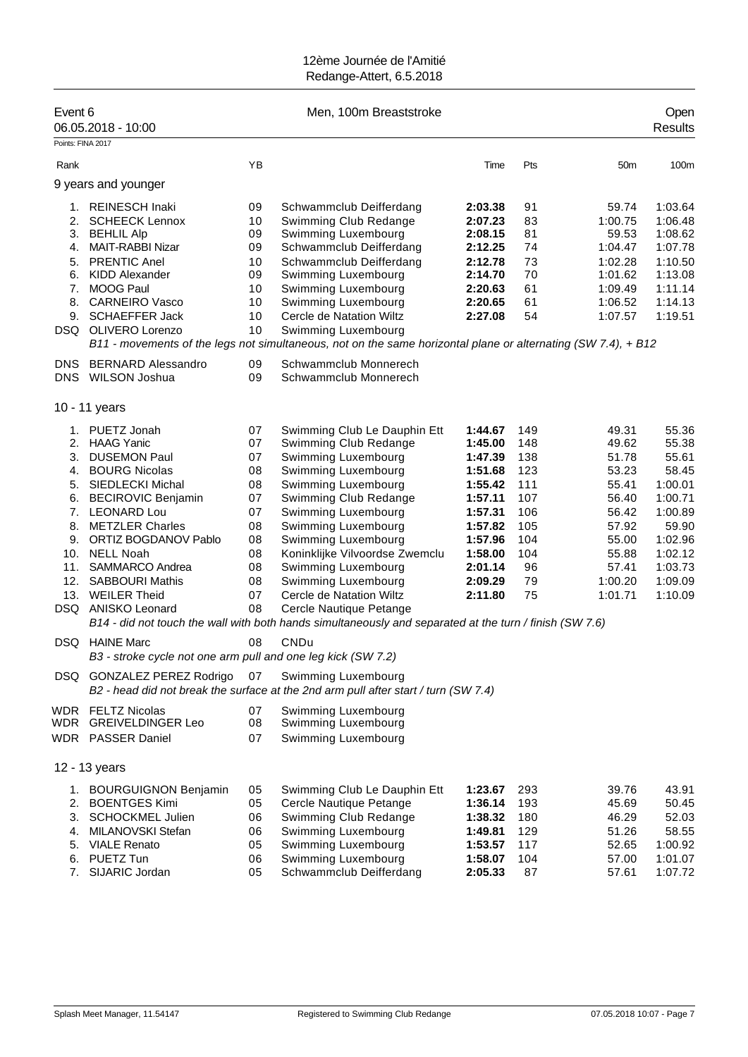| Event 6            | 06.05.2018 - 10:00                                           |          | Men, 100m Breaststroke                                                                                        |                    |            |                  | Open<br><b>Results</b> |
|--------------------|--------------------------------------------------------------|----------|---------------------------------------------------------------------------------------------------------------|--------------------|------------|------------------|------------------------|
| Points: FINA 2017  |                                                              |          |                                                                                                               |                    |            |                  |                        |
| Rank               |                                                              | YB       |                                                                                                               | Time               | Pts        | 50 <sub>m</sub>  | 100m                   |
|                    | 9 years and younger                                          |          |                                                                                                               |                    |            |                  |                        |
|                    |                                                              |          |                                                                                                               |                    |            |                  |                        |
| 1.                 | <b>REINESCH Inaki</b>                                        | 09       | Schwammclub Deifferdang                                                                                       | 2:03.38            | 91         | 59.74            | 1:03.64                |
| 2.                 | <b>SCHEECK Lennox</b>                                        | 10       | Swimming Club Redange                                                                                         | 2:07.23            | 83         | 1:00.75          | 1:06.48                |
| 3.<br>4.           | <b>BEHLIL Alp</b><br><b>MAIT-RABBI Nizar</b>                 | 09<br>09 | Swimming Luxembourg<br>Schwammclub Deifferdang                                                                | 2:08.15<br>2:12.25 | 81<br>74   | 59.53<br>1:04.47 | 1:08.62<br>1:07.78     |
| 5.                 | <b>PRENTIC Anel</b>                                          | 10       | Schwammclub Deifferdang                                                                                       | 2:12.78            | 73         | 1:02.28          | 1:10.50                |
| 6.                 | <b>KIDD Alexander</b>                                        | 09       | Swimming Luxembourg                                                                                           | 2:14.70            | 70         | 1:01.62          | 1:13.08                |
| 7.                 | MOOG Paul                                                    | 10       | Swimming Luxembourg                                                                                           | 2:20.63            | 61         | 1:09.49          | 1:11.14                |
|                    | 8. CARNEIRO Vasco                                            | 10       | Swimming Luxembourg                                                                                           | 2:20.65            | 61         | 1:06.52          | 1:14.13                |
|                    | 9. SCHAEFFER Jack                                            | 10       | Cercle de Natation Wiltz                                                                                      | 2:27.08            | 54         | 1:07.57          | 1:19.51                |
| DSQ                | OLIVERO Lorenzo                                              | 10       | Swimming Luxembourg                                                                                           |                    |            |                  |                        |
|                    |                                                              |          | B11 - movements of the legs not simultaneous, not on the same horizontal plane or alternating (SW 7.4), + B12 |                    |            |                  |                        |
| DNS.<br><b>DNS</b> | <b>BERNARD Alessandro</b><br>WILSON Joshua                   | 09<br>09 | Schwammclub Monnerech<br>Schwammclub Monnerech                                                                |                    |            |                  |                        |
|                    | 10 - 11 years                                                |          |                                                                                                               |                    |            |                  |                        |
|                    | 1. PUETZ Jonah                                               | 07       | Swimming Club Le Dauphin Ett                                                                                  | 1:44.67            | 149        | 49.31            | 55.36                  |
|                    | 2. HAAG Yanic                                                | 07       | Swimming Club Redange                                                                                         | 1:45.00            | 148        | 49.62            | 55.38                  |
| 3.                 | <b>DUSEMON Paul</b>                                          | 07       | Swimming Luxembourg                                                                                           | 1:47.39            | 138        | 51.78            | 55.61                  |
| 4.                 | <b>BOURG Nicolas</b>                                         | 08       | Swimming Luxembourg                                                                                           | 1:51.68            | 123        | 53.23            | 58.45                  |
| 5.                 | SIEDLECKI Michal                                             | 08       | Swimming Luxembourg                                                                                           | 1:55.42            | 111        | 55.41            | 1:00.01                |
| 6.                 | <b>BECIROVIC Benjamin</b>                                    | 07       | Swimming Club Redange                                                                                         | 1:57.11            | 107        | 56.40            | 1:00.71                |
| 8.                 | 7. LEONARD Lou<br><b>METZLER Charles</b>                     | 07<br>08 | Swimming Luxembourg<br>Swimming Luxembourg                                                                    | 1:57.31<br>1:57.82 | 106<br>105 | 56.42<br>57.92   | 1:00.89<br>59.90       |
| 9.                 | ORTIZ BOGDANOV Pablo                                         | 08       | Swimming Luxembourg                                                                                           | 1:57.96            | 104        | 55.00            | 1:02.96                |
| 10.                | <b>NELL Noah</b>                                             | 08       | Koninklijke Vilvoordse Zwemclu                                                                                | 1:58.00            | 104        | 55.88            | 1:02.12                |
| 11.                | SAMMARCO Andrea                                              | 08       | Swimming Luxembourg                                                                                           | 2:01.14            | 96         | 57.41            | 1:03.73                |
|                    | 12. SABBOURI Mathis                                          | 08       | Swimming Luxembourg                                                                                           | 2:09.29            | 79         | 1:00.20          | 1:09.09                |
|                    | 13. WEILER Theid                                             | 07       | Cercle de Natation Wiltz                                                                                      | 2:11.80            | 75         | 1:01.71          | 1:10.09                |
| DSQ                | <b>ANISKO Leonard</b>                                        | 08       | Cercle Nautique Petange                                                                                       |                    |            |                  |                        |
|                    |                                                              |          | B14 - did not touch the wall with both hands simultaneously and separated at the turn / finish (SW 7.6)       |                    |            |                  |                        |
|                    | <b>DSQ</b> HAINE Marc                                        | 08       | CNDu                                                                                                          |                    |            |                  |                        |
|                    | B3 - stroke cycle not one arm pull and one leg kick (SW 7.2) |          |                                                                                                               |                    |            |                  |                        |
| DSQ                | <b>GONZALEZ PEREZ Rodrigo</b>                                | 07       | Swimming Luxembourg<br>B2 - head did not break the surface at the 2nd arm pull after start / turn (SW 7.4)    |                    |            |                  |                        |
|                    | WDR FELTZ Nicolas                                            | 07       | Swimming Luxembourg                                                                                           |                    |            |                  |                        |
| <b>WDR</b>         | <b>GREIVELDINGER Leo</b>                                     | 08       | Swimming Luxembourg                                                                                           |                    |            |                  |                        |
|                    | WDR PASSER Daniel                                            | 07       | Swimming Luxembourg                                                                                           |                    |            |                  |                        |
|                    | 12 - 13 years                                                |          |                                                                                                               |                    |            |                  |                        |
|                    | 1. BOURGUIGNON Benjamin                                      | 05       | Swimming Club Le Dauphin Ett                                                                                  | 1:23.67            | 293        | 39.76            | 43.91                  |
| 2.                 | <b>BOENTGES Kimi</b>                                         | 05       | Cercle Nautique Petange                                                                                       | 1:36.14            | 193        | 45.69            | 50.45                  |
| 3.                 | <b>SCHOCKMEL Julien</b>                                      | 06       | Swimming Club Redange                                                                                         | 1:38.32            | 180        | 46.29            | 52.03                  |
| 4.                 | MILANOVSKI Stefan                                            | 06       | Swimming Luxembourg                                                                                           | 1:49.81            | 129        | 51.26            | 58.55                  |
| 5.                 | <b>VIALE Renato</b>                                          | 05       | Swimming Luxembourg                                                                                           | 1:53.57            | 117        | 52.65            | 1:00.92                |
| 6.                 | PUETZ Tun                                                    | 06       | Swimming Luxembourg                                                                                           | 1:58.07            | 104        | 57.00            | 1:01.07                |
| 7.                 | SIJARIC Jordan                                               | 05       | Schwammclub Deifferdang                                                                                       | 2:05.33            | 87         | 57.61            | 1:07.72                |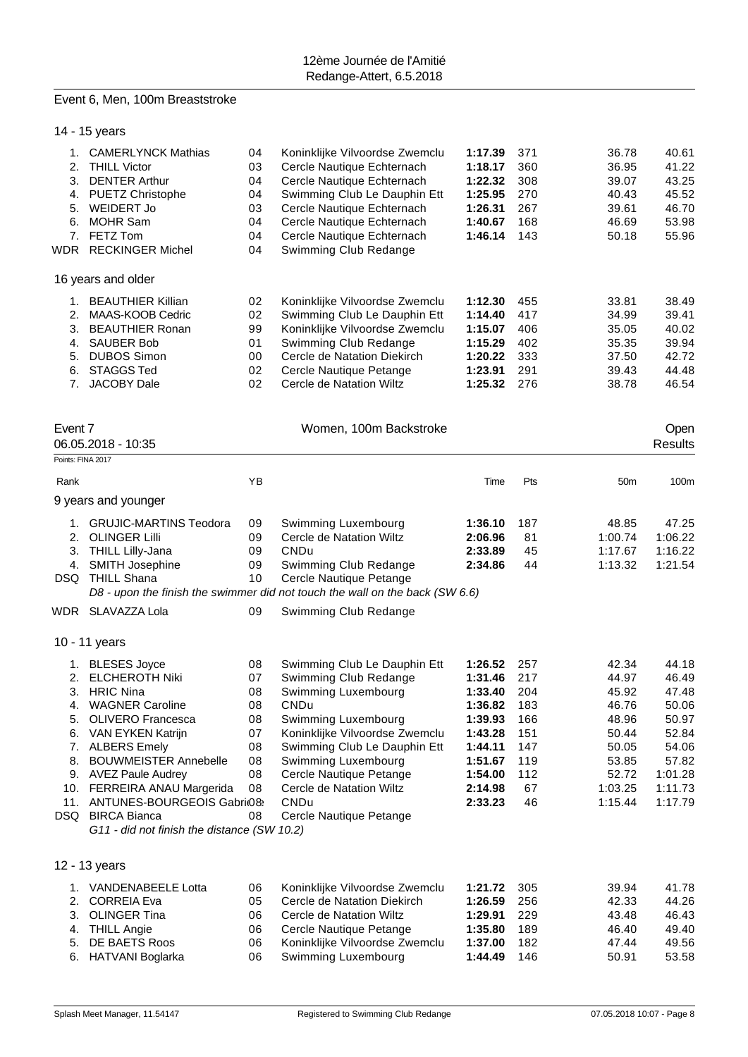#### Event 6, Men, 100m Breaststroke

|                                  | 14 - 15 years                                                                                                                                                                                                                                                                                                                                                    |                                                                |                                                                                                                                                                                                                                                                                                       |                                                                                                                           |                                                                  |                                                                                                     |                                                                                                       |
|----------------------------------|------------------------------------------------------------------------------------------------------------------------------------------------------------------------------------------------------------------------------------------------------------------------------------------------------------------------------------------------------------------|----------------------------------------------------------------|-------------------------------------------------------------------------------------------------------------------------------------------------------------------------------------------------------------------------------------------------------------------------------------------------------|---------------------------------------------------------------------------------------------------------------------------|------------------------------------------------------------------|-----------------------------------------------------------------------------------------------------|-------------------------------------------------------------------------------------------------------|
| 3.<br>5.<br>6.                   | 1. CAMERLYNCK Mathias<br>2. THILL Victor<br><b>DENTER Arthur</b><br>4. PUETZ Christophe<br><b>WEIDERT Jo</b><br><b>MOHR Sam</b><br>7. FETZ Tom<br>WDR RECKINGER Michel                                                                                                                                                                                           | 04<br>03<br>04<br>04<br>03<br>04<br>04<br>04                   | Koninklijke Vilvoordse Zwemclu<br>Cercle Nautique Echternach<br>Cercle Nautique Echternach<br>Swimming Club Le Dauphin Ett<br>Cercle Nautique Echternach<br>Cercle Nautique Echternach<br>Cercle Nautique Echternach<br>Swimming Club Redange                                                         | 1:17.39<br>1:18.17<br>1:22.32<br>1:25.95<br>1:26.31<br>1:40.67<br>1:46.14                                                 | 371<br>360<br>308<br>270<br>267<br>168<br>143                    | 36.78<br>36.95<br>39.07<br>40.43<br>39.61<br>46.69<br>50.18                                         | 40.61<br>41.22<br>43.25<br>45.52<br>46.70<br>53.98<br>55.96                                           |
|                                  | 16 years and older                                                                                                                                                                                                                                                                                                                                               |                                                                |                                                                                                                                                                                                                                                                                                       |                                                                                                                           |                                                                  |                                                                                                     |                                                                                                       |
| 3.<br>4.<br>5.<br>6.             | 1. BEAUTHIER Killian<br>2. MAAS-KOOB Cedric<br><b>BEAUTHIER Ronan</b><br><b>SAUBER Bob</b><br><b>DUBOS Simon</b><br><b>STAGGS Ted</b><br>7. JACOBY Dale                                                                                                                                                                                                          | 02<br>02<br>99<br>01<br>00<br>02<br>02                         | Koninklijke Vilvoordse Zwemclu<br>Swimming Club Le Dauphin Ett<br>Koninklijke Vilvoordse Zwemclu<br>Swimming Club Redange<br>Cercle de Natation Diekirch<br>Cercle Nautique Petange<br>Cercle de Natation Wiltz                                                                                       | 1:12.30<br>1:14.40<br>1:15.07<br>1:15.29<br>1:20.22<br>1:23.91<br>1:25.32                                                 | 455<br>417<br>406<br>402<br>333<br>291<br>276                    | 33.81<br>34.99<br>35.05<br>35.35<br>37.50<br>39.43<br>38.78                                         | 38.49<br>39.41<br>40.02<br>39.94<br>42.72<br>44.48<br>46.54                                           |
| Event 7<br>Points: FINA 2017     | 06.05.2018 - 10:35                                                                                                                                                                                                                                                                                                                                               |                                                                | Women, 100m Backstroke                                                                                                                                                                                                                                                                                |                                                                                                                           |                                                                  |                                                                                                     | Open<br><b>Results</b>                                                                                |
| Rank                             |                                                                                                                                                                                                                                                                                                                                                                  | YB                                                             |                                                                                                                                                                                                                                                                                                       | Time                                                                                                                      | Pts                                                              | 50 <sub>m</sub>                                                                                     | 100m                                                                                                  |
|                                  | 9 years and younger                                                                                                                                                                                                                                                                                                                                              |                                                                |                                                                                                                                                                                                                                                                                                       |                                                                                                                           |                                                                  |                                                                                                     |                                                                                                       |
| 4.                               | 1. GRUJIC-MARTINS Teodora<br>2. OLINGER Lilli<br>3. THILL Lilly-Jana<br><b>SMITH Josephine</b><br>DSQ THILL Shana                                                                                                                                                                                                                                                | 09<br>09<br>09<br>09<br>10                                     | Swimming Luxembourg<br>Cercle de Natation Wiltz<br>CNDu<br>Swimming Club Redange<br>Cercle Nautique Petange<br>D8 - upon the finish the swimmer did not touch the wall on the back (SW 6.6)                                                                                                           | 1:36.10<br>2:06.96<br>2:33.89<br>2:34.86                                                                                  | 187<br>81<br>45<br>44                                            | 48.85<br>1:00.74<br>1:17.67<br>1:13.32                                                              | 47.25<br>1:06.22<br>1:16.22<br>1:21.54                                                                |
|                                  | WDR SLAVAZZA Lola                                                                                                                                                                                                                                                                                                                                                | 09                                                             | Swimming Club Redange                                                                                                                                                                                                                                                                                 |                                                                                                                           |                                                                  |                                                                                                     |                                                                                                       |
| 2.<br>3.<br>4.<br>5.<br>6.<br>8. | 10 - 11 years<br>1. BLESES Joyce<br><b>ELCHEROTH Niki</b><br><b>HRIC Nina</b><br><b>WAGNER Caroline</b><br>OLIVERO Francesca<br>VAN EYKEN Katrijn<br>7. ALBERS Emely<br><b>BOUWMEISTER Annebelle</b><br>9. AVEZ Paule Audrey<br>10. FERREIRA ANAU Margerida<br>11. ANTUNES-BOURGEOIS Gabrio8:<br>DSQ BIRCA Bianca<br>G11 - did not finish the distance (SW 10.2) | 08<br>07<br>08<br>08<br>08<br>07<br>08<br>08<br>08<br>08<br>08 | Swimming Club Le Dauphin Ett<br>Swimming Club Redange<br>Swimming Luxembourg<br><b>CNDu</b><br>Swimming Luxembourg<br>Koninklijke Vilvoordse Zwemclu<br>Swimming Club Le Dauphin Ett<br>Swimming Luxembourg<br>Cercle Nautique Petange<br>Cercle de Natation Wiltz<br>CNDu<br>Cercle Nautique Petange | 1:26.52<br>1:31.46 217<br>1:33.40<br>1:36.82<br>1:39.93<br>1:43.28<br>1:44.11<br>1:51.67<br>1:54.00<br>2:14.98<br>2:33.23 | 257<br>204<br>183<br>166<br>151<br>147<br>119<br>112<br>67<br>46 | 42.34<br>44.97<br>45.92<br>46.76<br>48.96<br>50.44<br>50.05<br>53.85<br>52.72<br>1:03.25<br>1:15.44 | 44.18<br>46.49<br>47.48<br>50.06<br>50.97<br>52.84<br>54.06<br>57.82<br>1:01.28<br>1:11.73<br>1:17.79 |
|                                  | 12 - 13 years                                                                                                                                                                                                                                                                                                                                                    |                                                                |                                                                                                                                                                                                                                                                                                       |                                                                                                                           |                                                                  |                                                                                                     |                                                                                                       |
| 2.<br>3.<br>4.<br>5.<br>6.       | 1. VANDENABEELE Lotta<br><b>CORREIA Eva</b><br><b>OLINGER Tina</b><br><b>THILL Angie</b><br>DE BAETS Roos<br>HATVANI Boglarka                                                                                                                                                                                                                                    | 06<br>05<br>06<br>06<br>06<br>06                               | Koninklijke Vilvoordse Zwemclu<br>Cercle de Natation Diekirch<br>Cercle de Natation Wiltz<br>Cercle Nautique Petange<br>Koninklijke Vilvoordse Zwemclu<br>Swimming Luxembourg                                                                                                                         | 1:21.72<br>1:26.59<br>1:29.91<br>1:35.80<br>1:37.00<br>1:44.49                                                            | 305<br>256<br>229<br>189<br>182<br>146                           | 39.94<br>42.33<br>43.48<br>46.40<br>47.44<br>50.91                                                  | 41.78<br>44.26<br>46.43<br>49.40<br>49.56<br>53.58                                                    |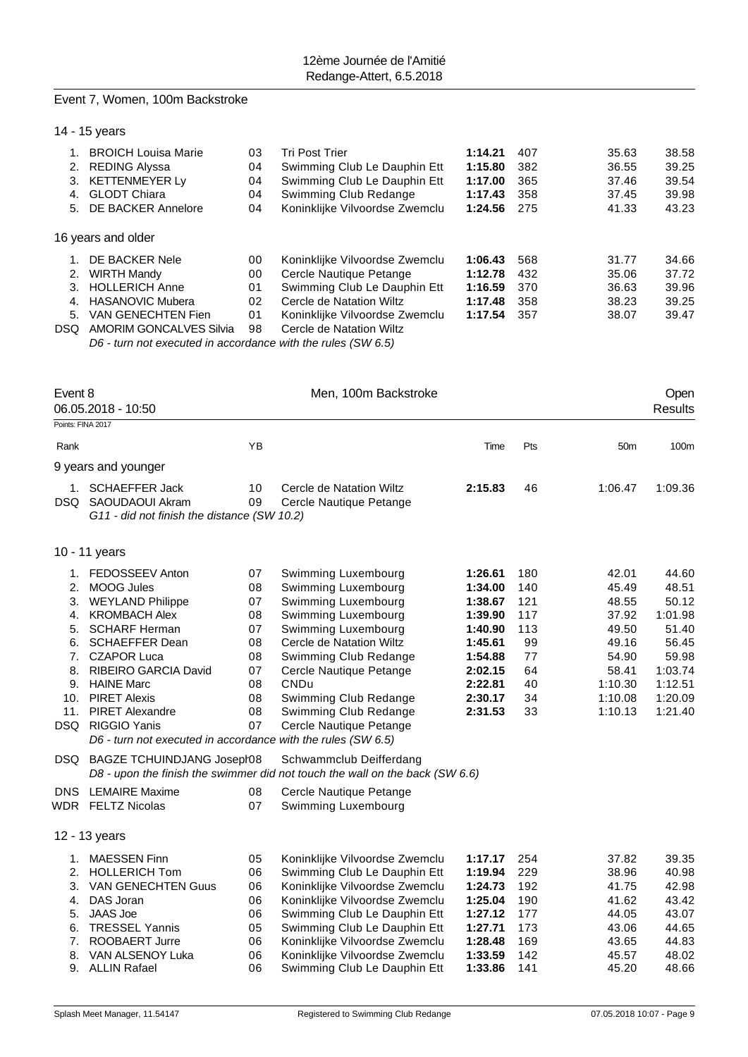#### Event 7, Women, 100m Backstroke

| <b>BROICH Louisa Marie</b>     | 03                                  | <b>Tri Post Trier</b>          | 1:14.21 | 407 | 35.63 | 38.58 |
|--------------------------------|-------------------------------------|--------------------------------|---------|-----|-------|-------|
| <b>REDING Alyssa</b>           | 04                                  | Swimming Club Le Dauphin Ett   | 1:15.80 | 382 | 36.55 | 39.25 |
| <b>KETTENMEYER Ly</b>          | 04                                  | Swimming Club Le Dauphin Ett   | 1:17.00 | 365 | 37.46 | 39.54 |
| <b>GLODT Chiara</b>            | 04                                  | Swimming Club Redange          | 1:17.43 | 358 | 37.45 | 39.98 |
| DE BACKER Annelore             | 04                                  | Koninklijke Vilvoordse Zwemclu | 1:24.56 | 275 | 41.33 | 43.23 |
|                                |                                     |                                |         |     |       |       |
| DE BACKER Nele                 | 00                                  | Koninklijke Vilvoordse Zwemclu | 1:06.43 | 568 | 31.77 | 34.66 |
| WIRTH Mandy                    | 00                                  | Cercle Nautique Petange        | 1:12.78 | 432 | 35.06 | 37.72 |
| <b>HOLLERICH Anne</b>          | 01                                  | Swimming Club Le Dauphin Ett   | 1:16.59 | 370 | 36.63 | 39.96 |
| <b>HASANOVIC Mubera</b>        | 02                                  | Cercle de Natation Wiltz       | 1:17.48 | 358 | 38.23 | 39.25 |
| VAN GENECHTEN Fien             | 01                                  | Koninklijke Vilvoordse Zwemclu | 1:17.54 | 357 | 38.07 | 39.47 |
| <b>AMORIM GONCALVES Silvia</b> | 98                                  | Cercle de Natation Wiltz       |         |     |       |       |
|                                | 14 - 15 years<br>16 years and older |                                |         |     |       |       |

*D6 - turn not executed in accordance with the rules (SW 6.5)*

| Event 8                                      | 06.05.2018 - 10:50                                                                                                                                                                                                                                                                                                                                                                |                                                                      | Men, 100m Backstroke                                                                                                                                                                                                                                                                                                                                                                            |                                                                                                                       |                                                                     |                                                                                                       | Open<br><b>Results</b>                                                                                    |
|----------------------------------------------|-----------------------------------------------------------------------------------------------------------------------------------------------------------------------------------------------------------------------------------------------------------------------------------------------------------------------------------------------------------------------------------|----------------------------------------------------------------------|-------------------------------------------------------------------------------------------------------------------------------------------------------------------------------------------------------------------------------------------------------------------------------------------------------------------------------------------------------------------------------------------------|-----------------------------------------------------------------------------------------------------------------------|---------------------------------------------------------------------|-------------------------------------------------------------------------------------------------------|-----------------------------------------------------------------------------------------------------------|
| Points: FINA 2017                            |                                                                                                                                                                                                                                                                                                                                                                                   |                                                                      |                                                                                                                                                                                                                                                                                                                                                                                                 |                                                                                                                       |                                                                     |                                                                                                       |                                                                                                           |
| Rank                                         |                                                                                                                                                                                                                                                                                                                                                                                   | YB                                                                   |                                                                                                                                                                                                                                                                                                                                                                                                 | Time                                                                                                                  | Pts                                                                 | 50 <sub>m</sub>                                                                                       | 100m                                                                                                      |
|                                              | 9 years and younger                                                                                                                                                                                                                                                                                                                                                               |                                                                      |                                                                                                                                                                                                                                                                                                                                                                                                 |                                                                                                                       |                                                                     |                                                                                                       |                                                                                                           |
|                                              | 1. SCHAEFFER Jack<br>DSQ SAOUDAOUI Akram<br>G11 - did not finish the distance (SW 10.2)                                                                                                                                                                                                                                                                                           | 10<br>09                                                             | Cercle de Natation Wiltz<br>Cercle Nautique Petange                                                                                                                                                                                                                                                                                                                                             | 2:15.83                                                                                                               | 46                                                                  | 1:06.47                                                                                               | 1:09.36                                                                                                   |
|                                              | 10 - 11 years                                                                                                                                                                                                                                                                                                                                                                     |                                                                      |                                                                                                                                                                                                                                                                                                                                                                                                 |                                                                                                                       |                                                                     |                                                                                                       |                                                                                                           |
| 2.<br>3.<br>4.<br>5.<br>6.<br>7.<br>11.      | 1. FEDOSSEEV Anton<br><b>MOOG Jules</b><br><b>WEYLAND Philippe</b><br><b>KROMBACH Alex</b><br><b>SCHARF Herman</b><br><b>SCHAEFFER Dean</b><br><b>CZAPOR Luca</b><br>8. RIBEIRO GARCIA David<br>9. HAINE Marc<br>10. PIRET Alexis<br><b>PIRET Alexandre</b><br>DSQ RIGGIO Yanis<br>D6 - turn not executed in accordance with the rules (SW 6.5)<br>DSQ BAGZE TCHUINDJANG Joseph08 | 07<br>08<br>07<br>08<br>07<br>08<br>08<br>07<br>08<br>08<br>08<br>07 | Swimming Luxembourg<br>Swimming Luxembourg<br>Swimming Luxembourg<br>Swimming Luxembourg<br>Swimming Luxembourg<br>Cercle de Natation Wiltz<br>Swimming Club Redange<br>Cercle Nautique Petange<br>CNDu<br>Swimming Club Redange<br>Swimming Club Redange<br>Cercle Nautique Petange<br>Schwammclub Deifferdang<br>D8 - upon the finish the swimmer did not touch the wall on the back (SW 6.6) | 1:26.61<br>1:34.00<br>1:38.67<br>1:39.90<br>1:40.90<br>1:45.61<br>1:54.88<br>2:02.15<br>2:22.81<br>2:30.17<br>2:31.53 | 180<br>140<br>121<br>117<br>113<br>99<br>77<br>64<br>40<br>34<br>33 | 42.01<br>45.49<br>48.55<br>37.92<br>49.50<br>49.16<br>54.90<br>58.41<br>1:10.30<br>1:10.08<br>1:10.13 | 44.60<br>48.51<br>50.12<br>1:01.98<br>51.40<br>56.45<br>59.98<br>1:03.74<br>1:12.51<br>1:20.09<br>1:21.40 |
|                                              | DNS LEMAIRE Maxime<br><b>WDR FELTZ Nicolas</b>                                                                                                                                                                                                                                                                                                                                    | 08<br>07                                                             | Cercle Nautique Petange<br>Swimming Luxembourg                                                                                                                                                                                                                                                                                                                                                  |                                                                                                                       |                                                                     |                                                                                                       |                                                                                                           |
|                                              | 12 - 13 years                                                                                                                                                                                                                                                                                                                                                                     |                                                                      |                                                                                                                                                                                                                                                                                                                                                                                                 |                                                                                                                       |                                                                     |                                                                                                       |                                                                                                           |
| 1.<br>2.<br>3.<br>4.<br>5.<br>6.<br>7.<br>8. | <b>MAESSEN Finn</b><br><b>HOLLERICH Tom</b><br>VAN GENECHTEN Guus<br>DAS Joran<br><b>JAAS Joe</b><br><b>TRESSEL Yannis</b><br>ROOBAERT Jurre<br>VAN ALSENOY Luka                                                                                                                                                                                                                  | 05<br>06<br>06<br>06<br>06<br>05<br>06<br>06                         | Koninklijke Vilvoordse Zwemclu<br>Swimming Club Le Dauphin Ett<br>Koninklijke Vilvoordse Zwemclu<br>Koninklijke Vilvoordse Zwemclu<br>Swimming Club Le Dauphin Ett<br>Swimming Club Le Dauphin Ett<br>Koninklijke Vilvoordse Zwemclu<br>Koninklijke Vilvoordse Zwemclu                                                                                                                          | 1:17.17<br>1:19.94<br>1:24.73<br>1:25.04<br>1:27.12<br>1:27.71<br>1:28.48<br>1:33.59                                  | 254<br>229<br>192<br>190<br>177<br>173<br>169<br>142                | 37.82<br>38.96<br>41.75<br>41.62<br>44.05<br>43.06<br>43.65<br>45.57                                  | 39.35<br>40.98<br>42.98<br>43.42<br>43.07<br>44.65<br>44.83<br>48.02                                      |
|                                              | 9. ALLIN Rafael                                                                                                                                                                                                                                                                                                                                                                   | 06                                                                   | Swimming Club Le Dauphin Ett                                                                                                                                                                                                                                                                                                                                                                    | 1:33.86                                                                                                               | 141                                                                 | 45.20                                                                                                 | 48.66                                                                                                     |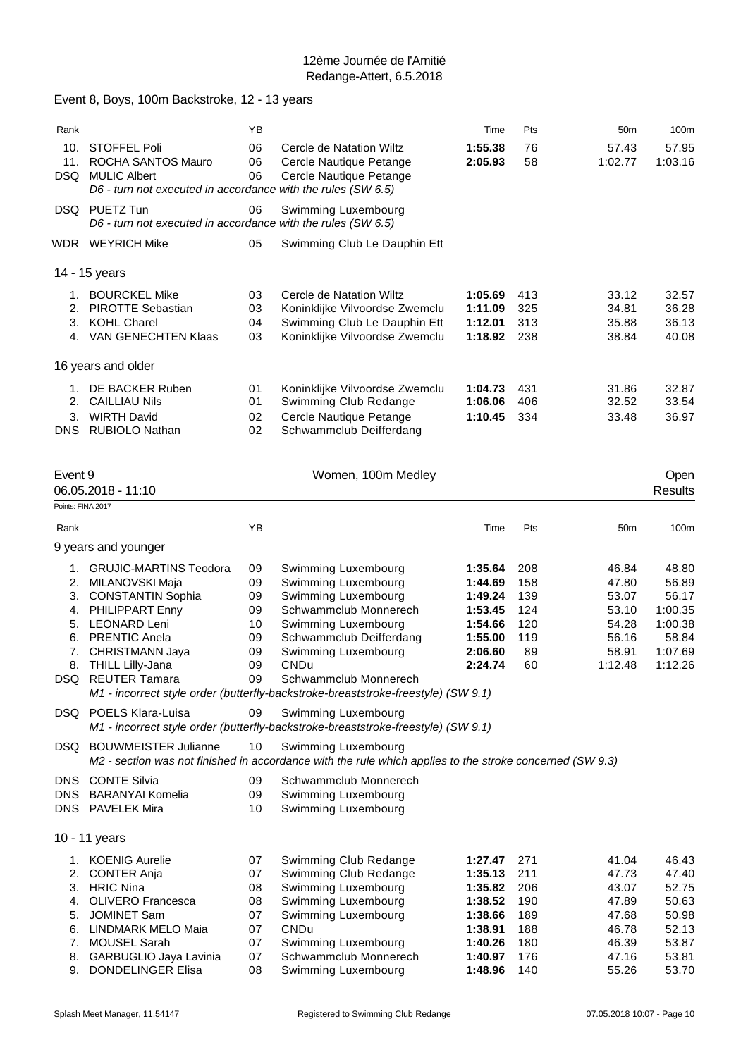|                                        | Event 8, Boys, 100m Backstroke, 12 - 13 years                                                                                                                                                           |                                                    |                                                                                                                                                                                                                                                                                           |                                                                                      |                                                      |                                                                        |                                                                              |
|----------------------------------------|---------------------------------------------------------------------------------------------------------------------------------------------------------------------------------------------------------|----------------------------------------------------|-------------------------------------------------------------------------------------------------------------------------------------------------------------------------------------------------------------------------------------------------------------------------------------------|--------------------------------------------------------------------------------------|------------------------------------------------------|------------------------------------------------------------------------|------------------------------------------------------------------------------|
| Rank                                   |                                                                                                                                                                                                         | YB                                                 |                                                                                                                                                                                                                                                                                           | Time                                                                                 | Pts                                                  | 50 <sub>m</sub>                                                        | 100m                                                                         |
| 10.<br>11.                             | STOFFEL Poli<br>ROCHA SANTOS Mauro<br>DSQ MULIC Albert<br>D6 - turn not executed in accordance with the rules (SW 6.5)                                                                                  | 06<br>06<br>06                                     | Cercle de Natation Wiltz<br>Cercle Nautique Petange<br>Cercle Nautique Petange                                                                                                                                                                                                            | 1:55.38<br>2:05.93                                                                   | 76<br>58                                             | 57.43<br>1:02.77                                                       | 57.95<br>1:03.16                                                             |
|                                        | DSQ PUETZ Tun<br>D6 - turn not executed in accordance with the rules (SW 6.5)                                                                                                                           | 06                                                 | Swimming Luxembourg                                                                                                                                                                                                                                                                       |                                                                                      |                                                      |                                                                        |                                                                              |
|                                        | WDR WEYRICH Mike                                                                                                                                                                                        | 05                                                 | Swimming Club Le Dauphin Ett                                                                                                                                                                                                                                                              |                                                                                      |                                                      |                                                                        |                                                                              |
|                                        | 14 - 15 years                                                                                                                                                                                           |                                                    |                                                                                                                                                                                                                                                                                           |                                                                                      |                                                      |                                                                        |                                                                              |
| 2.                                     | 1. BOURCKEL Mike<br><b>PIROTTE Sebastian</b><br>3. KOHL Charel<br>4. VAN GENECHTEN Klaas                                                                                                                | 03<br>03<br>04<br>03                               | Cercle de Natation Wiltz<br>Koninklijke Vilvoordse Zwemclu<br>Swimming Club Le Dauphin Ett<br>Koninklijke Vilvoordse Zwemclu                                                                                                                                                              | 1:05.69<br>1:11.09<br>1:12.01<br>1:18.92                                             | 413<br>325<br>313<br>238                             | 33.12<br>34.81<br>35.88<br>38.84                                       | 32.57<br>36.28<br>36.13<br>40.08                                             |
|                                        | 16 years and older                                                                                                                                                                                      |                                                    |                                                                                                                                                                                                                                                                                           |                                                                                      |                                                      |                                                                        |                                                                              |
|                                        | 1. DE BACKER Ruben<br>2. CAILLIAU Nils<br>3. WIRTH David<br>DNS RUBIOLO Nathan                                                                                                                          | 01<br>01<br>02<br>02                               | Koninklijke Vilvoordse Zwemclu<br>Swimming Club Redange<br>Cercle Nautique Petange<br>Schwammclub Deifferdang                                                                                                                                                                             | 1:04.73<br>1:06.06<br>1:10.45                                                        | 431<br>406<br>334                                    | 31.86<br>32.52<br>33.48                                                | 32.87<br>33.54<br>36.97                                                      |
| Event 9<br>Points: FINA 2017           | 06.05.2018 - 11:10                                                                                                                                                                                      |                                                    | Women, 100m Medley                                                                                                                                                                                                                                                                        |                                                                                      |                                                      |                                                                        | Open<br><b>Results</b>                                                       |
| Rank                                   |                                                                                                                                                                                                         | YB                                                 |                                                                                                                                                                                                                                                                                           | Time                                                                                 | Pts                                                  | 50 <sub>m</sub>                                                        | 100m                                                                         |
|                                        | 9 years and younger                                                                                                                                                                                     |                                                    |                                                                                                                                                                                                                                                                                           |                                                                                      |                                                      |                                                                        |                                                                              |
| 3.<br>7.                               | 1. GRUJIC-MARTINS Teodora<br>2. MILANOVSKI Maja<br><b>CONSTANTIN Sophia</b><br>4. PHILIPPART Enny<br>5. LEONARD Leni<br>6. PRENTIC Anela<br>CHRISTMANN Jaya<br>8. THILL Lilly-Jana<br>DSQ REUTER Tamara | 09<br>09<br>09<br>09<br>10<br>09<br>09<br>09<br>09 | Swimming Luxembourg<br>Swimming Luxembourg<br>Swimming Luxembourg<br>Schwammclub Monnerech<br>Swimming Luxembourg<br>Schwammclub Deifferdang<br>Swimming Luxembourg<br>CNDu<br>Schwammclub Monnerech<br>M1 - incorrect style order (butterfly-backstroke-breaststroke-freestyle) (SW 9.1) | 1:35.64<br>1:44.69<br>1:49.24<br>1:53.45<br>1:54.66<br>1:55.00<br>2:06.60<br>2:24.74 | 208<br>158<br>139<br>124<br>120<br>119<br>89<br>60   | 46.84<br>47.80<br>53.07<br>53.10<br>54.28<br>56.16<br>58.91<br>1:12.48 | 48.80<br>56.89<br>56.17<br>1:00.35<br>1:00.38<br>58.84<br>1:07.69<br>1:12.26 |
|                                        | DSQ POELS Klara-Luisa                                                                                                                                                                                   | 09                                                 | Swimming Luxembourg<br>M1 - incorrect style order (butterfly-backstroke-breaststroke-freestyle) (SW 9.1)                                                                                                                                                                                  |                                                                                      |                                                      |                                                                        |                                                                              |
|                                        | DSQ BOUWMEISTER Julianne                                                                                                                                                                                | 10                                                 | Swimming Luxembourg<br>M2 - section was not finished in accordance with the rule which applies to the stroke concerned (SW 9.3)                                                                                                                                                           |                                                                                      |                                                      |                                                                        |                                                                              |
| DNS                                    | <b>CONTE Silvia</b><br>DNS BARANYAI Kornelia<br>DNS PAVELEK Mira                                                                                                                                        | 09<br>09<br>10                                     | Schwammclub Monnerech<br>Swimming Luxembourg<br>Swimming Luxembourg                                                                                                                                                                                                                       |                                                                                      |                                                      |                                                                        |                                                                              |
|                                        | 10 - 11 years                                                                                                                                                                                           |                                                    |                                                                                                                                                                                                                                                                                           |                                                                                      |                                                      |                                                                        |                                                                              |
| 1.<br>2.<br>4.<br>5.<br>6.<br>7.<br>8. | <b>KOENIG Aurelie</b><br><b>CONTER Anja</b><br>3. HRIC Nina<br><b>OLIVERO Francesca</b><br><b>JOMINET Sam</b><br>LINDMARK MELO Maia<br>MOUSEL Sarah<br>GARBUGLIO Jaya Lavinia                           | 07<br>07<br>08<br>08<br>07<br>07<br>07<br>07       | Swimming Club Redange<br>Swimming Club Redange<br>Swimming Luxembourg<br>Swimming Luxembourg<br>Swimming Luxembourg<br>CNDu<br>Swimming Luxembourg<br>Schwammclub Monnerech                                                                                                               | 1:27.47<br>1:35.13<br>1:35.82<br>1:38.52<br>1:38.66<br>1:38.91<br>1:40.26<br>1:40.97 | 271<br>211<br>206<br>190<br>189<br>188<br>180<br>176 | 41.04<br>47.73<br>43.07<br>47.89<br>47.68<br>46.78<br>46.39<br>47.16   | 46.43<br>47.40<br>52.75<br>50.63<br>50.98<br>52.13<br>53.87<br>53.81         |
| 9.                                     | DONDELINGER Elisa                                                                                                                                                                                       | 08                                                 | Swimming Luxembourg                                                                                                                                                                                                                                                                       | 1:48.96                                                                              | 140                                                  | 55.26                                                                  | 53.70                                                                        |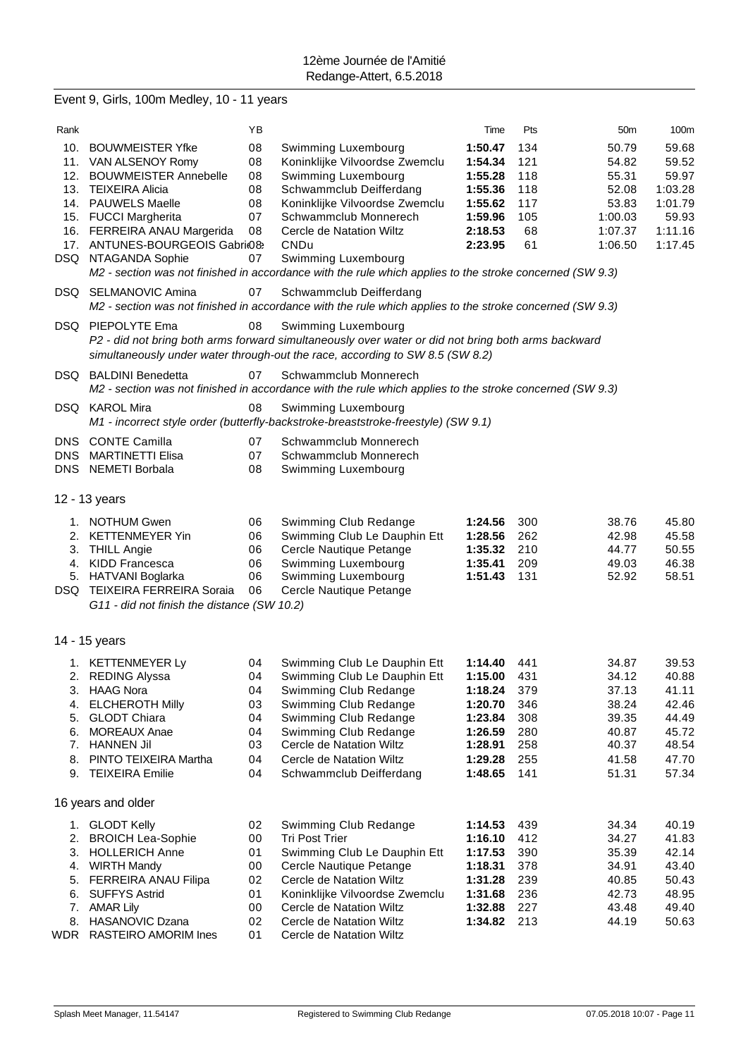# Event 9, Girls, 100m Medley, 10 - 11 years

| Rank       |                                             | ΥB |                                                                                                          | Time        | Pts | 50 <sub>m</sub> | 100m    |
|------------|---------------------------------------------|----|----------------------------------------------------------------------------------------------------------|-------------|-----|-----------------|---------|
| 10.        | <b>BOUWMEISTER Yfke</b>                     | 08 | Swimming Luxembourg                                                                                      | 1:50.47     | 134 | 50.79           | 59.68   |
|            | 11. VAN ALSENOY Romy                        | 08 | Koninklijke Vilvoordse Zwemclu                                                                           | 1:54.34     | 121 | 54.82           | 59.52   |
| 12.        | <b>BOUWMEISTER Annebelle</b>                | 08 | Swimming Luxembourg                                                                                      | 1:55.28     | 118 | 55.31           | 59.97   |
| 13.        | <b>TEIXEIRA Alicia</b>                      | 08 | Schwammclub Deifferdang                                                                                  | 1:55.36     | 118 | 52.08           | 1:03.28 |
|            | 14. PAUWELS Maelle                          | 08 | Koninklijke Vilvoordse Zwemclu                                                                           | 1:55.62     | 117 | 53.83           | 1:01.79 |
|            | 15. FUCCI Margherita                        | 07 | Schwammclub Monnerech                                                                                    | 1:59.96     | 105 | 1:00.03         | 59.93   |
|            | 16. FERREIRA ANAU Margerida                 | 08 | Cercle de Natation Wiltz                                                                                 | 2:18.53     | 68  | 1:07.37         | 1:11.16 |
|            | 17. ANTUNES-BOURGEOIS Gabri(08)             |    | CNDu                                                                                                     | 2:23.95     | 61  | 1:06.50         | 1:17.45 |
|            | DSQ NTAGANDA Sophie                         | 07 | Swimming Luxembourg                                                                                      |             |     |                 |         |
|            |                                             |    | M2 - section was not finished in accordance with the rule which applies to the stroke concerned (SW 9.3) |             |     |                 |         |
|            | DSQ SELMANOVIC Amina                        | 07 | Schwammclub Deifferdang                                                                                  |             |     |                 |         |
|            |                                             |    | M2 - section was not finished in accordance with the rule which applies to the stroke concerned (SW 9.3) |             |     |                 |         |
|            | DSQ PIEPOLYTE Ema                           |    |                                                                                                          |             |     |                 |         |
|            |                                             | 08 | Swimming Luxembourg                                                                                      |             |     |                 |         |
|            |                                             |    | P2 - did not bring both arms forward simultaneously over water or did not bring both arms backward       |             |     |                 |         |
|            |                                             |    | simultaneously under water through-out the race, according to SW 8.5 (SW 8.2)                            |             |     |                 |         |
|            | DSQ BALDINI Benedetta                       | 07 | Schwammclub Monnerech                                                                                    |             |     |                 |         |
|            |                                             |    | M2 - section was not finished in accordance with the rule which applies to the stroke concerned (SW 9.3) |             |     |                 |         |
|            | DSQ KAROL Mira                              | 08 | Swimming Luxembourg                                                                                      |             |     |                 |         |
|            |                                             |    | M1 - incorrect style order (butterfly-backstroke-breaststroke-freestyle) (SW 9.1)                        |             |     |                 |         |
|            | DNS CONTE Camilla                           | 07 | Schwammclub Monnerech                                                                                    |             |     |                 |         |
| <b>DNS</b> | <b>MARTINETTI Elisa</b>                     | 07 | Schwammclub Monnerech                                                                                    |             |     |                 |         |
|            | DNS NEMETI Borbala                          | 08 | Swimming Luxembourg                                                                                      |             |     |                 |         |
|            |                                             |    |                                                                                                          |             |     |                 |         |
|            | 12 - 13 years                               |    |                                                                                                          |             |     |                 |         |
|            | 1. NOTHUM Gwen                              | 06 | Swimming Club Redange                                                                                    | 1:24.56     | 300 | 38.76           | 45.80   |
| 2.         | <b>KETTENMEYER Yin</b>                      | 06 | Swimming Club Le Dauphin Ett                                                                             | 1:28.56     | 262 | 42.98           | 45.58   |
| 3.         | <b>THILL Angie</b>                          | 06 | Cercle Nautique Petange                                                                                  | 1:35.32     | 210 | 44.77           | 50.55   |
|            | 4. KIDD Francesca                           | 06 | Swimming Luxembourg                                                                                      | 1:35.41     | 209 | 49.03           | 46.38   |
|            | 5. HATVANI Boglarka                         | 06 | Swimming Luxembourg                                                                                      | 1:51.43     | 131 | 52.92           | 58.51   |
|            | DSQ TEIXEIRA FERREIRA Soraia                | 06 | Cercle Nautique Petange                                                                                  |             |     |                 |         |
|            | G11 - did not finish the distance (SW 10.2) |    |                                                                                                          |             |     |                 |         |
|            |                                             |    |                                                                                                          |             |     |                 |         |
|            | 14 - 15 years                               |    |                                                                                                          |             |     |                 |         |
|            |                                             |    |                                                                                                          |             |     |                 |         |
|            | 1. KETTENMEYER Ly                           | 04 | Swimming Club Le Dauphin Ett                                                                             | 1:14.40     | 441 | 34.87           | 39.53   |
|            | 2. REDING Alyssa                            | 04 | Swimming Club Le Dauphin Ett                                                                             | 1:15.00     | 431 | 34.12           | 40.88   |
| 3.         | <b>HAAG Nora</b>                            | 04 | Swimming Club Redange                                                                                    | 1:18.24     | 379 | 37.13           | 41.11   |
| 4.         | <b>ELCHEROTH Milly</b>                      | 03 | Swimming Club Redange                                                                                    | 1:20.70     | 346 | 38.24           | 42.46   |
| 5.         | <b>GLODT Chiara</b>                         | 04 | Swimming Club Redange                                                                                    | 1:23.84     | 308 | 39.35           | 44.49   |
| 6.         | <b>MOREAUX Anae</b>                         | 04 | Swimming Club Redange                                                                                    | 1:26.59     | 280 | 40.87           | 45.72   |
|            | 7. HANNEN Jil                               | 03 | Cercle de Natation Wiltz                                                                                 | 1:28.91     | 258 | 40.37           | 48.54   |
| 8.         | PINTO TEIXEIRA Martha                       | 04 | Cercle de Natation Wiltz                                                                                 | 1:29.28     | 255 | 41.58           | 47.70   |
|            | 9. TEIXEIRA Emilie                          | 04 | Schwammclub Deifferdang                                                                                  | 1:48.65     | 141 | 51.31           | 57.34   |
|            |                                             |    |                                                                                                          |             |     |                 |         |
|            | 16 years and older                          |    |                                                                                                          |             |     |                 |         |
| 1.         | <b>GLODT Kelly</b>                          | 02 | Swimming Club Redange                                                                                    | 1:14.53     | 439 | 34.34           | 40.19   |
| 2.         | <b>BROICH Lea-Sophie</b>                    | 00 | <b>Tri Post Trier</b>                                                                                    | 1:16.10     | 412 | 34.27           | 41.83   |
| 3.         | <b>HOLLERICH Anne</b>                       | 01 | Swimming Club Le Dauphin Ett                                                                             | 1:17.53     | 390 | 35.39           | 42.14   |
| 4.         | <b>WIRTH Mandy</b>                          | 00 | Cercle Nautique Petange                                                                                  | 1:18.31     | 378 | 34.91           | 43.40   |
| 5.         | FERREIRA ANAU Filipa                        | 02 | Cercle de Natation Wiltz                                                                                 | 1:31.28     | 239 | 40.85           | 50.43   |
| 6.         | <b>SUFFYS Astrid</b>                        | 01 | Koninklijke Vilvoordse Zwemclu                                                                           | 1:31.68     | 236 | 42.73           | 48.95   |
| 7.         | <b>AMAR Lily</b>                            | 00 | Cercle de Natation Wiltz                                                                                 | 1:32.88     | 227 | 43.48           | 49.40   |
| 8.         | <b>HASANOVIC Dzana</b>                      | 02 | Cercle de Natation Wiltz                                                                                 | 1:34.82 213 |     | 44.19           | 50.63   |
| WDR        | RASTEIRO AMORIM Ines                        | 01 | Cercle de Natation Wiltz                                                                                 |             |     |                 |         |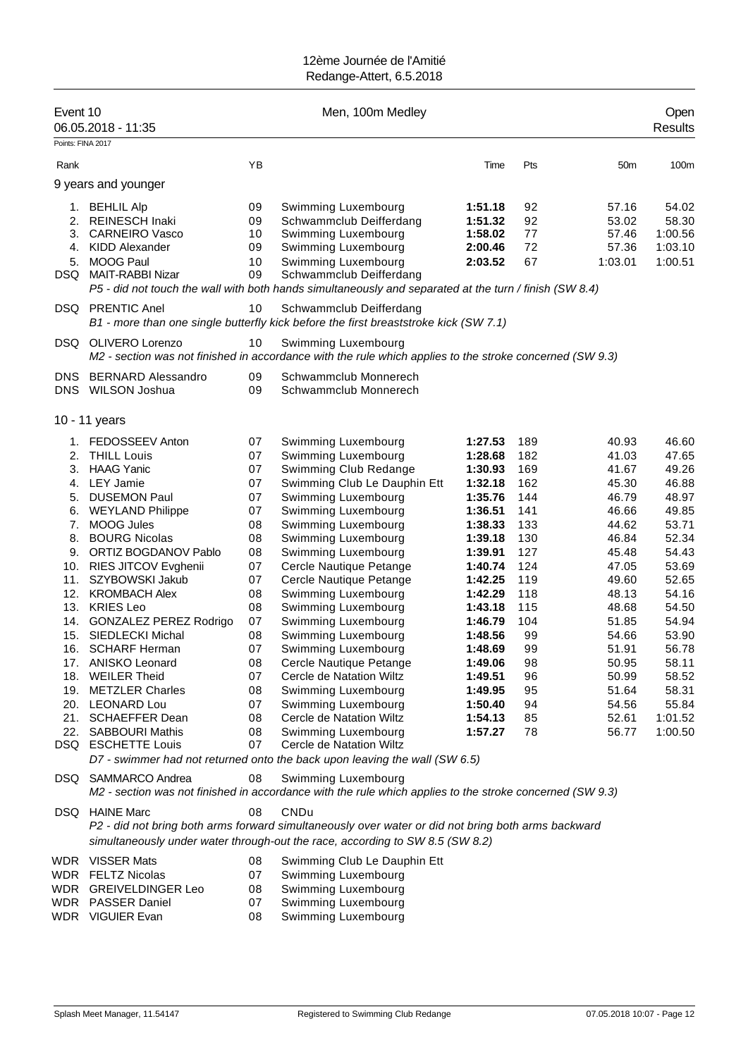| Event 10<br>Points: FINA 2017                                                                              | 06.05.2018 - 11:35                                                                                                                                                                                                                                                                                                                                                                                                                                                                                                           |                                                                                                                                        | Men, 100m Medley                                                                                                                                                                                                                                                                                                                                                                                                                                                                                                                                                                    |                                                                                                                                                                                                                                                |                                                                                                                                                | Open<br><b>Results</b>                                                                                                                                                                             |                                                                                                                                                                                                        |
|------------------------------------------------------------------------------------------------------------|------------------------------------------------------------------------------------------------------------------------------------------------------------------------------------------------------------------------------------------------------------------------------------------------------------------------------------------------------------------------------------------------------------------------------------------------------------------------------------------------------------------------------|----------------------------------------------------------------------------------------------------------------------------------------|-------------------------------------------------------------------------------------------------------------------------------------------------------------------------------------------------------------------------------------------------------------------------------------------------------------------------------------------------------------------------------------------------------------------------------------------------------------------------------------------------------------------------------------------------------------------------------------|------------------------------------------------------------------------------------------------------------------------------------------------------------------------------------------------------------------------------------------------|------------------------------------------------------------------------------------------------------------------------------------------------|----------------------------------------------------------------------------------------------------------------------------------------------------------------------------------------------------|--------------------------------------------------------------------------------------------------------------------------------------------------------------------------------------------------------|
| Rank                                                                                                       |                                                                                                                                                                                                                                                                                                                                                                                                                                                                                                                              | YB                                                                                                                                     |                                                                                                                                                                                                                                                                                                                                                                                                                                                                                                                                                                                     | Time                                                                                                                                                                                                                                           | Pts                                                                                                                                            | 50m                                                                                                                                                                                                | 100m                                                                                                                                                                                                   |
|                                                                                                            | 9 years and younger                                                                                                                                                                                                                                                                                                                                                                                                                                                                                                          |                                                                                                                                        |                                                                                                                                                                                                                                                                                                                                                                                                                                                                                                                                                                                     |                                                                                                                                                                                                                                                |                                                                                                                                                |                                                                                                                                                                                                    |                                                                                                                                                                                                        |
| 1.<br>2.<br>3.<br>4.<br>5.<br>DSQ.                                                                         | <b>BEHLIL Alp</b><br><b>REINESCH Inaki</b><br><b>CARNEIRO Vasco</b><br><b>KIDD Alexander</b><br><b>MOOG Paul</b><br><b>MAIT-RABBI Nizar</b>                                                                                                                                                                                                                                                                                                                                                                                  | 09<br>09<br>10<br>09<br>10<br>09                                                                                                       | Swimming Luxembourg<br>Schwammclub Deifferdang<br>Swimming Luxembourg<br>Swimming Luxembourg<br>Swimming Luxembourg<br>Schwammclub Deifferdang<br>P5 - did not touch the wall with both hands simultaneously and separated at the turn / finish (SW 8.4)                                                                                                                                                                                                                                                                                                                            | 1:51.18<br>1:51.32<br>1:58.02<br>2:00.46<br>2:03.52                                                                                                                                                                                            | 92<br>92<br>77<br>72<br>67                                                                                                                     | 57.16<br>53.02<br>57.46<br>57.36<br>1:03.01                                                                                                                                                        | 54.02<br>58.30<br>1:00.56<br>1:03.10<br>1:00.51                                                                                                                                                        |
|                                                                                                            | <b>DSQ PRENTIC Anel</b>                                                                                                                                                                                                                                                                                                                                                                                                                                                                                                      | 10                                                                                                                                     | Schwammclub Deifferdang<br>B1 - more than one single butterfly kick before the first breaststroke kick (SW 7.1)                                                                                                                                                                                                                                                                                                                                                                                                                                                                     |                                                                                                                                                                                                                                                |                                                                                                                                                |                                                                                                                                                                                                    |                                                                                                                                                                                                        |
|                                                                                                            | DSQ OLIVERO Lorenzo                                                                                                                                                                                                                                                                                                                                                                                                                                                                                                          | 10                                                                                                                                     | Swimming Luxembourg<br>M2 - section was not finished in accordance with the rule which applies to the stroke concerned (SW 9.3)                                                                                                                                                                                                                                                                                                                                                                                                                                                     |                                                                                                                                                                                                                                                |                                                                                                                                                |                                                                                                                                                                                                    |                                                                                                                                                                                                        |
| DNS                                                                                                        | <b>BERNARD Alessandro</b><br>DNS WILSON Joshua                                                                                                                                                                                                                                                                                                                                                                                                                                                                               | 09<br>09                                                                                                                               | Schwammclub Monnerech<br>Schwammclub Monnerech                                                                                                                                                                                                                                                                                                                                                                                                                                                                                                                                      |                                                                                                                                                                                                                                                |                                                                                                                                                |                                                                                                                                                                                                    |                                                                                                                                                                                                        |
|                                                                                                            | 10 - 11 years                                                                                                                                                                                                                                                                                                                                                                                                                                                                                                                |                                                                                                                                        |                                                                                                                                                                                                                                                                                                                                                                                                                                                                                                                                                                                     |                                                                                                                                                                                                                                                |                                                                                                                                                |                                                                                                                                                                                                    |                                                                                                                                                                                                        |
| 1.<br>2.<br>3.<br>4.<br>5.<br>6.<br>7.<br>8.<br>9.<br>10.<br>11.<br>12.<br>13.<br>14.<br>15.<br>16.<br>18. | FEDOSSEEV Anton<br><b>THILL Louis</b><br><b>HAAG Yanic</b><br>LEY Jamie<br><b>DUSEMON Paul</b><br><b>WEYLAND Philippe</b><br><b>MOOG Jules</b><br><b>BOURG Nicolas</b><br>ORTIZ BOGDANOV Pablo<br>RIES JITCOV Evghenii<br>SZYBOWSKI Jakub<br><b>KROMBACH Alex</b><br><b>KRIES Leo</b><br><b>GONZALEZ PEREZ Rodrigo</b><br>SIEDLECKI Michal<br><b>SCHARF Herman</b><br>17. ANISKO Leonard<br><b>WEILER Theid</b><br>19. METZLER Charles<br>20. LEONARD Lou<br>21. SCHAEFFER Dean<br>22. SABBOURI Mathis<br>DSQ ESCHETTE Louis | 07<br>07<br>07<br>07<br>07<br>07<br>08<br>08<br>08<br>07<br>07<br>08<br>08<br>07<br>08<br>07<br>08<br>07<br>08<br>07<br>08<br>08<br>07 | Swimming Luxembourg<br>Swimming Luxembourg<br>Swimming Club Redange<br>Swimming Club Le Dauphin Ett<br>Swimming Luxembourg<br>Swimming Luxembourg<br>Swimming Luxembourg<br>Swimming Luxembourg<br>Swimming Luxembourg<br>Cercle Nautique Petange<br>Cercle Nautique Petange<br>Swimming Luxembourg<br>Swimming Luxembourg<br>Swimming Luxembourg<br>Swimming Luxembourg<br>Swimming Luxembourg<br>Cercle Nautique Petange<br>Cercle de Natation Wiltz<br>Swimming Luxembourg<br>Swimming Luxembourg<br>Cercle de Natation Wiltz<br>Swimming Luxembourg<br>Cercle de Natation Wiltz | 1:27.53<br>1:28.68<br>1:30.93<br>1:32.18<br>1:35.76<br>1:36.51<br>1:38.33<br>1:39.18<br>1:39.91<br>1:40.74<br>1:42.25<br>1:42.29<br>1:43.18<br>1:46.79<br>1:48.56<br>1:48.69<br>1:49.06<br>1:49.51<br>1:49.95<br>1:50.40<br>1:54.13<br>1:57.27 | 189<br>182<br>169<br>162<br>144<br>141<br>133<br>130<br>127<br>124<br>119<br>118<br>115<br>104<br>99<br>99<br>98<br>96<br>95<br>94<br>85<br>78 | 40.93<br>41.03<br>41.67<br>45.30<br>46.79<br>46.66<br>44.62<br>46.84<br>45.48<br>47.05<br>49.60<br>48.13<br>48.68<br>51.85<br>54.66<br>51.91<br>50.95<br>50.99<br>51.64<br>54.56<br>52.61<br>56.77 | 46.60<br>47.65<br>49.26<br>46.88<br>48.97<br>49.85<br>53.71<br>52.34<br>54.43<br>53.69<br>52.65<br>54.16<br>54.50<br>54.94<br>53.90<br>56.78<br>58.11<br>58.52<br>58.31<br>55.84<br>1:01.52<br>1:00.50 |
|                                                                                                            | DSQ SAMMARCO Andrea                                                                                                                                                                                                                                                                                                                                                                                                                                                                                                          | 08                                                                                                                                     | D7 - swimmer had not returned onto the back upon leaving the wall (SW 6.5)<br>Swimming Luxembourg<br>M2 - section was not finished in accordance with the rule which applies to the stroke concerned (SW 9.3)                                                                                                                                                                                                                                                                                                                                                                       |                                                                                                                                                                                                                                                |                                                                                                                                                |                                                                                                                                                                                                    |                                                                                                                                                                                                        |
|                                                                                                            | DSQ HAINE Marc                                                                                                                                                                                                                                                                                                                                                                                                                                                                                                               | 08                                                                                                                                     | CNDu<br>P2 - did not bring both arms forward simultaneously over water or did not bring both arms backward<br>simultaneously under water through-out the race, according to SW 8.5 (SW 8.2)                                                                                                                                                                                                                                                                                                                                                                                         |                                                                                                                                                                                                                                                |                                                                                                                                                |                                                                                                                                                                                                    |                                                                                                                                                                                                        |
|                                                                                                            | WDR VISSER Mats<br><b>WDR FELTZ Nicolas</b><br>WDR GREIVELDINGER Leo<br>WDR PASSER Daniel<br>WDR VIGUIER Evan                                                                                                                                                                                                                                                                                                                                                                                                                | 08<br>07<br>08<br>07<br>08                                                                                                             | Swimming Club Le Dauphin Ett<br>Swimming Luxembourg<br>Swimming Luxembourg<br>Swimming Luxembourg<br>Swimming Luxembourg                                                                                                                                                                                                                                                                                                                                                                                                                                                            |                                                                                                                                                                                                                                                |                                                                                                                                                |                                                                                                                                                                                                    |                                                                                                                                                                                                        |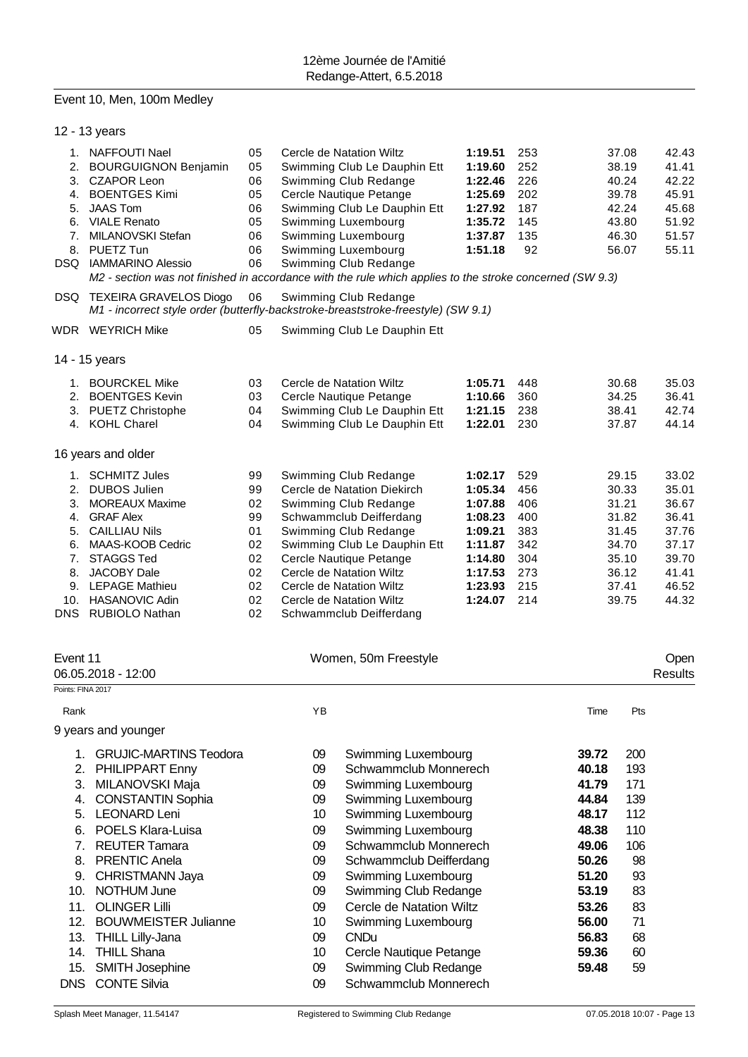### Event 10, Men, 100m Medley

| 12 - 13 years                                                                                                                                                                                                                                                                                                                                                         |                                                                |                                                                                        |                                                                                                                                                                                                                                                                                                                                       |                                                                                                                                                                                                                                                                                                                                                                                                                                                                                                                                        |                                                                                                                                                                                                                                                                                                                                                                                                                                                                              |                                                                                                                                     |                                                                                               |                                                                                                                                                                                                                                                                                                                       |
|-----------------------------------------------------------------------------------------------------------------------------------------------------------------------------------------------------------------------------------------------------------------------------------------------------------------------------------------------------------------------|----------------------------------------------------------------|----------------------------------------------------------------------------------------|---------------------------------------------------------------------------------------------------------------------------------------------------------------------------------------------------------------------------------------------------------------------------------------------------------------------------------------|----------------------------------------------------------------------------------------------------------------------------------------------------------------------------------------------------------------------------------------------------------------------------------------------------------------------------------------------------------------------------------------------------------------------------------------------------------------------------------------------------------------------------------------|------------------------------------------------------------------------------------------------------------------------------------------------------------------------------------------------------------------------------------------------------------------------------------------------------------------------------------------------------------------------------------------------------------------------------------------------------------------------------|-------------------------------------------------------------------------------------------------------------------------------------|-----------------------------------------------------------------------------------------------|-----------------------------------------------------------------------------------------------------------------------------------------------------------------------------------------------------------------------------------------------------------------------------------------------------------------------|
| 1. NAFFOUTI Nael<br><b>BOURGUIGNON Benjamin</b><br>3. CZAPOR Leon<br>4. BOENTGES Kimi<br><b>JAAS Tom</b><br>6. VIALE Renato<br>MILANOVSKI Stefan<br>8. PUETZ Tun<br>DSQ IAMMARINO Alessio                                                                                                                                                                             | 05<br>05<br>06<br>05<br>06<br>05<br>06<br>06<br>06             |                                                                                        | 1:19.60<br>1:22.46<br>1:25.69<br>1:27.92<br>1:35.72<br>1:37.87<br>1:51.18                                                                                                                                                                                                                                                             |                                                                                                                                                                                                                                                                                                                                                                                                                                                                                                                                        |                                                                                                                                                                                                                                                                                                                                                                                                                                                                              |                                                                                                                                     |                                                                                               | 42.43<br>41.41<br>42.22<br>45.91<br>45.68<br>51.92<br>51.57<br>55.11                                                                                                                                                                                                                                                  |
| DSQ TEXEIRA GRAVELOS Diogo                                                                                                                                                                                                                                                                                                                                            | 06                                                             |                                                                                        |                                                                                                                                                                                                                                                                                                                                       |                                                                                                                                                                                                                                                                                                                                                                                                                                                                                                                                        |                                                                                                                                                                                                                                                                                                                                                                                                                                                                              |                                                                                                                                     |                                                                                               |                                                                                                                                                                                                                                                                                                                       |
| WDR WEYRICH Mike                                                                                                                                                                                                                                                                                                                                                      | 05                                                             |                                                                                        |                                                                                                                                                                                                                                                                                                                                       |                                                                                                                                                                                                                                                                                                                                                                                                                                                                                                                                        |                                                                                                                                                                                                                                                                                                                                                                                                                                                                              |                                                                                                                                     |                                                                                               |                                                                                                                                                                                                                                                                                                                       |
| 14 - 15 years                                                                                                                                                                                                                                                                                                                                                         |                                                                |                                                                                        |                                                                                                                                                                                                                                                                                                                                       |                                                                                                                                                                                                                                                                                                                                                                                                                                                                                                                                        |                                                                                                                                                                                                                                                                                                                                                                                                                                                                              |                                                                                                                                     |                                                                                               |                                                                                                                                                                                                                                                                                                                       |
| 1. BOURCKEL Mike<br>2.<br><b>BOENTGES Kevin</b><br>3. PUETZ Christophe<br>4. KOHL Charel                                                                                                                                                                                                                                                                              | 03<br>03<br>04<br>04                                           |                                                                                        |                                                                                                                                                                                                                                                                                                                                       | 1:05.71<br>1:10.66<br>1:21.15<br>1:22.01                                                                                                                                                                                                                                                                                                                                                                                                                                                                                               | 448<br>360<br>238<br>230                                                                                                                                                                                                                                                                                                                                                                                                                                                     |                                                                                                                                     |                                                                                               | 35.03<br>36.41<br>42.74<br>44.14                                                                                                                                                                                                                                                                                      |
| 16 years and older                                                                                                                                                                                                                                                                                                                                                    |                                                                |                                                                                        |                                                                                                                                                                                                                                                                                                                                       |                                                                                                                                                                                                                                                                                                                                                                                                                                                                                                                                        |                                                                                                                                                                                                                                                                                                                                                                                                                                                                              |                                                                                                                                     |                                                                                               |                                                                                                                                                                                                                                                                                                                       |
| 1. SCHMITZ Jules<br>2. DUBOS Julien<br>3. MOREAUX Maxime<br><b>GRAF Alex</b><br><b>CAILLIAU Nils</b><br>5.<br>6. MAAS-KOOB Cedric<br><b>STAGGS Ted</b><br><b>JACOBY Dale</b><br>9. LEPAGE Mathieu<br>10. HASANOVIC Adin<br>DNS<br><b>RUBIOLO Nathan</b>                                                                                                               | 99<br>99<br>02<br>99<br>01<br>02<br>02<br>02<br>02<br>02<br>02 |                                                                                        | Swimming Club Redange<br>1:02.17<br>Cercle de Natation Diekirch<br>1:05.34<br>Swimming Club Redange<br>1:07.88<br>Schwammclub Deifferdang<br>1:08.23<br>Swimming Club Redange<br>1:09.21<br>Swimming Club Le Dauphin Ett<br>1:11.87<br>Cercle Nautique Petange<br>1:14.80<br>1:17.53<br>1:23.93<br>1:24.07<br>Schwammclub Deifferdang |                                                                                                                                                                                                                                                                                                                                                                                                                                                                                                                                        |                                                                                                                                                                                                                                                                                                                                                                                                                                                                              |                                                                                                                                     |                                                                                               | 33.02<br>35.01<br>36.67<br>36.41<br>37.76<br>37.17<br>39.70<br>41.41<br>46.52<br>44.32                                                                                                                                                                                                                                |
| Event 11<br>06.05.2018 - 12:00                                                                                                                                                                                                                                                                                                                                        |                                                                |                                                                                        |                                                                                                                                                                                                                                                                                                                                       |                                                                                                                                                                                                                                                                                                                                                                                                                                                                                                                                        |                                                                                                                                                                                                                                                                                                                                                                                                                                                                              |                                                                                                                                     |                                                                                               | Open<br><b>Results</b>                                                                                                                                                                                                                                                                                                |
| Points: FINA 2017                                                                                                                                                                                                                                                                                                                                                     |                                                                |                                                                                        |                                                                                                                                                                                                                                                                                                                                       |                                                                                                                                                                                                                                                                                                                                                                                                                                                                                                                                        |                                                                                                                                                                                                                                                                                                                                                                                                                                                                              |                                                                                                                                     |                                                                                               |                                                                                                                                                                                                                                                                                                                       |
|                                                                                                                                                                                                                                                                                                                                                                       |                                                                |                                                                                        |                                                                                                                                                                                                                                                                                                                                       |                                                                                                                                                                                                                                                                                                                                                                                                                                                                                                                                        |                                                                                                                                                                                                                                                                                                                                                                                                                                                                              |                                                                                                                                     |                                                                                               |                                                                                                                                                                                                                                                                                                                       |
| PHILIPPART Enny<br>MILANOVSKI Maja<br><b>CONSTANTIN Sophia</b><br><b>LEONARD Leni</b><br><b>POELS Klara-Luisa</b><br>7.<br><b>REUTER Tamara</b><br><b>PRENTIC Anela</b><br>8.<br>9.<br>CHRISTMANN Jaya<br>NOTHUM June<br>10.<br><b>OLINGER Lilli</b><br>11.<br><b>BOUWMEISTER Julianne</b><br><b>THILL Lilly-Jana</b><br><b>THILL Shana</b><br>14.<br>SMITH Josephine |                                                                | 09<br>09<br>09<br>09<br>10<br>09<br>09<br>09<br>09<br>09<br>09<br>10<br>09<br>10<br>09 | <b>CNDu</b>                                                                                                                                                                                                                                                                                                                           |                                                                                                                                                                                                                                                                                                                                                                                                                                                                                                                                        |                                                                                                                                                                                                                                                                                                                                                                                                                                                                              | 39.72<br>40.18<br>41.79<br>44.84<br>48.17<br>48.38<br>49.06<br>50.26<br>51.20<br>53.19<br>53.26<br>56.00<br>56.83<br>59.36<br>59.48 | 200<br>193<br>171<br>139<br>112<br>110<br>106<br>98<br>93<br>83<br>83<br>71<br>68<br>60<br>59 |                                                                                                                                                                                                                                                                                                                       |
|                                                                                                                                                                                                                                                                                                                                                                       | 9 years and younger<br><b>CONTE Silvia</b><br><b>DNS</b>       | <b>GRUJIC-MARTINS Teodora</b>                                                          | YB<br>09                                                                                                                                                                                                                                                                                                                              | Cercle de Natation Wiltz<br>Swimming Club Le Dauphin Ett<br>Swimming Club Redange<br>Cercle Nautique Petange<br>Swimming Club Le Dauphin Ett<br>Swimming Luxembourg<br>Swimming Luxembourg<br>Swimming Luxembourg<br>Swimming Club Redange<br>Swimming Club Redange<br>Swimming Club Le Dauphin Ett<br>Cercle de Natation Wiltz<br>Cercle Nautique Petange<br>Swimming Club Le Dauphin Ett<br>Swimming Club Le Dauphin Ett<br>Cercle de Natation Wiltz<br>Cercle de Natation Wiltz<br>Cercle de Natation Wiltz<br>Women, 50m Freestyle | 1:19.51<br>M1 - incorrect style order (butterfly-backstroke-breaststroke-freestyle) (SW 9.1)<br>Swimming Luxembourg<br>Schwammclub Monnerech<br>Swimming Luxembourg<br>Swimming Luxembourg<br>Swimming Luxembourg<br>Swimming Luxembourg<br>Schwammclub Monnerech<br>Schwammclub Deifferdang<br>Swimming Luxembourg<br>Swimming Club Redange<br>Cercle de Natation Wiltz<br>Swimming Luxembourg<br>Cercle Nautique Petange<br>Swimming Club Redange<br>Schwammclub Monnerech | 253<br>252<br>226<br>202<br>187<br>145<br>135<br>92<br>529<br>456<br>406<br>400<br>383<br>342<br>304<br>273<br>215<br>214           | Time                                                                                          | 37.08<br>38.19<br>40.24<br>39.78<br>42.24<br>43.80<br>46.30<br>56.07<br>M2 - section was not finished in accordance with the rule which applies to the stroke concerned (SW 9.3)<br>30.68<br>34.25<br>38.41<br>37.87<br>29.15<br>30.33<br>31.21<br>31.82<br>31.45<br>34.70<br>35.10<br>36.12<br>37.41<br>39.75<br>Pts |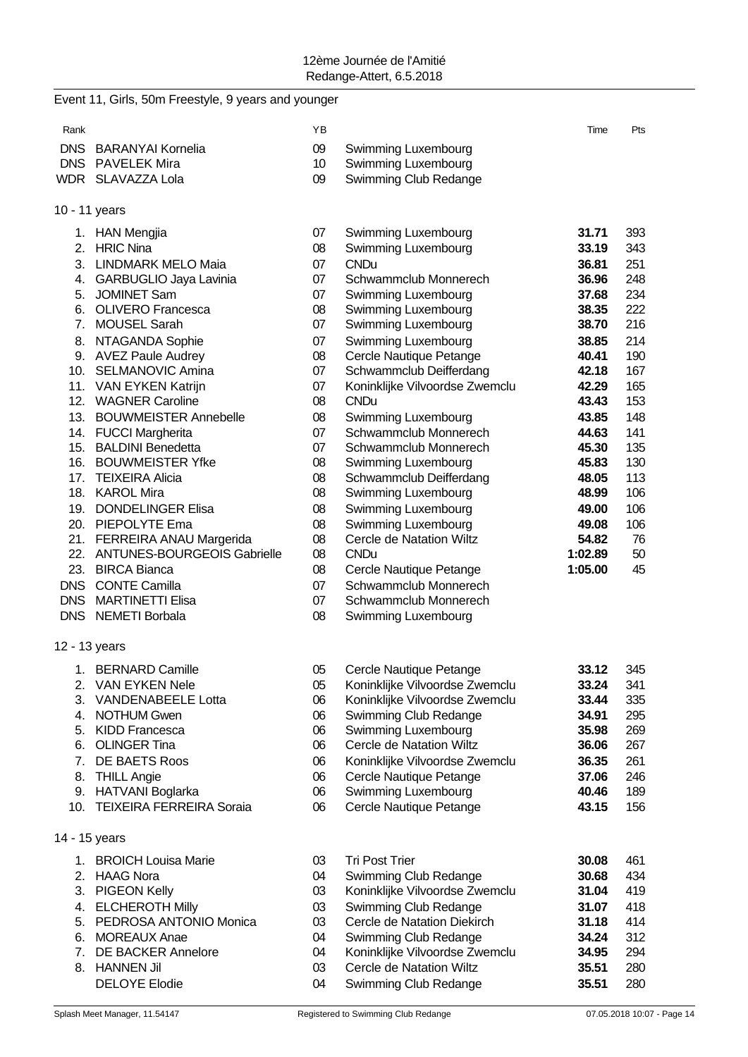| Rank          |                                                                | YB       |                                                 | Time             | Pts      |
|---------------|----------------------------------------------------------------|----------|-------------------------------------------------|------------------|----------|
|               | DNS BARANYAI Kornelia                                          | 09       | Swimming Luxembourg                             |                  |          |
|               | DNS PAVELEK Mira                                               | 10       | Swimming Luxembourg                             |                  |          |
|               | WDR SLAVAZZA Lola                                              | 09       | Swimming Club Redange                           |                  |          |
|               |                                                                |          |                                                 |                  |          |
| 10 - 11 years |                                                                |          |                                                 |                  |          |
|               | 1. HAN Mengjia                                                 | 07       | Swimming Luxembourg                             | 31.71            | 393      |
|               | 2. HRIC Nina                                                   | 08       | Swimming Luxembourg                             | 33.19            | 343      |
|               | 3. LINDMARK MELO Maia                                          | 07       | <b>CNDu</b>                                     | 36.81            | 251      |
|               | 4. GARBUGLIO Jaya Lavinia                                      | 07       | Schwammclub Monnerech                           | 36.96            | 248      |
|               | 5. JOMINET Sam                                                 | 07       | Swimming Luxembourg                             | 37.68            | 234      |
|               | 6. OLIVERO Francesca                                           | 08       | Swimming Luxembourg                             | 38.35            | 222      |
|               | 7. MOUSEL Sarah                                                | 07       | Swimming Luxembourg                             | 38.70            | 216      |
|               | 8. NTAGANDA Sophie                                             | 07       | Swimming Luxembourg                             | 38.85            | 214      |
|               | 9. AVEZ Paule Audrey                                           | 08       | Cercle Nautique Petange                         | 40.41            | 190      |
|               | 10. SELMANOVIC Amina                                           | 07       | Schwammclub Deifferdang                         | 42.18            | 167      |
|               | 11. VAN EYKEN Katrijn                                          | 07       | Koninklijke Vilvoordse Zwemclu                  | 42.29            | 165      |
|               | 12. WAGNER Caroline                                            | 08       | <b>CNDu</b>                                     | 43.43            | 153      |
|               | 13. BOUWMEISTER Annebelle                                      | 08       | Swimming Luxembourg                             | 43.85            | 148      |
|               | 14. FUCCI Margherita                                           | 07       | Schwammclub Monnerech                           | 44.63            | 141      |
|               | 15. BALDINI Benedetta                                          | 07       | Schwammclub Monnerech                           | 45.30            | 135      |
|               | 16. BOUWMEISTER Yfke                                           | 08       | Swimming Luxembourg                             | 45.83            | 130      |
| 17.           | <b>TEIXEIRA Alicia</b>                                         | 08       | Schwammclub Deifferdang                         | 48.05            | 113      |
|               | 18. KAROL Mira                                                 | 08       | Swimming Luxembourg                             | 48.99            | 106      |
|               | 19. DONDELINGER Elisa                                          | 08       | Swimming Luxembourg                             | 49.00            | 106      |
|               | 20. PIEPOLYTE Ema                                              | 08       | Swimming Luxembourg<br>Cercle de Natation Wiltz | 49.08            | 106      |
|               | 21. FERREIRA ANAU Margerida<br>22. ANTUNES-BOURGEOIS Gabrielle | 08<br>08 | <b>CNDu</b>                                     | 54.82<br>1:02.89 | 76<br>50 |
|               | 23. BIRCA Bianca                                               | 08       | Cercle Nautique Petange                         | 1:05.00          | 45       |
|               | DNS CONTE Camilla                                              | 07       | Schwammclub Monnerech                           |                  |          |
|               | DNS MARTINETTI Elisa                                           | 07       | Schwammclub Monnerech                           |                  |          |
|               | DNS NEMETI Borbala                                             | 08       | Swimming Luxembourg                             |                  |          |
|               |                                                                |          |                                                 |                  |          |
| 12 - 13 years |                                                                |          |                                                 |                  |          |
|               | 1. BERNARD Camille                                             | 05       | Cercle Nautique Petange                         | 33.12            | 345      |
|               | 2. VAN EYKEN Nele                                              | 05       | Koninklijke Vilvoordse Zwemclu                  | 33.24            | 341      |
| 3.            | <b>VANDENABEELE Lotta</b>                                      | 06       | Koninklijke Vilvoordse Zwemclu                  | 33.44            | 335      |
|               | 4. NOTHUM Gwen                                                 | 06       | Swimming Club Redange                           | 34.91            | 295      |
|               | 5. KIDD Francesca                                              | 06       | Swimming Luxembourg                             | 35.98            | 269      |
| 6.            | <b>OLINGER Tina</b>                                            | 06       | Cercle de Natation Wiltz                        | 36.06            | 267      |
|               | 7. DE BAETS Roos                                               | 06       | Koninklijke Vilvoordse Zwemclu                  | 36.35            | 261      |
| 8.            | <b>THILL Angie</b>                                             | 06       | Cercle Nautique Petange                         | 37.06            | 246      |
|               | 9. HATVANI Boglarka                                            | 06       | Swimming Luxembourg                             | 40.46            | 189      |
| 10.           | <b>TEIXEIRA FERREIRA Soraia</b>                                | 06       | Cercle Nautique Petange                         | 43.15            | 156      |
| 14 - 15 years |                                                                |          |                                                 |                  |          |
|               | 1. BROICH Louisa Marie                                         | 03       | <b>Tri Post Trier</b>                           |                  | 461      |
| 2.            | <b>HAAG Nora</b>                                               | 04       | Swimming Club Redange                           | 30.08<br>30.68   | 434      |
| 3.            | <b>PIGEON Kelly</b>                                            | 03       | Koninklijke Vilvoordse Zwemclu                  | 31.04            | 419      |
| 4.            | <b>ELCHEROTH Milly</b>                                         | 03       | Swimming Club Redange                           | 31.07            | 418      |
| 5.            | PEDROSA ANTONIO Monica                                         | 03       | Cercle de Natation Diekirch                     | 31.18            | 414      |
| 6.            | <b>MOREAUX Anae</b>                                            | 04       | Swimming Club Redange                           | 34.24            | 312      |
| 7.            | <b>DE BACKER Annelore</b>                                      | 04       | Koninklijke Vilvoordse Zwemclu                  | 34.95            | 294      |
| 8.            | <b>HANNEN Jil</b>                                              | 03       | Cercle de Natation Wiltz                        | 35.51            | 280      |
|               | <b>DELOYE Elodie</b>                                           | 04       | Swimming Club Redange                           | 35.51            | 280      |
|               |                                                                |          |                                                 |                  |          |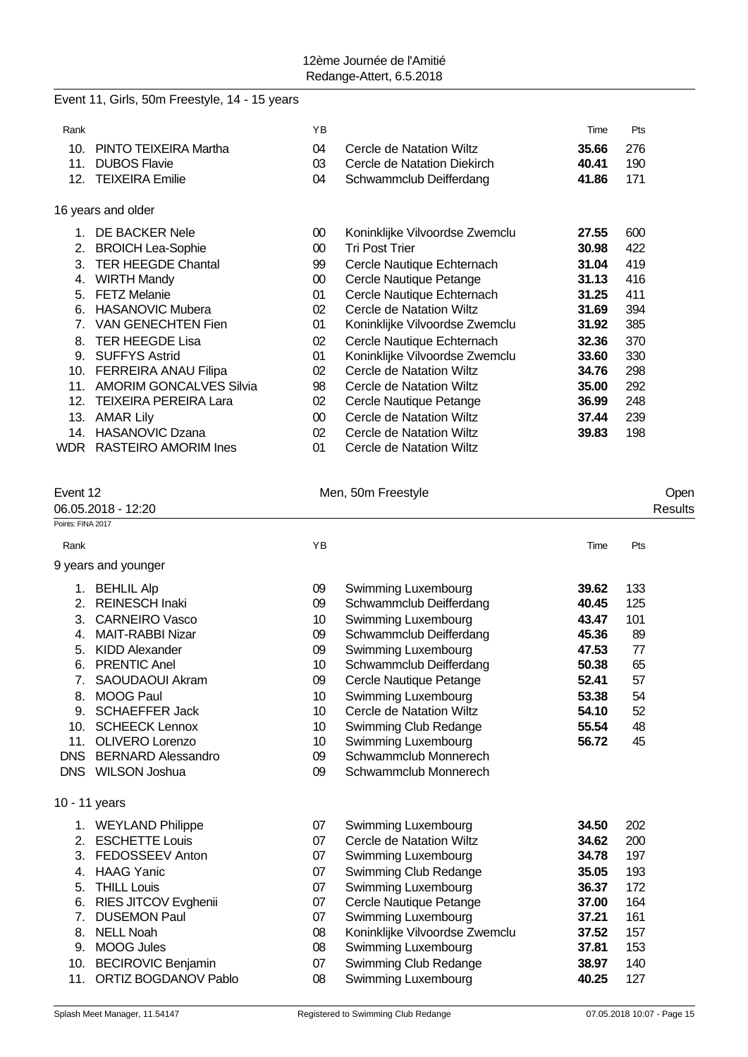#### Event 11, Girls, 50m Freestyle, 14 - 15 years

| Rank |                                | ΥB              |                                | Time  | Pts |
|------|--------------------------------|-----------------|--------------------------------|-------|-----|
| 10.  | PINTO TEIXEIRA Martha          | 04              | Cercle de Natation Wiltz       | 35.66 | 276 |
| 11.  | <b>DUBOS Flavie</b>            | 03              | Cercle de Natation Diekirch    | 40.41 | 190 |
| 12.  | <b>TEIXEIRA Emilie</b>         | 04              | Schwammclub Deifferdang        | 41.86 | 171 |
|      | 16 years and older             |                 |                                |       |     |
| 1.   | DE BACKER Nele                 | 00              | Koninklijke Vilvoordse Zwemclu | 27.55 | 600 |
| 2.   | <b>BROICH Lea-Sophie</b>       | 00              | Tri Post Trier                 | 30.98 | 422 |
| 3.   | <b>TER HEEGDE Chantal</b>      | 99              | Cercle Nautique Echternach     | 31.04 | 419 |
| 4.   | <b>WIRTH Mandy</b>             | 00              | Cercle Nautique Petange        | 31.13 | 416 |
| 5.   | <b>FETZ Melanie</b>            | 01              | Cercle Nautique Echternach     | 31.25 | 411 |
| 6.   | <b>HASANOVIC Mubera</b>        | 02              | Cercle de Natation Wiltz       | 31.69 | 394 |
| 7.   | <b>VAN GENECHTEN Fien</b>      | 01              | Koninklijke Vilvoordse Zwemclu | 31.92 | 385 |
| 8.   | <b>TER HEEGDE Lisa</b>         | 02              | Cercle Nautique Echternach     | 32.36 | 370 |
| 9.   | <b>SUFFYS Astrid</b>           | 01              | Koninklijke Vilvoordse Zwemclu | 33.60 | 330 |
| 10.  | <b>FERREIRA ANAU Filipa</b>    | 02              | Cercle de Natation Wiltz       | 34.76 | 298 |
| 11.  | <b>AMORIM GONCALVES Silvia</b> | 98              | Cercle de Natation Wiltz       | 35.00 | 292 |
| 12.  | <b>TEIXEIRA PEREIRA Lara</b>   | 02              | Cercle Nautique Petange        | 36.99 | 248 |
| 13.  | <b>AMAR Lily</b>               | 00 <sup>°</sup> | Cercle de Natation Wiltz       | 37.44 | 239 |
| 14.  | <b>HASANOVIC Dzana</b>         | 02              | Cercle de Natation Wiltz       | 39.83 | 198 |
| WDR  | <b>RASTEIRO AMORIM Ines</b>    | 01              | Cercle de Natation Wiltz       |       |     |

#### Event 12 Communication of the Men, 50m Freestyle Communication of the Open

06.05.2018 - 12:20 Results Points: FINA 2017 Rank **Rank Time Pts Proposed and Proposed Area** Time Pts and Proposed and Proposed and Proposed and Proposed and Proposed and Proposed and Proposed and Proposed and Proposed and Proposed and Proposed and Proposed and Pro 9 years and younger 1. BEHLIL Alp 09 Swimming Luxembourg **39.62** 133 2. REINESCH Inaki 09 Schwammclub Deifferdang **40.45** 125 3. CARNEIRO Vasco 10 Swimming Luxembourg **43.47** 101 4. MAIT-RABBI Nizar 09 Schwammclub Deifferdang **45.36** 89

- 5. KIDD Alexander 09 Swimming Luxembourg **47.53** 77
- 6. PRENTIC Anel 10 Schwammclub Deifferdang **50.38** 65
- 7. SAOUDAOUI Akram 09 Cercle Nautique Petange **52.41** 57 8. MOOG Paul 10 Swimming Luxembourg **53.38** 54
- 
- 9. SCHAEFFER Jack 10 Cercle de Natation Wiltz **54.10** 52
- 10. SCHEECK Lennox 10 Swimming Club Redange **55.54** 48
- 11. OLIVERO Lorenzo 10 Swimming Luxembourg **56.72** 45
- DNS BERNARD Alessandro 09 Schwammclub Monnerech
- DNS WILSON Joshua 09 Schwammclub Monnerech
- 10 11 years

|    | 1. WEYLAND Philippe      | 07 | Swimming Luxembourg            | 34.50 | 202 |
|----|--------------------------|----|--------------------------------|-------|-----|
|    | 2. ESCHETTE Louis        | 07 | Cercle de Natation Wiltz       | 34.62 | 200 |
|    | 3. FEDOSSEEV Anton       | 07 | Swimming Luxembourg            | 34.78 | 197 |
|    | 4. HAAG Yanic            | 07 | Swimming Club Redange          | 35.05 | 193 |
|    | 5. THILL Louis           | 07 | Swimming Luxembourg            | 36.37 | 172 |
|    | 6. RIES JITCOV Evghenii  | 07 | Cercle Nautique Petange        | 37.00 | 164 |
| 7. | <b>DUSEMON Paul</b>      | 07 | Swimming Luxembourg            | 37.21 | 161 |
| 8. | <b>NELL Noah</b>         | 08 | Koninklijke Vilvoordse Zwemclu | 37.52 | 157 |
|    | 9. MOOG Jules            | 08 | Swimming Luxembourg            | 37.81 | 153 |
|    | 10. BECIROVIC Benjamin   | 07 | Swimming Club Redange          | 38.97 | 140 |
|    | 11. ORTIZ BOGDANOV Pablo | 08 | Swimming Luxembourg            | 40.25 | 127 |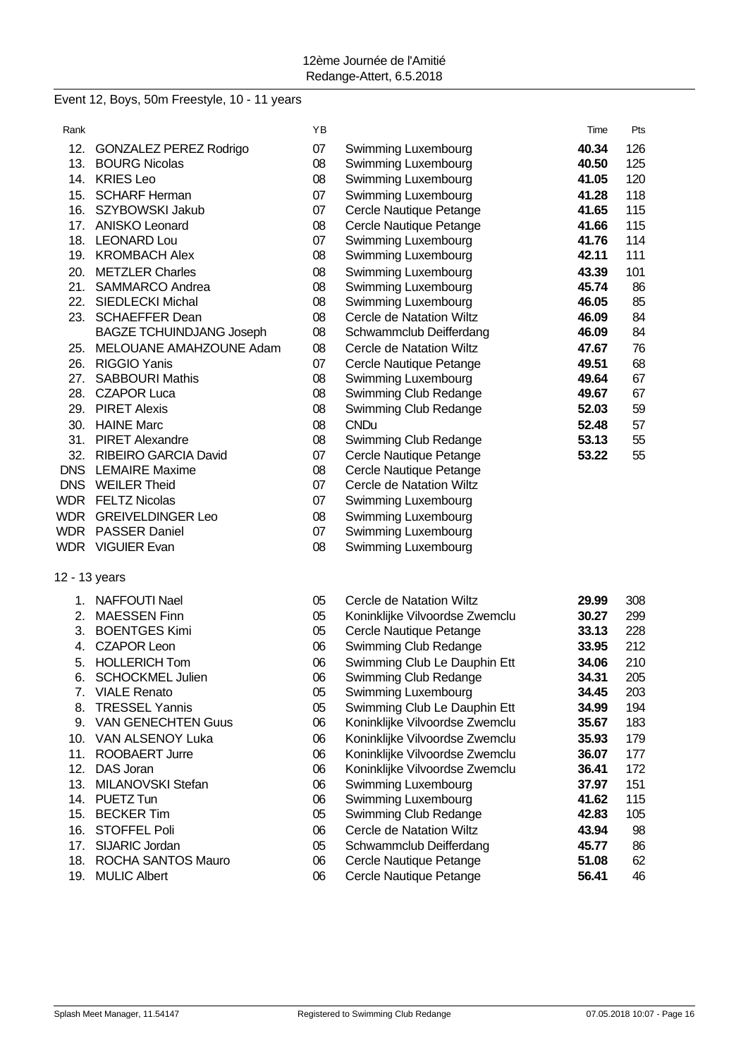# Event 12, Boys, 50m Freestyle, 10 - 11 years

| Rank |                                 | YB |                                 | Time  | Pts |
|------|---------------------------------|----|---------------------------------|-------|-----|
| 12.  | <b>GONZALEZ PEREZ Rodrigo</b>   | 07 | Swimming Luxembourg             | 40.34 | 126 |
| 13.  | <b>BOURG Nicolas</b>            | 08 | Swimming Luxembourg             | 40.50 | 125 |
|      | 14. KRIES Leo                   | 08 | Swimming Luxembourg             | 41.05 | 120 |
|      | 15. SCHARF Herman               | 07 | Swimming Luxembourg             | 41.28 | 118 |
| 16.  | SZYBOWSKI Jakub                 | 07 | Cercle Nautique Petange         | 41.65 | 115 |
|      | 17. ANISKO Leonard              | 08 | Cercle Nautique Petange         | 41.66 | 115 |
|      | 18. LEONARD Lou                 | 07 | Swimming Luxembourg             | 41.76 | 114 |
|      | 19. KROMBACH Alex               | 08 | Swimming Luxembourg             | 42.11 | 111 |
| 20.  | <b>METZLER Charles</b>          | 08 | Swimming Luxembourg             | 43.39 | 101 |
| 21.  | SAMMARCO Andrea                 | 08 | Swimming Luxembourg             | 45.74 | 86  |
| 22.  | <b>SIEDLECKI Michal</b>         | 08 | Swimming Luxembourg             | 46.05 | 85  |
| 23.  | <b>SCHAEFFER Dean</b>           | 08 | <b>Cercle de Natation Wiltz</b> | 46.09 | 84  |
|      | <b>BAGZE TCHUINDJANG Joseph</b> | 08 | Schwammclub Deifferdang         | 46.09 | 84  |
| 25.  | MELOUANE AMAHZOUNE Adam         | 08 | <b>Cercle de Natation Wiltz</b> | 47.67 | 76  |
| 26.  | <b>RIGGIO Yanis</b>             | 07 | Cercle Nautique Petange         | 49.51 | 68  |
| 27.  | <b>SABBOURI Mathis</b>          | 08 | Swimming Luxembourg             | 49.64 | 67  |
| 28.  | <b>CZAPOR Luca</b>              | 08 | Swimming Club Redange           | 49.67 | 67  |
|      | 29. PIRET Alexis                | 08 | Swimming Club Redange           | 52.03 | 59  |
|      | 30. HAINE Marc                  | 08 | <b>CNDu</b>                     | 52.48 | 57  |
|      | 31. PIRET Alexandre             | 08 | Swimming Club Redange           | 53.13 | 55  |
|      | 32. RIBEIRO GARCIA David        | 07 | Cercle Nautique Petange         | 53.22 | 55  |
|      | <b>DNS</b> LEMAIRE Maxime       | 08 | Cercle Nautique Petange         |       |     |
|      | DNS WEILER Theid                | 07 | Cercle de Natation Wiltz        |       |     |
|      | <b>WDR FELTZ Nicolas</b>        | 07 | Swimming Luxembourg             |       |     |
|      | <b>WDR</b> GREIVELDINGER Leo    | 08 | Swimming Luxembourg             |       |     |
|      | WDR PASSER Daniel               | 07 | Swimming Luxembourg             |       |     |
|      | WDR VIGUIER Evan                | 08 | Swimming Luxembourg             |       |     |
|      | 12 - 13 years                   |    |                                 |       |     |
|      | 1. NAFFOUTI Nael                | 05 | Cercle de Natation Wiltz        | 29.99 | 308 |
| 2.   | <b>MAESSEN Finn</b>             | 05 | Koninklijke Vilvoordse Zwemclu  | 30.27 | 299 |
| 3.   | <b>BOENTGES Kimi</b>            | 05 | Cercle Nautique Petange         | 33.13 | 228 |
| 4.   | <b>CZAPOR Leon</b>              | 06 | Swimming Club Redange           | 33.95 | 212 |
| 5.   | <b>HOLLERICH Tom</b>            | 06 | Swimming Club Le Dauphin Ett    | 34.06 | 210 |
| 6.   | SCHOCKMEL Julien                | 06 | Swimming Club Redange           | 34.31 | 205 |
| 7.   | <b>VIALE Renato</b>             | 05 | Swimming Luxembourg             | 34.45 | 203 |
| 8.   | <b>TRESSEL Yannis</b>           | 05 | Swimming Club Le Dauphin Ett    | 34.99 | 194 |
| 9.   | <b>VAN GENECHTEN Guus</b>       | 06 | Koninklijke Vilvoordse Zwemclu  | 35.67 | 183 |
| 10.  | VAN ALSENOY Luka                | 06 | Koninklijke Vilvoordse Zwemclu  | 35.93 | 179 |
| 11.  | ROOBAERT Jurre                  | 06 | Koninklijke Vilvoordse Zwemclu  | 36.07 | 177 |
| 12.  | DAS Joran                       | 06 | Koninklijke Vilvoordse Zwemclu  | 36.41 | 172 |
| 13.  | MILANOVSKI Stefan               | 06 | Swimming Luxembourg             | 37.97 | 151 |
| 14.  | PUETZ Tun                       | 06 | Swimming Luxembourg             | 41.62 | 115 |
| 15.  | <b>BECKER Tim</b>               | 05 | Swimming Club Redange           | 42.83 | 105 |
| 16.  | <b>STOFFEL Poli</b>             | 06 | <b>Cercle de Natation Wiltz</b> | 43.94 | 98  |
| 17.  | SIJARIC Jordan                  | 05 | Schwammclub Deifferdang         | 45.77 | 86  |
| 18.  | ROCHA SANTOS Mauro              | 06 | Cercle Nautique Petange         | 51.08 | 62  |
| 19.  | <b>MULIC Albert</b>             | 06 | Cercle Nautique Petange         | 56.41 | 46  |
|      |                                 |    |                                 |       |     |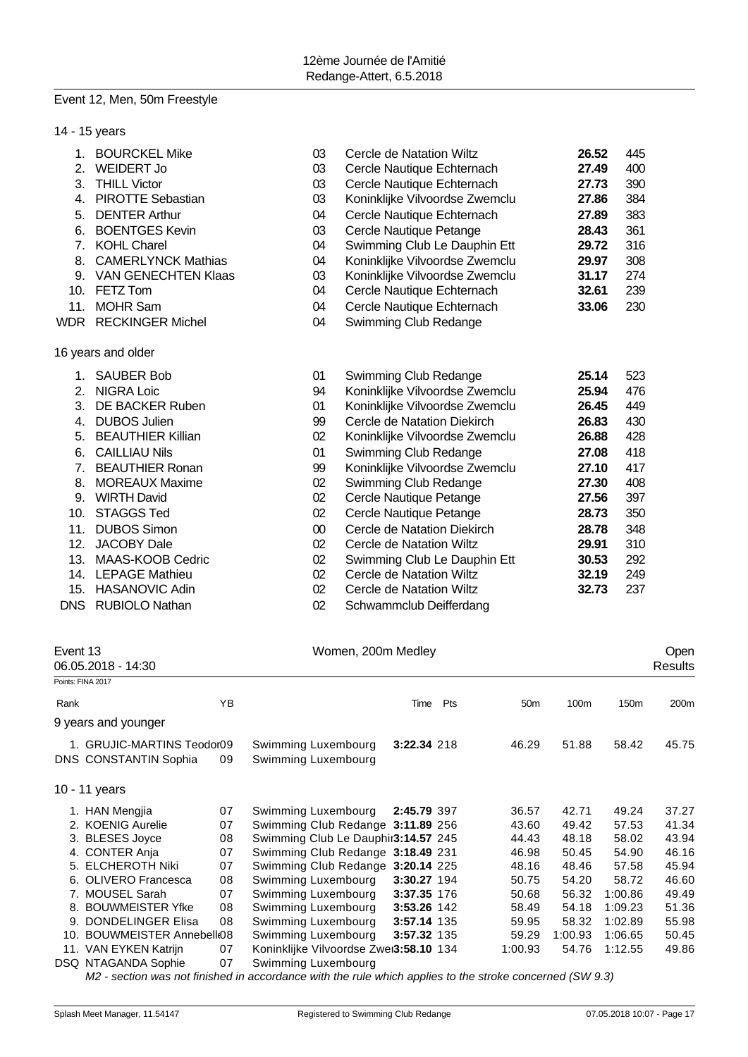#### Event 12, Men, 50m Freestyle

| 14 - 15 years |                            |        |                                |       |     |
|---------------|----------------------------|--------|--------------------------------|-------|-----|
| 1.            | <b>BOURCKEL Mike</b>       | 03     | Cercle de Natation Wiltz       | 26.52 | 445 |
| 2.            | WEIDERT Jo                 | 03     | Cercle Nautique Echternach     | 27.49 | 400 |
| 3.            | <b>THILL Victor</b>        | 03     | Cercle Nautique Echternach     | 27.73 | 390 |
| 4.            | <b>PIROTTE Sebastian</b>   | 03     | Koninklijke Vilvoordse Zwemclu | 27.86 | 384 |
| 5.            | <b>DENTER Arthur</b>       | 04     | Cercle Nautique Echternach     | 27.89 | 383 |
| 6.            | <b>BOENTGES Kevin</b>      | 03     | Cercle Nautique Petange        | 28.43 | 361 |
|               | 7. KOHL Charel             | 04     | Swimming Club Le Dauphin Ett   | 29.72 | 316 |
| 8.            | <b>CAMERLYNCK Mathias</b>  | 04     | Koninklijke Vilvoordse Zwemclu | 29.97 | 308 |
| 9.            | <b>VAN GENECHTEN Klaas</b> | 03     | Koninklijke Vilvoordse Zwemclu | 31.17 | 274 |
| 10.           | FETZ Tom                   | 04     | Cercle Nautique Echternach     | 32.61 | 239 |
| 11.           | <b>MOHR Sam</b>            | 04     | Cercle Nautique Echternach     | 33.06 | 230 |
| <b>WDR</b>    | <b>RECKINGER Michel</b>    | 04     | Swimming Club Redange          |       |     |
|               | 16 years and older         |        |                                |       |     |
| 1.            | <b>SAUBER Bob</b>          | 01     | Swimming Club Redange          | 25.14 | 523 |
| 2.            | <b>NIGRA Loic</b>          | 94     | Koninklijke Vilvoordse Zwemclu | 25.94 | 476 |
| 3.            | DE BACKER Ruben            | 01     | Koninklijke Vilvoordse Zwemclu | 26.45 | 449 |
| 4.            | <b>DUBOS Julien</b>        | 99     | Cercle de Natation Diekirch    | 26.83 | 430 |
| 5.            | <b>BEAUTHIER Killian</b>   | 02     | Koninklijke Vilvoordse Zwemclu | 26.88 | 428 |
| 6.            | <b>CAILLIAU Nils</b>       | 01     | Swimming Club Redange          | 27.08 | 418 |
| 7.            | <b>BEAUTHIER Ronan</b>     | 99     | Koninklijke Vilvoordse Zwemclu | 27.10 | 417 |
| 8.            | <b>MOREAUX Maxime</b>      | 02     | Swimming Club Redange          | 27.30 | 408 |
| 9.            | <b>WIRTH David</b>         | 02     | Cercle Nautique Petange        | 27.56 | 397 |
| 10.           | <b>STAGGS Ted</b>          | 02     | Cercle Nautique Petange        | 28.73 | 350 |
| 11.           | <b>DUBOS Simon</b>         | $00\,$ | Cercle de Natation Diekirch    | 28.78 | 348 |
| 12.           | <b>JACOBY Dale</b>         | 02     | Cercle de Natation Wiltz       | 29.91 | 310 |
| 13.           | MAAS-KOOB Cedric           | 02     | Swimming Club Le Dauphin Ett   | 30.53 | 292 |
|               | 14. LEPAGE Mathieu         | 02     | Cercle de Natation Wiltz       | 32.19 | 249 |
| 15.           | HASANOVIC Adin             | 02     | Cercle de Natation Wiltz       | 32.73 | 237 |
| <b>DNS</b>    | <b>RUBIOLO Nathan</b>      | 02     | Schwammclub Deifferdang        |       |     |

| Event 13<br>06.05.2018 - 14:30 |                              |    | Women, 200m Medley                     |             |     |                 |         |                  |         |
|--------------------------------|------------------------------|----|----------------------------------------|-------------|-----|-----------------|---------|------------------|---------|
|                                | Points: FINA 2017            |    |                                        |             |     |                 |         |                  | Results |
|                                |                              |    |                                        |             |     |                 |         |                  |         |
| Rank                           |                              | YB |                                        | Time        | Pts | 50 <sub>m</sub> | 100m    | 150 <sub>m</sub> | 200m    |
|                                | 9 years and younger          |    |                                        |             |     |                 |         |                  |         |
|                                | 1. GRUJIC-MARTINS Teodor09   |    | Swimming Luxembourg                    | 3:22.34 218 |     | 46.29           | 51.88   | 58.42            | 45.75   |
|                                | <b>DNS CONSTANTIN Sophia</b> | 09 | Swimming Luxembourg                    |             |     |                 |         |                  |         |
|                                | 10 - 11 years                |    |                                        |             |     |                 |         |                  |         |
|                                | 1. HAN Mengjia               | 07 | Swimming Luxembourg                    | 2:45.79 397 |     | 36.57           | 42.71   | 49.24            | 37.27   |
|                                | 2. KOENIG Aurelie            | 07 | Swimming Club Redange 3:11.89 256      |             |     | 43.60           | 49.42   | 57.53            | 41.34   |
|                                | 3. BLESES Joyce              | 08 | Swimming Club Le Dauphir3:14.57 245    |             |     | 44.43           | 48.18   | 58.02            | 43.94   |
|                                | 4. CONTER Anja               | 07 | Swimming Club Redange 3:18.49 231      |             |     | 46.98           | 50.45   | 54.90            | 46.16   |
|                                | 5. ELCHEROTH Niki            | 07 | Swimming Club Redange 3:20.14 225      |             |     | 48.16           | 48.46   | 57.58            | 45.94   |
|                                | 6. OLIVERO Francesca         | 08 | Swimming Luxembourg                    | 3:30.27 194 |     | 50.75           | 54.20   | 58.72            | 46.60   |
|                                | 7. MOUSEL Sarah              | 07 | Swimming Luxembourg                    | 3:37.35 176 |     | 50.68           | 56.32   | 1:00.86          | 49.49   |
|                                | 8. BOUWMEISTER Yfke          | 08 | Swimming Luxembourg                    | 3:53.26 142 |     | 58.49           | 54.18   | 1:09.23          | 51.36   |
| 9.                             | <b>DONDELINGER Elisa</b>     | 08 | Swimming Luxembourg                    | 3:57.14 135 |     | 59.95           | 58.32   | 1:02.89          | 55.98   |
|                                | 10. BOUWMEISTER Annebell 08  |    | Swimming Luxembourg                    | 3:57.32 135 |     | 59.29           | 1:00.93 | 1:06.65          | 50.45   |
|                                | 11. VAN EYKEN Katrijn        | 07 | Koninklijke Vilvoordse Zwei3:58.10 134 |             |     | 1:00.93         | 54.76   | 1:12.55          | 49.86   |
|                                | <b>DSQ NTAGANDA Sophie</b>   | 07 | Swimming Luxembourg                    |             |     |                 |         |                  |         |

*M2 - section was not finished in accordance with the rule which applies to the stroke concerned (SW 9.3)*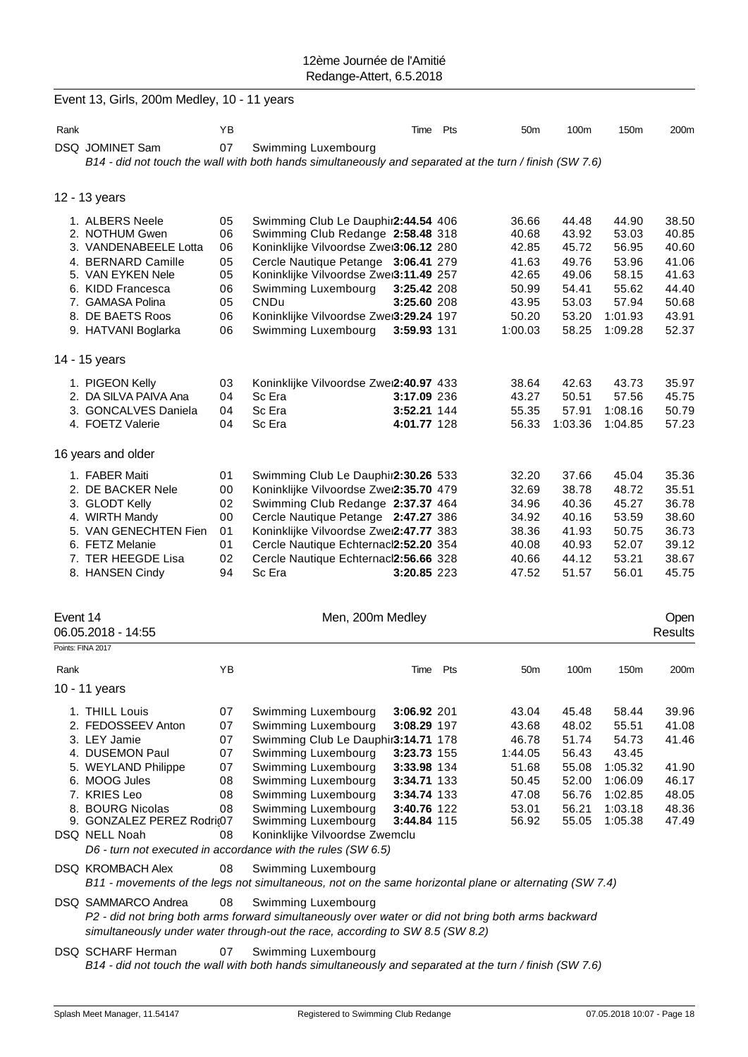|          | Event 13, Girls, 200m Medley, 10 - 11 years |    |                                                                                                                                |             |                 |         |         |         |
|----------|---------------------------------------------|----|--------------------------------------------------------------------------------------------------------------------------------|-------------|-----------------|---------|---------|---------|
| Rank     |                                             | ΥB |                                                                                                                                | Time Pts    | 50 <sub>m</sub> | 100m    | 150m    | 200m    |
|          | DSQ JOMINET Sam                             | 07 | Swimming Luxembourg                                                                                                            |             |                 |         |         |         |
|          |                                             |    | B14 - did not touch the wall with both hands simultaneously and separated at the turn / finish (SW 7.6)                        |             |                 |         |         |         |
|          |                                             |    |                                                                                                                                |             |                 |         |         |         |
|          | 12 - 13 years                               |    |                                                                                                                                |             |                 |         |         |         |
|          | 1. ALBERS Neele                             | 05 | Swimming Club Le Dauphir2:44.54 406                                                                                            |             | 36.66           | 44.48   | 44.90   | 38.50   |
|          | 2. NOTHUM Gwen                              | 06 | Swimming Club Redange 2:58.48 318                                                                                              |             | 40.68           | 43.92   | 53.03   | 40.85   |
|          | 3. VANDENABEELE Lotta                       | 06 | Koninklijke Vilvoordse Zwei3:06.12 280                                                                                         |             | 42.85           | 45.72   | 56.95   | 40.60   |
|          | 4. BERNARD Camille                          | 05 | Cercle Nautique Petange 3:06.41 279                                                                                            |             | 41.63           | 49.76   | 53.96   | 41.06   |
|          | 5. VAN EYKEN Nele                           | 05 | Koninklijke Vilvoordse Zwei3:11.49 257                                                                                         |             | 42.65           | 49.06   | 58.15   | 41.63   |
|          | 6. KIDD Francesca                           | 06 | Swimming Luxembourg                                                                                                            | 3:25.42 208 | 50.99           | 54.41   | 55.62   | 44.40   |
|          | 7. GAMASA Polina                            | 05 | CNDu                                                                                                                           | 3:25.60 208 | 43.95           | 53.03   | 57.94   | 50.68   |
|          | 8. DE BAETS Roos                            | 06 | Koninklijke Vilvoordse Zwei3:29.24 197                                                                                         |             | 50.20           | 53.20   | 1:01.93 | 43.91   |
|          | 9. HATVANI Boglarka                         | 06 | Swimming Luxembourg                                                                                                            | 3:59.93 131 | 1:00.03         | 58.25   | 1:09.28 | 52.37   |
|          | 14 - 15 years                               |    |                                                                                                                                |             |                 |         |         |         |
|          |                                             |    |                                                                                                                                |             |                 |         |         |         |
|          | 1. PIGEON Kelly                             | 03 | Koninklijke Vilvoordse Zwei2:40.97 433                                                                                         |             | 38.64           | 42.63   | 43.73   | 35.97   |
|          | 2. DA SILVA PAIVA Ana                       | 04 | Sc Era                                                                                                                         | 3:17.09 236 | 43.27           | 50.51   | 57.56   | 45.75   |
|          | 3. GONCALVES Daniela                        | 04 | Sc Era                                                                                                                         | 3:52.21 144 | 55.35           | 57.91   | 1:08.16 | 50.79   |
|          | 4. FOETZ Valerie                            | 04 | Sc Era                                                                                                                         | 4:01.77 128 | 56.33           | 1:03.36 | 1:04.85 | 57.23   |
|          | 16 years and older                          |    |                                                                                                                                |             |                 |         |         |         |
|          | 1. FABER Maiti                              | 01 | Swimming Club Le Dauphir2:30.26 533                                                                                            |             | 32.20           | 37.66   | 45.04   | 35.36   |
|          | 2. DE BACKER Nele                           | 00 | Koninklijke Vilvoordse Zwei2:35.70 479                                                                                         |             | 32.69           | 38.78   | 48.72   | 35.51   |
|          | 3. GLODT Kelly                              | 02 | Swimming Club Redange 2:37.37 464                                                                                              |             | 34.96           | 40.36   | 45.27   | 36.78   |
|          | 4. WIRTH Mandy                              | 00 | Cercle Nautique Petange 2:47.27 386                                                                                            |             | 34.92           | 40.16   | 53.59   | 38.60   |
|          | 5. VAN GENECHTEN Fien                       | 01 | Koninklijke Vilvoordse Zwei2:47.77 383                                                                                         |             | 38.36           | 41.93   | 50.75   | 36.73   |
|          | 6. FETZ Melanie                             | 01 | Cercle Nautique Echternacl2:52.20 354                                                                                          |             | 40.08           | 40.93   | 52.07   | 39.12   |
|          | 7. TER HEEGDE Lisa                          | 02 | Cercle Nautique Echternacl2:56.66 328                                                                                          |             | 40.66           | 44.12   | 53.21   | 38.67   |
|          | 8. HANSEN Cindy                             | 94 | Sc Era                                                                                                                         | 3:20.85 223 | 47.52           | 51.57   | 56.01   | 45.75   |
|          |                                             |    |                                                                                                                                |             |                 |         |         |         |
| Event 14 |                                             |    | Men, 200m Medley                                                                                                               |             |                 |         |         | Open    |
|          | 06.05.2018 - 14:55                          |    |                                                                                                                                |             |                 |         |         | Results |
|          |                                             |    |                                                                                                                                |             |                 |         |         |         |
|          | Points: FINA 2017                           |    |                                                                                                                                |             |                 |         |         |         |
| Rank     |                                             | ΥB |                                                                                                                                | Time Pts    | 50 <sub>m</sub> | 100m    | 150m    | 200m    |
|          | 10 - 11 years                               |    |                                                                                                                                |             |                 |         |         |         |
|          |                                             |    |                                                                                                                                |             |                 |         |         |         |
|          | 1. THILL Louis                              | 07 | Swimming Luxembourg                                                                                                            | 3:06.92 201 | 43.04           | 45.48   | 58.44   | 39.96   |
|          | 2. FEDOSSEEV Anton                          | 07 | Swimming Luxembourg                                                                                                            | 3:08.29 197 | 43.68           | 48.02   | 55.51   | 41.08   |
|          | 3. LEY Jamie                                | 07 | Swimming Club Le Dauphir3:14.71 178                                                                                            |             | 46.78           | 51.74   | 54.73   | 41.46   |
|          | 4. DUSEMON Paul                             | 07 | Swimming Luxembourg                                                                                                            | 3:23.73 155 | 1:44.05         | 56.43   | 43.45   |         |
|          | 5. WEYLAND Philippe                         | 07 | Swimming Luxembourg                                                                                                            | 3:33.98 134 | 51.68           | 55.08   | 1:05.32 | 41.90   |
|          | 6. MOOG Jules                               | 08 | Swimming Luxembourg                                                                                                            | 3:34.71 133 | 50.45           | 52.00   | 1:06.09 | 46.17   |
|          | 7. KRIES Leo                                | 08 | Swimming Luxembourg                                                                                                            | 3:34.74 133 | 47.08           | 56.76   | 1:02.85 | 48.05   |
|          | 8. BOURG Nicolas                            | 08 | Swimming Luxembourg                                                                                                            | 3:40.76 122 | 53.01           | 56.21   | 1:03.18 | 48.36   |
|          | 9. GONZALEZ PEREZ Rodri@7                   |    | Swimming Luxembourg                                                                                                            | 3:44.84 115 | 56.92           | 55.05   | 1:05.38 | 47.49   |
|          | DSQ NELL Noah                               | 08 | Koninklijke Vilvoordse Zwemclu                                                                                                 |             |                 |         |         |         |
|          |                                             |    | D6 - turn not executed in accordance with the rules (SW 6.5)                                                                   |             |                 |         |         |         |
|          | <b>DSQ KROMBACH Alex</b>                    | 08 | Swimming Luxembourg                                                                                                            |             |                 |         |         |         |
|          |                                             |    | B11 - movements of the legs not simultaneous, not on the same horizontal plane or alternating (SW 7.4)                         |             |                 |         |         |         |
|          | DSQ SAMMARCO Andrea                         | 08 | Swimming Luxembourg                                                                                                            |             |                 |         |         |         |
|          |                                             |    | P2 - did not bring both arms forward simultaneously over water or did not bring both arms backward                             |             |                 |         |         |         |
|          |                                             |    | simultaneously under water through-out the race, according to SW 8.5 (SW 8.2)                                                  |             |                 |         |         |         |
|          | <b>DSQ SCHARF Herman</b>                    | 07 | Swimming Luxembourg<br>B14 - did not touch the wall with both hands simultaneously and separated at the turn / finish (SW 7.6) |             |                 |         |         |         |
|          |                                             |    |                                                                                                                                |             |                 |         |         |         |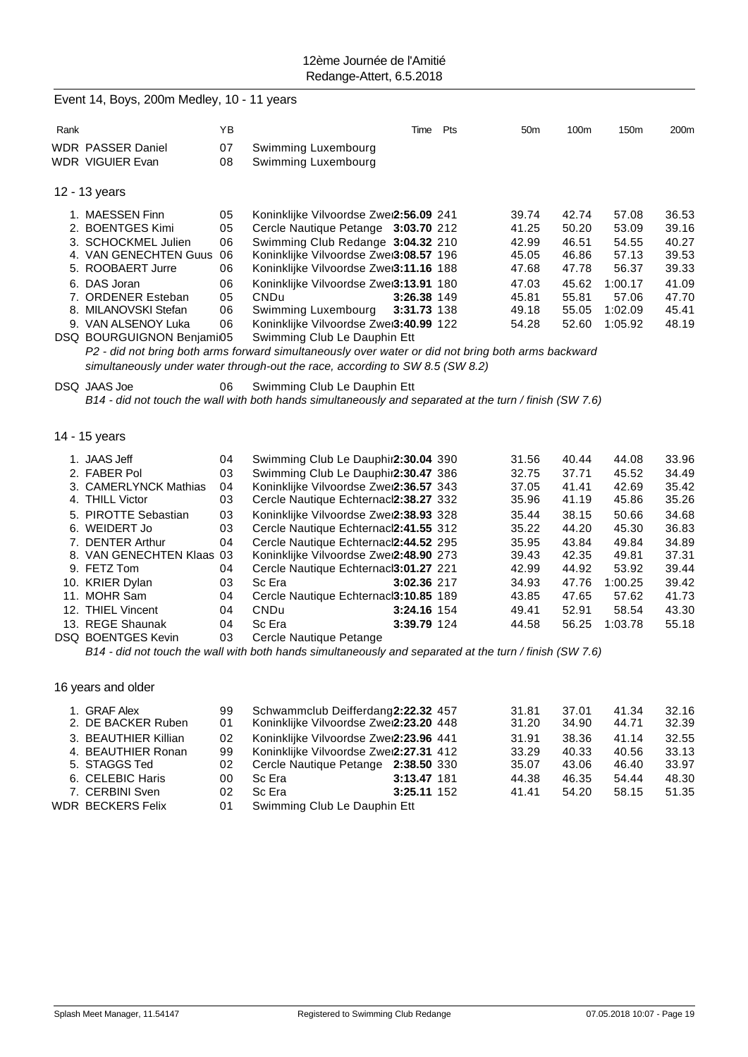|      | Event 14, Boys, 200m Medley, 10 - 11 years |    |                                                                                                         |             |     |                 |       |         |       |
|------|--------------------------------------------|----|---------------------------------------------------------------------------------------------------------|-------------|-----|-----------------|-------|---------|-------|
| Rank |                                            | ΥB |                                                                                                         | Time        | Pts | 50 <sub>m</sub> | 100m  | 150m    | 200m  |
|      | <b>WDR PASSER Daniel</b>                   | 07 | Swimming Luxembourg                                                                                     |             |     |                 |       |         |       |
|      | <b>WDR VIGUIER Evan</b>                    | 08 | Swimming Luxembourg                                                                                     |             |     |                 |       |         |       |
|      | 12 - 13 years                              |    |                                                                                                         |             |     |                 |       |         |       |
|      | 1. MAESSEN Finn                            | 05 | Koninklijke Vilvoordse Zwei2:56.09 241                                                                  |             |     | 39.74           | 42.74 | 57.08   | 36.53 |
|      | 2. BOENTGES Kimi                           | 05 | Cercle Nautique Petange 3:03.70 212                                                                     |             |     | 41.25           | 50.20 | 53.09   | 39.16 |
|      | 3. SCHOCKMEL Julien                        | 06 | Swimming Club Redange 3:04.32 210                                                                       |             |     | 42.99           | 46.51 | 54.55   | 40.27 |
|      | 4. VAN GENECHTEN Guus                      | 06 | Koninklijke Vilvoordse Zwei3:08.57 196                                                                  |             |     | 45.05           | 46.86 | 57.13   | 39.53 |
|      | 5. ROOBAERT Jurre                          | 06 | Koninklijke Vilvoordse Zwei3:11.16 188                                                                  |             |     | 47.68           | 47.78 | 56.37   | 39.33 |
|      | 6. DAS Joran                               | 06 | Koninklijke Vilvoordse Zwei3:13.91 180                                                                  |             |     | 47.03           | 45.62 | 1:00.17 | 41.09 |
|      | 7. ORDENER Esteban                         | 05 | CNDu                                                                                                    | 3:26.38 149 |     | 45.81           | 55.81 | 57.06   | 47.70 |
|      | 8. MILANOVSKI Stefan                       | 06 | Swimming Luxembourg                                                                                     | 3:31.73 138 |     | 49.18           | 55.05 | 1:02.09 | 45.41 |
|      | 9. VAN ALSENOY Luka                        | 06 | Koninklijke Vilvoordse Zwei3:40.99 122                                                                  |             |     | 54.28           | 52.60 | 1:05.92 | 48.19 |
|      | DSQ BOURGUIGNON Benjami05                  |    | Swimming Club Le Dauphin Ett                                                                            |             |     |                 |       |         |       |
|      |                                            |    | P2 - did not bring both arms forward simultaneously over water or did not bring both arms backward      |             |     |                 |       |         |       |
|      |                                            |    | simultaneously under water through-out the race, according to SW 8.5 (SW 8.2)                           |             |     |                 |       |         |       |
|      | DSQ JAAS Joe                               | 06 | Swimming Club Le Dauphin Ett                                                                            |             |     |                 |       |         |       |
|      |                                            |    | B14 - did not touch the wall with both hands simultaneously and separated at the turn / finish (SW 7.6) |             |     |                 |       |         |       |
|      |                                            |    |                                                                                                         |             |     |                 |       |         |       |
|      |                                            |    |                                                                                                         |             |     |                 |       |         |       |
|      | 14 - 15 years                              |    |                                                                                                         |             |     |                 |       |         |       |
|      | 1. JAAS Jeff                               | 04 | Swimming Club Le Dauphir2:30.04 390                                                                     |             |     | 31.56           | 40.44 | 44.08   | 33.96 |
|      | 2. FABER Pol                               | 03 | Swimming Club Le Dauphir2:30.47 386                                                                     |             |     | 32.75           | 37.71 | 45.52   | 34.49 |
|      | 3. CAMERLYNCK Mathias                      | 04 | Koninklijke Vilvoordse Zwei2:36.57 343                                                                  |             |     | 37.05           | 41.41 | 42.69   | 35.42 |
|      | 4. THILL Victor                            | 03 | Cercle Nautique Echternacl2:38.27 332                                                                   |             |     | 35.96           | 41.19 | 45.86   | 35.26 |
|      | 5. PIROTTE Sebastian                       | 03 | Koninklijke Vilvoordse Zwei2:38.93 328                                                                  |             |     | 35.44           | 38.15 | 50.66   | 34.68 |
|      | 6. WEIDERT Jo                              | 03 | Cercle Nautique Echternacl2:41.55 312                                                                   |             |     | 35.22           | 44.20 | 45.30   | 36.83 |
|      | 7. DENTER Arthur                           | 04 | Cercle Nautique Echternacl2:44.52 295                                                                   |             |     | 35.95           | 43.84 | 49.84   | 34.89 |
|      | 8. VAN GENECHTEN Klaas 03                  |    | Koninklijke Vilvoordse Zwei2:48.90 273                                                                  |             |     | 39.43           | 42.35 | 49.81   | 37.31 |
|      | 9. FETZ Tom                                | 04 | Cercle Nautique Echternacl3:01.27 221                                                                   |             |     | 42.99           | 44.92 | 53.92   | 39.44 |
|      | 10. KRIER Dylan                            | 03 | Sc Era                                                                                                  | 3:02.36 217 |     | 34.93           | 47.76 | 1:00.25 | 39.42 |
|      | 11. MOHR Sam                               | 04 | Cercle Nautique Echternacl3:10.85 189                                                                   |             |     | 43.85           | 47.65 | 57.62   | 41.73 |
|      | 12. THIEL Vincent                          | 04 | CNDu                                                                                                    | 3:24.16 154 |     | 49.41           | 52.91 | 58.54   | 43.30 |
|      | 13. REGE Shaunak                           | 04 | Sc Era                                                                                                  | 3:39.79 124 |     | 44.58           | 56.25 | 1:03.78 | 55.18 |
|      | DSQ BOENTGES Kevin                         | 03 | Cercle Nautique Petange                                                                                 |             |     |                 |       |         |       |
|      |                                            |    | B14 - did not touch the wall with both hands simultaneously and separated at the turn / finish (SW 7.6) |             |     |                 |       |         |       |
|      |                                            |    |                                                                                                         |             |     |                 |       |         |       |
|      | 16 years and older                         |    |                                                                                                         |             |     |                 |       |         |       |
|      |                                            |    |                                                                                                         |             |     |                 |       |         |       |
|      | 1. GRAF Alex                               | 99 | Schwammclub Deifferdang2:22.32 457                                                                      |             |     | 31.81           | 37.01 | 41.34   | 32.16 |
|      | 2. DE BACKER Ruben                         | 01 | Koninklijke Vilvoordse Zwei2:23.20 448                                                                  |             |     | 31.20           | 34.90 | 44.71   | 32.39 |
|      | 3. BEAUTHIER Killian                       | 02 | Koninklijke Vilvoordse Zwei2:23.96 441                                                                  |             |     | 31.91           | 38.36 | 41.14   | 32.55 |
|      | 4. BEAUTHIER Ronan                         | 99 | Koninklijke Vilvoordse Zwei2:27.31 412                                                                  |             |     | 33.29           | 40.33 | 40.56   | 33.13 |
|      | 5. STAGGS Ted                              | 02 | Cercle Nautique Petange 2:38.50 330                                                                     |             |     | 35.07           | 43.06 | 46.40   | 33.97 |
|      | 6. CELEBIC Haris                           | 00 | Sc Era                                                                                                  | 3:13.47 181 |     | 44.38           | 46.35 | 54.44   | 48.30 |
|      | 7. CERBINI Sven                            | 02 | Sc Era                                                                                                  | 3:25.11 152 |     | 41.41           | 54.20 | 58.15   | 51.35 |
|      | <b>WDR BECKERS Felix</b>                   | 01 | Swimming Club Le Dauphin Ett                                                                            |             |     |                 |       |         |       |
|      |                                            |    |                                                                                                         |             |     |                 |       |         |       |
|      |                                            |    |                                                                                                         |             |     |                 |       |         |       |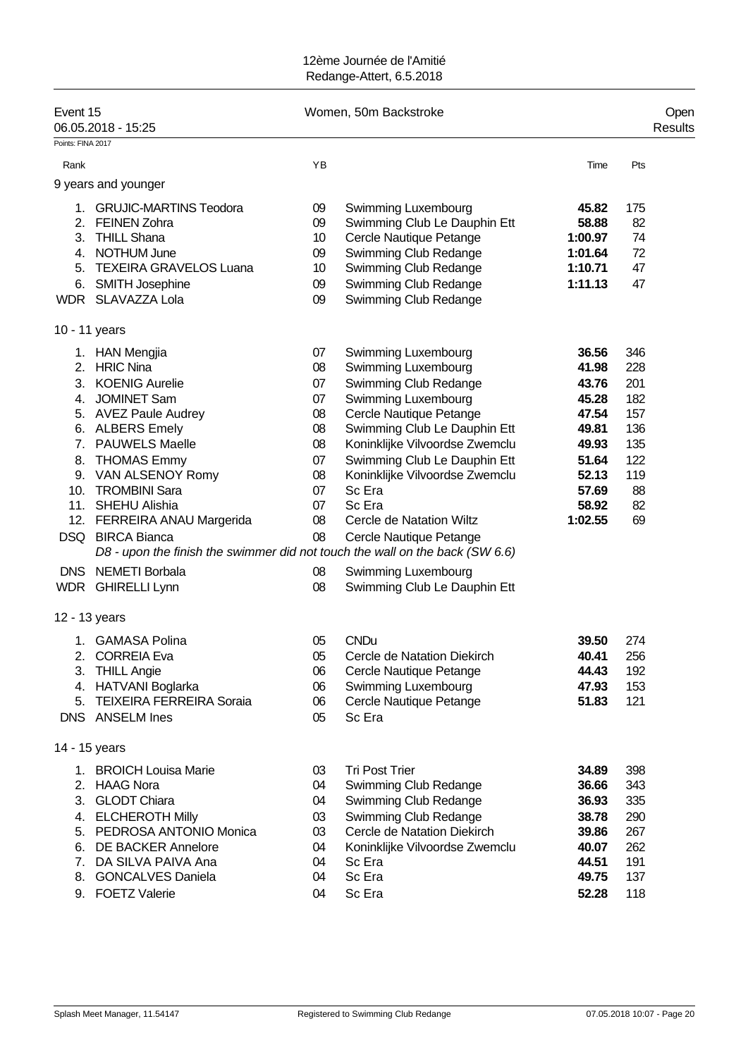| Event 15<br>06.05.2018 - 15:25           |                                                                                                                                                                                                                                                                                                                                                                                                          |                                                                                  | Women, 50m Backstroke                                                                                                                                                                                                                                                                                                                                              |                                                                                                            |                                                                               |  |  |  |
|------------------------------------------|----------------------------------------------------------------------------------------------------------------------------------------------------------------------------------------------------------------------------------------------------------------------------------------------------------------------------------------------------------------------------------------------------------|----------------------------------------------------------------------------------|--------------------------------------------------------------------------------------------------------------------------------------------------------------------------------------------------------------------------------------------------------------------------------------------------------------------------------------------------------------------|------------------------------------------------------------------------------------------------------------|-------------------------------------------------------------------------------|--|--|--|
| Points: FINA 2017                        |                                                                                                                                                                                                                                                                                                                                                                                                          |                                                                                  |                                                                                                                                                                                                                                                                                                                                                                    |                                                                                                            |                                                                               |  |  |  |
| Rank                                     |                                                                                                                                                                                                                                                                                                                                                                                                          | YB                                                                               |                                                                                                                                                                                                                                                                                                                                                                    | Time                                                                                                       | Pts                                                                           |  |  |  |
|                                          | 9 years and younger                                                                                                                                                                                                                                                                                                                                                                                      |                                                                                  |                                                                                                                                                                                                                                                                                                                                                                    |                                                                                                            |                                                                               |  |  |  |
| 1.<br>2.<br>3.<br>5.<br>6.               | <b>GRUJIC-MARTINS Teodora</b><br><b>FEINEN Zohra</b><br><b>THILL Shana</b><br>4. NOTHUM June<br><b>TEXEIRA GRAVELOS Luana</b><br><b>SMITH Josephine</b><br>WDR SLAVAZZA Lola                                                                                                                                                                                                                             | 09<br>09<br>10<br>09<br>10<br>09<br>09                                           | Swimming Luxembourg<br>Swimming Club Le Dauphin Ett<br>Cercle Nautique Petange<br>Swimming Club Redange<br>Swimming Club Redange<br>Swimming Club Redange<br>Swimming Club Redange                                                                                                                                                                                 | 45.82<br>58.88<br>1:00.97<br>1:01.64<br>1:10.71<br>1:11.13                                                 | 175<br>82<br>74<br>72<br>47<br>47                                             |  |  |  |
| 10 - 11 years                            |                                                                                                                                                                                                                                                                                                                                                                                                          |                                                                                  |                                                                                                                                                                                                                                                                                                                                                                    |                                                                                                            |                                                                               |  |  |  |
| 2.<br>3.<br>4.<br>7.<br>8.<br><b>DNS</b> | 1. HAN Mengjia<br><b>HRIC Nina</b><br><b>KOENIG Aurelie</b><br><b>JOMINET Sam</b><br>5. AVEZ Paule Audrey<br>6. ALBERS Emely<br><b>PAUWELS Maelle</b><br><b>THOMAS Emmy</b><br>9. VAN ALSENOY Romy<br>10. TROMBINI Sara<br>11. SHEHU Alishia<br>12. FERREIRA ANAU Margerida<br>DSQ BIRCA Bianca<br>D8 - upon the finish the swimmer did not touch the wall on the back (SW 6.6)<br><b>NEMETI Borbala</b> | 07<br>08<br>07<br>07<br>08<br>08<br>08<br>07<br>08<br>07<br>07<br>08<br>08<br>08 | Swimming Luxembourg<br>Swimming Luxembourg<br>Swimming Club Redange<br>Swimming Luxembourg<br>Cercle Nautique Petange<br>Swimming Club Le Dauphin Ett<br>Koninklijke Vilvoordse Zwemclu<br>Swimming Club Le Dauphin Ett<br>Koninklijke Vilvoordse Zwemclu<br>Sc Era<br>Sc Era<br><b>Cercle de Natation Wiltz</b><br>Cercle Nautique Petange<br>Swimming Luxembourg | 36.56<br>41.98<br>43.76<br>45.28<br>47.54<br>49.81<br>49.93<br>51.64<br>52.13<br>57.69<br>58.92<br>1:02.55 | 346<br>228<br>201<br>182<br>157<br>136<br>135<br>122<br>119<br>88<br>82<br>69 |  |  |  |
|                                          | WDR GHIRELLI Lynn                                                                                                                                                                                                                                                                                                                                                                                        | 08                                                                               | Swimming Club Le Dauphin Ett                                                                                                                                                                                                                                                                                                                                       |                                                                                                            |                                                                               |  |  |  |
| 12 - 13 years                            |                                                                                                                                                                                                                                                                                                                                                                                                          |                                                                                  |                                                                                                                                                                                                                                                                                                                                                                    |                                                                                                            |                                                                               |  |  |  |
| 2.<br>5.                                 | 1. GAMASA Polina<br><b>CORREIA Eva</b><br>3. THILL Angie<br>4. HATVANI Boglarka<br><b>TEIXEIRA FERREIRA Soraia</b><br>DNS ANSELM Ines                                                                                                                                                                                                                                                                    | 05<br>05<br>06<br>06<br>06<br>05                                                 | <b>CNDu</b><br>Cercle de Natation Diekirch<br>Cercle Nautique Petange<br>Swimming Luxembourg<br>Cercle Nautique Petange<br>Sc Era                                                                                                                                                                                                                                  | 39.50<br>40.41<br>44.43<br>47.93<br>51.83                                                                  | 274<br>256<br>192<br>153<br>121                                               |  |  |  |
| 14 - 15 years                            |                                                                                                                                                                                                                                                                                                                                                                                                          |                                                                                  |                                                                                                                                                                                                                                                                                                                                                                    |                                                                                                            |                                                                               |  |  |  |
| 1.<br>2.<br>3.                           | <b>BROICH Louisa Marie</b><br><b>HAAG Nora</b><br><b>GLODT Chiara</b><br>4. ELCHEROTH Milly<br>5. PEDROSA ANTONIO Monica<br>6. DE BACKER Annelore<br>7. DA SILVA PAIVA Ana<br>8. GONCALVES Daniela<br>9. FOETZ Valerie                                                                                                                                                                                   | 03<br>04<br>04<br>03<br>03<br>04<br>04<br>04<br>04                               | <b>Tri Post Trier</b><br>Swimming Club Redange<br>Swimming Club Redange<br>Swimming Club Redange<br>Cercle de Natation Diekirch<br>Koninklijke Vilvoordse Zwemclu<br>Sc Era<br>Sc Era<br>Sc Era                                                                                                                                                                    | 34.89<br>36.66<br>36.93<br>38.78<br>39.86<br>40.07<br>44.51<br>49.75<br>52.28                              | 398<br>343<br>335<br>290<br>267<br>262<br>191<br>137<br>118                   |  |  |  |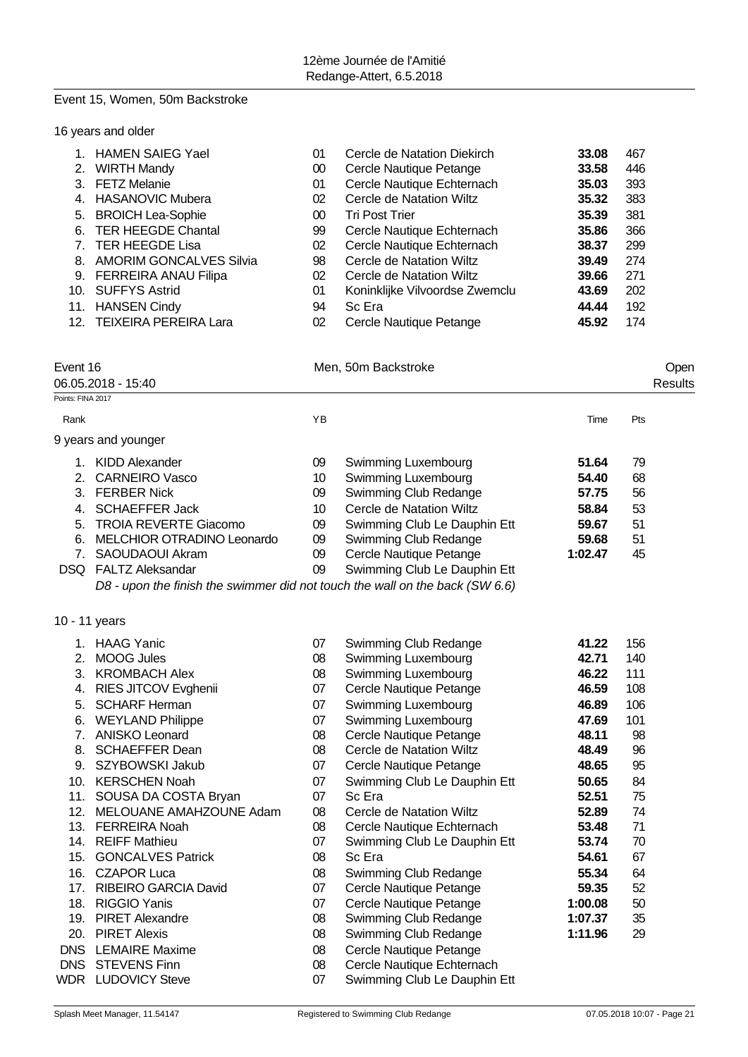#### Event 15, Women, 50m Backstroke

|                                                                          | 16 years and older                                                                                                                                                                                                                                                                                                                                                                                                                                                                                                                                          |                                                                                                                                        |                                                                                                                                                                                                                                                                                                                                                                                                                                                                                                                                                                                                        |                                                                                                                                                                                        |                                                                                                                            |                 |
|--------------------------------------------------------------------------|-------------------------------------------------------------------------------------------------------------------------------------------------------------------------------------------------------------------------------------------------------------------------------------------------------------------------------------------------------------------------------------------------------------------------------------------------------------------------------------------------------------------------------------------------------------|----------------------------------------------------------------------------------------------------------------------------------------|--------------------------------------------------------------------------------------------------------------------------------------------------------------------------------------------------------------------------------------------------------------------------------------------------------------------------------------------------------------------------------------------------------------------------------------------------------------------------------------------------------------------------------------------------------------------------------------------------------|----------------------------------------------------------------------------------------------------------------------------------------------------------------------------------------|----------------------------------------------------------------------------------------------------------------------------|-----------------|
| 2.<br>3.<br>4.<br>5.<br>6.<br>8.<br>12.                                  | 1. HAMEN SAIEG Yael<br><b>WIRTH Mandy</b><br><b>FETZ Melanie</b><br><b>HASANOVIC Mubera</b><br><b>BROICH Lea-Sophie</b><br><b>TER HEEGDE Chantal</b><br>7. TER HEEGDE Lisa<br><b>AMORIM GONCALVES Silvia</b><br>9. FERREIRA ANAU Filipa<br>10. SUFFYS Astrid<br>11. HANSEN Cindy<br><b>TEIXEIRA PEREIRA Lara</b>                                                                                                                                                                                                                                            | 01<br>$00\,$<br>01<br>02<br>$00\,$<br>99<br>02<br>98<br>02<br>01<br>94<br>02                                                           | Cercle de Natation Diekirch<br>Cercle Nautique Petange<br>Cercle Nautique Echternach<br>Cercle de Natation Wiltz<br><b>Tri Post Trier</b><br>Cercle Nautique Echternach<br>Cercle Nautique Echternach<br>Cercle de Natation Wiltz<br>Cercle de Natation Wiltz<br>Koninklijke Vilvoordse Zwemclu<br>Sc Era<br>Cercle Nautique Petange                                                                                                                                                                                                                                                                   | 33.08<br>33.58<br>35.03<br>35.32<br>35.39<br>35.86<br>38.37<br>39.49<br>39.66<br>43.69<br>44.44<br>45.92                                                                               | 467<br>446<br>393<br>383<br>381<br>366<br>299<br>274<br>271<br>202<br>192<br>174                                           |                 |
| Event 16<br>Points: FINA 2017                                            | 06.05.2018 - 15:40                                                                                                                                                                                                                                                                                                                                                                                                                                                                                                                                          |                                                                                                                                        | Men, 50m Backstroke                                                                                                                                                                                                                                                                                                                                                                                                                                                                                                                                                                                    |                                                                                                                                                                                        |                                                                                                                            | Open<br>Results |
| Rank                                                                     |                                                                                                                                                                                                                                                                                                                                                                                                                                                                                                                                                             | YB                                                                                                                                     |                                                                                                                                                                                                                                                                                                                                                                                                                                                                                                                                                                                                        | Time                                                                                                                                                                                   | Pts                                                                                                                        |                 |
|                                                                          | 9 years and younger                                                                                                                                                                                                                                                                                                                                                                                                                                                                                                                                         |                                                                                                                                        |                                                                                                                                                                                                                                                                                                                                                                                                                                                                                                                                                                                                        |                                                                                                                                                                                        |                                                                                                                            |                 |
| 2.<br>4.<br>6.<br>7.                                                     | 1. KIDD Alexander<br><b>CARNEIRO Vasco</b><br>3. FERBER Nick<br><b>SCHAEFFER Jack</b><br>5. TROIA REVERTE Giacomo<br>MELCHIOR OTRADINO Leonardo<br>SAOUDAOUI Akram<br>DSQ FALTZ Aleksandar<br>D8 - upon the finish the swimmer did not touch the wall on the back (SW 6.6)                                                                                                                                                                                                                                                                                  | 09<br>10<br>09<br>10<br>09<br>09<br>09<br>09                                                                                           | Swimming Luxembourg<br>Swimming Luxembourg<br>Swimming Club Redange<br>Cercle de Natation Wiltz<br>Swimming Club Le Dauphin Ett<br>Swimming Club Redange<br>Cercle Nautique Petange<br>Swimming Club Le Dauphin Ett                                                                                                                                                                                                                                                                                                                                                                                    | 51.64<br>54.40<br>57.75<br>58.84<br>59.67<br>59.68<br>1:02.47                                                                                                                          | 79<br>68<br>56<br>53<br>51<br>51<br>45                                                                                     |                 |
|                                                                          | 10 - 11 years                                                                                                                                                                                                                                                                                                                                                                                                                                                                                                                                               |                                                                                                                                        |                                                                                                                                                                                                                                                                                                                                                                                                                                                                                                                                                                                                        |                                                                                                                                                                                        |                                                                                                                            |                 |
| 2.<br>3.<br>4.<br>5.<br>6.<br>7.<br>8.<br>9.<br>15.<br>16.<br><b>DNS</b> | 1. HAAG Yanic<br><b>MOOG Jules</b><br><b>KROMBACH Alex</b><br>RIES JITCOV Evghenii<br><b>SCHARF Herman</b><br><b>WEYLAND Philippe</b><br><b>ANISKO Leonard</b><br><b>SCHAEFFER Dean</b><br>SZYBOWSKI Jakub<br>10. KERSCHEN Noah<br>11. SOUSA DA COSTA Bryan<br>12. MELOUANE AMAHZOUNE Adam<br>13. FERREIRA Noah<br>14. REIFF Mathieu<br><b>GONCALVES Patrick</b><br><b>CZAPOR Luca</b><br>17. RIBEIRO GARCIA David<br>18. RIGGIO Yanis<br>19. PIRET Alexandre<br>20. PIRET Alexis<br><b>DNS</b> LEMAIRE Maxime<br><b>STEVENS Finn</b><br>WDR LUDOVICY Steve | 07<br>08<br>08<br>07<br>07<br>07<br>08<br>08<br>07<br>07<br>07<br>08<br>08<br>07<br>08<br>08<br>07<br>07<br>08<br>08<br>08<br>08<br>07 | Swimming Club Redange<br>Swimming Luxembourg<br>Swimming Luxembourg<br>Cercle Nautique Petange<br>Swimming Luxembourg<br>Swimming Luxembourg<br>Cercle Nautique Petange<br>Cercle de Natation Wiltz<br>Cercle Nautique Petange<br>Swimming Club Le Dauphin Ett<br>Sc Era<br>Cercle de Natation Wiltz<br>Cercle Nautique Echternach<br>Swimming Club Le Dauphin Ett<br>Sc Era<br>Swimming Club Redange<br>Cercle Nautique Petange<br>Cercle Nautique Petange<br>Swimming Club Redange<br>Swimming Club Redange<br>Cercle Nautique Petange<br>Cercle Nautique Echternach<br>Swimming Club Le Dauphin Ett | 41.22<br>42.71<br>46.22<br>46.59<br>46.89<br>47.69<br>48.11<br>48.49<br>48.65<br>50.65<br>52.51<br>52.89<br>53.48<br>53.74<br>54.61<br>55.34<br>59.35<br>1:00.08<br>1:07.37<br>1:11.96 | 156<br>140<br>111<br>108<br>106<br>101<br>98<br>96<br>95<br>84<br>75<br>74<br>71<br>70<br>67<br>64<br>52<br>50<br>35<br>29 |                 |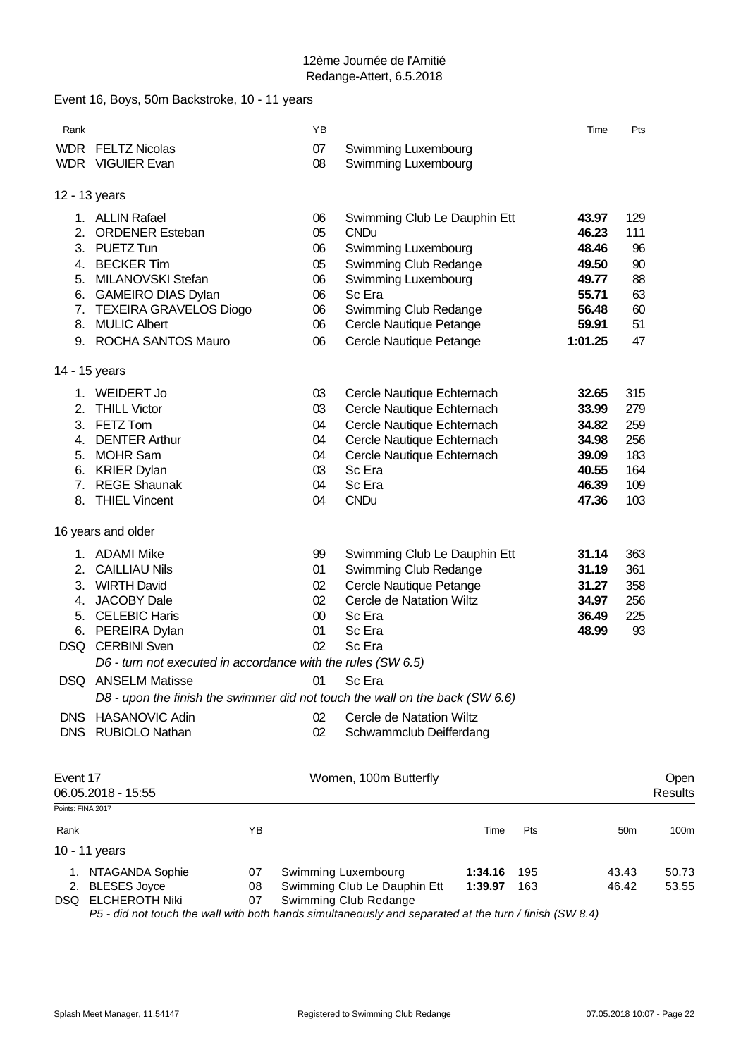|                   | Event 16, Boys, 50m Backstroke, 10 - 11 years                                |    |        |                              |         |     |         |                 |                  |
|-------------------|------------------------------------------------------------------------------|----|--------|------------------------------|---------|-----|---------|-----------------|------------------|
| Rank              |                                                                              |    | ΥB     |                              |         |     | Time    | Pts             |                  |
|                   | <b>WDR FELTZ Nicolas</b>                                                     |    | 07     | Swimming Luxembourg          |         |     |         |                 |                  |
|                   | <b>WDR</b> VIGUIER Evan                                                      |    | 08     | Swimming Luxembourg          |         |     |         |                 |                  |
|                   | 12 - 13 years                                                                |    |        |                              |         |     |         |                 |                  |
|                   | 1. ALLIN Rafael                                                              |    | 06     | Swimming Club Le Dauphin Ett |         |     | 43.97   | 129             |                  |
| 2.                | <b>ORDENER Esteban</b>                                                       |    | 05     | <b>CNDu</b>                  |         |     | 46.23   | 111             |                  |
|                   | 3. PUETZ Tun                                                                 |    | 06     | Swimming Luxembourg          |         |     | 48.46   | 96              |                  |
|                   | 4. BECKER Tim                                                                |    | 05     | Swimming Club Redange        |         |     | 49.50   | 90              |                  |
|                   | 5. MILANOVSKI Stefan                                                         |    | 06     | Swimming Luxembourg          |         |     | 49.77   | 88              |                  |
|                   | 6. GAMEIRO DIAS Dylan                                                        |    | 06     | Sc Era                       |         |     | 55.71   | 63              |                  |
|                   | 7. TEXEIRA GRAVELOS Diogo                                                    |    | 06     | Swimming Club Redange        |         |     | 56.48   | 60              |                  |
|                   | 8. MULIC Albert                                                              |    | 06     | Cercle Nautique Petange      |         |     | 59.91   | 51              |                  |
|                   | 9. ROCHA SANTOS Mauro                                                        |    | 06     | Cercle Nautique Petange      |         |     | 1:01.25 | 47              |                  |
|                   | 14 - 15 years                                                                |    |        |                              |         |     |         |                 |                  |
|                   | 1. WEIDERT Jo                                                                |    | 03     | Cercle Nautique Echternach   |         |     | 32.65   | 315             |                  |
| 2.                | <b>THILL Victor</b>                                                          |    | 03     | Cercle Nautique Echternach   |         |     | 33.99   | 279             |                  |
|                   | 3. FETZ Tom                                                                  |    | 04     | Cercle Nautique Echternach   |         |     | 34.82   | 259             |                  |
|                   | 4. DENTER Arthur                                                             |    | 04     | Cercle Nautique Echternach   |         |     | 34.98   | 256             |                  |
|                   | 5. MOHR Sam                                                                  |    | 04     | Cercle Nautique Echternach   |         |     | 39.09   | 183             |                  |
|                   | 6. KRIER Dylan                                                               |    | 03     | Sc Era                       |         |     | 40.55   | 164             |                  |
|                   | 7. REGE Shaunak                                                              |    | 04     | Sc Era                       |         |     | 46.39   | 109             |                  |
|                   | 8. THIEL Vincent                                                             |    | 04     | <b>CNDu</b>                  |         |     | 47.36   | 103             |                  |
|                   | 16 years and older                                                           |    |        |                              |         |     |         |                 |                  |
|                   | 1. ADAMI Mike                                                                |    | 99     | Swimming Club Le Dauphin Ett |         |     | 31.14   | 363             |                  |
| 2.                | <b>CAILLIAU Nils</b>                                                         |    | 01     | Swimming Club Redange        |         |     | 31.19   | 361             |                  |
| 3.                | <b>WIRTH David</b>                                                           |    | 02     | Cercle Nautique Petange      |         |     | 31.27   | 358             |                  |
| 4.                | <b>JACOBY Dale</b>                                                           |    | 02     | Cercle de Natation Wiltz     |         |     | 34.97   | 256             |                  |
|                   | 5. CELEBIC Haris                                                             |    | $00\,$ | Sc Era                       |         |     | 36.49   | 225             |                  |
|                   | 6. PEREIRA Dylan                                                             |    | 01     | Sc Era                       |         |     | 48.99   | 93              |                  |
|                   | <b>DSQ</b> CERBINI Sven                                                      |    | 02     | Sc Era                       |         |     |         |                 |                  |
|                   | D6 - turn not executed in accordance with the rules (SW 6.5)                 |    |        |                              |         |     |         |                 |                  |
|                   | DSQ ANSELM Matisse                                                           |    | 01     | Sc Era                       |         |     |         |                 |                  |
|                   | D8 - upon the finish the swimmer did not touch the wall on the back (SW 6.6) |    |        |                              |         |     |         |                 |                  |
|                   | DNS HASANOVIC Adin                                                           |    | 02     | Cercle de Natation Wiltz     |         |     |         |                 |                  |
|                   | DNS RUBIOLO Nathan                                                           |    | 02     | Schwammclub Deifferdang      |         |     |         |                 |                  |
|                   |                                                                              |    |        |                              |         |     |         |                 |                  |
| Event 17          |                                                                              |    |        | Women, 100m Butterfly        |         |     |         |                 | Open             |
| Points: FINA 2017 | 06.05.2018 - 15:55                                                           |    |        |                              |         |     |         |                 | Results          |
| Rank              |                                                                              | ΥB |        |                              | Time    | Pts |         | 50 <sub>m</sub> | 100 <sub>m</sub> |
|                   | 10 - 11 years                                                                |    |        |                              |         |     |         |                 |                  |
|                   | 1. NTAGANDA Sophie                                                           | 07 |        | Swimming Luxembourg          | 1:34.16 | 195 |         | 43.43           | 50.73            |
|                   | 2. BLESES Joyce                                                              | 08 |        | Swimming Club Le Dauphin Ett | 1:39.97 | 163 |         | 46.42           | 53.55            |
|                   | DSQ ELCHEROTH Niki                                                           | 07 |        | Swimming Club Redange        |         |     |         |                 |                  |

*P5 - did not touch the wall with both hands simultaneously and separated at the turn / finish (SW 8.4)*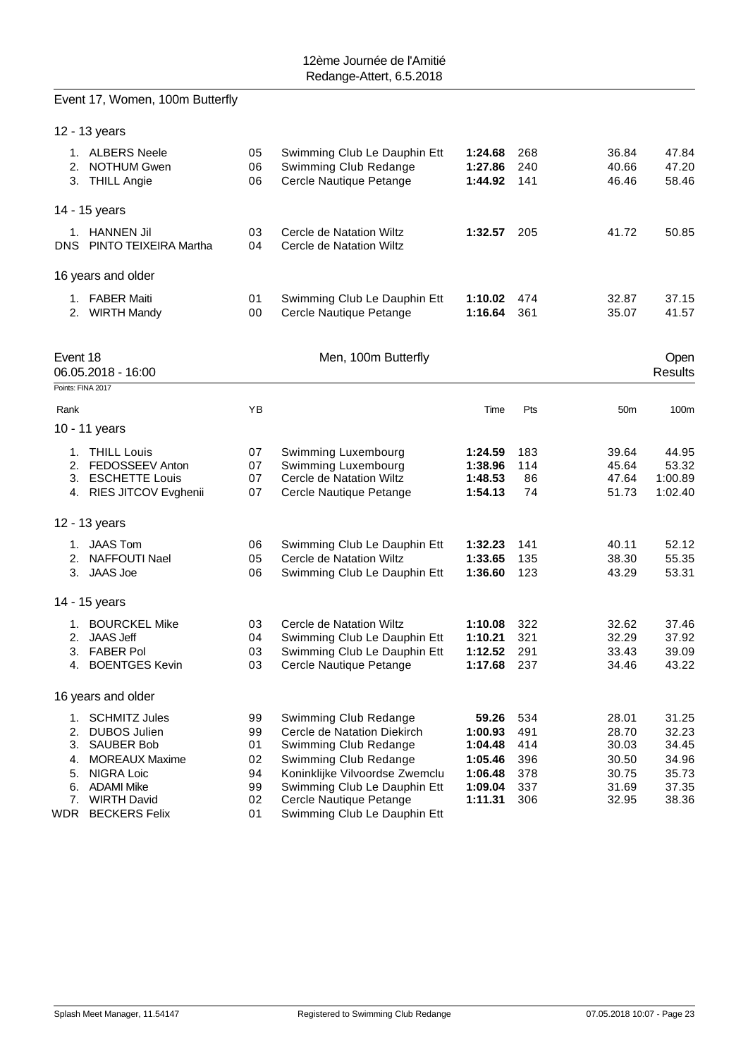# Event 17, Women, 100m Butterfly

|                   | 12 - 13 years                                               |                |                                                                                  |                               |                   |                         |                         |
|-------------------|-------------------------------------------------------------|----------------|----------------------------------------------------------------------------------|-------------------------------|-------------------|-------------------------|-------------------------|
| 2.<br>3.          | 1. ALBERS Neele<br><b>NOTHUM Gwen</b><br><b>THILL Angie</b> | 05<br>06<br>06 | Swimming Club Le Dauphin Ett<br>Swimming Club Redange<br>Cercle Nautique Petange | 1:24.68<br>1:27.86<br>1:44.92 | 268<br>240<br>141 | 36.84<br>40.66<br>46.46 | 47.84<br>47.20<br>58.46 |
|                   | 14 - 15 years                                               |                |                                                                                  |                               |                   |                         |                         |
| 1.<br>DNS         | <b>HANNEN Jil</b><br>PINTO TEIXEIRA Martha                  | 03<br>04       | Cercle de Natation Wiltz<br>Cercle de Natation Wiltz                             | 1:32.57                       | 205               | 41.72                   | 50.85                   |
|                   | 16 years and older                                          |                |                                                                                  |                               |                   |                         |                         |
| $1_{-}$<br>2.     | <b>FABER Maiti</b><br><b>WIRTH Mandy</b>                    | 01<br>00       | Swimming Club Le Dauphin Ett<br>Cercle Nautique Petange                          | 1:10.02<br>1:16.64            | 474<br>361        | 32.87<br>35.07          | 37.15<br>41.57          |
| Event 18          | 06.05.2018 - 16:00                                          |                | Men, 100m Butterfly                                                              |                               |                   |                         | <b>Open</b><br>Results  |
| Points: FINA 2017 |                                                             |                |                                                                                  |                               |                   |                         |                         |
| Rank              |                                                             | ΥB             |                                                                                  | Time                          | Pts               | 50 <sub>m</sub>         | 100m                    |
|                   | 10 - 11 years                                               |                |                                                                                  |                               |                   |                         |                         |

|                            | 10 - 11 years                                                                                                            |                                  |                                                                                                                                                                          |                                                              |                                        |                                                    |                                                    |
|----------------------------|--------------------------------------------------------------------------------------------------------------------------|----------------------------------|--------------------------------------------------------------------------------------------------------------------------------------------------------------------------|--------------------------------------------------------------|----------------------------------------|----------------------------------------------------|----------------------------------------------------|
| 2.<br>3.                   | <b>THILL Louis</b><br>FEDOSSEEV Anton<br><b>ESCHETTE Louis</b><br>4. RIES JITCOV Evghenii                                | 07<br>07<br>07<br>07             | Swimming Luxembourg<br>Swimming Luxembourg<br>Cercle de Natation Wiltz<br>Cercle Nautique Petange                                                                        | 1:24.59<br>1:38.96<br>1:48.53<br>1:54.13                     | 183<br>114<br>86<br>74                 | 39.64<br>45.64<br>47.64<br>51.73                   | 44.95<br>53.32<br>1:00.89<br>1:02.40               |
|                            | 12 - 13 years                                                                                                            |                                  |                                                                                                                                                                          |                                                              |                                        |                                                    |                                                    |
| 2.<br>3.                   | 1. JAAS Tom<br>NAFFOUTI Nael<br>JAAS Joe                                                                                 | 06<br>05<br>06                   | Swimming Club Le Dauphin Ett<br>Cercle de Natation Wiltz<br>Swimming Club Le Dauphin Ett                                                                                 | 1:32.23<br>1:33.65<br>1:36.60                                | 141<br>135<br>123                      | 40.11<br>38.30<br>43.29                            | 52.12<br>55.35<br>53.31                            |
|                            | 14 - 15 years                                                                                                            |                                  |                                                                                                                                                                          |                                                              |                                        |                                                    |                                                    |
| 1.<br>2.<br>3.<br>4.       | <b>BOURCKEL Mike</b><br><b>JAAS Jeff</b><br><b>FABER Pol</b><br><b>BOENTGES Kevin</b>                                    | 03<br>04<br>03<br>03             | Cercle de Natation Wiltz<br>Swimming Club Le Dauphin Ett<br>Swimming Club Le Dauphin Ett<br>Cercle Nautique Petange                                                      | 1:10.08<br>1:10.21<br>1:12.52<br>1:17.68                     | 322<br>321<br>291<br>237               | 32.62<br>32.29<br>33.43<br>34.46                   | 37.46<br>37.92<br>39.09<br>43.22                   |
|                            | 16 years and older                                                                                                       |                                  |                                                                                                                                                                          |                                                              |                                        |                                                    |                                                    |
| 2.<br>3.<br>4.<br>5.<br>6. | 1. SCHMITZ Jules<br><b>DUBOS Julien</b><br><b>SAUBER Bob</b><br><b>MOREAUX Maxime</b><br>NIGRA Loic<br><b>ADAMI Mike</b> | 99<br>99<br>01<br>02<br>94<br>99 | Swimming Club Redange<br>Cercle de Natation Diekirch<br>Swimming Club Redange<br>Swimming Club Redange<br>Koninklijke Vilvoordse Zwemclu<br>Swimming Club Le Dauphin Ett | 59.26<br>1:00.93<br>1:04.48<br>1:05.46<br>1:06.48<br>1:09.04 | 534<br>491<br>414<br>396<br>378<br>337 | 28.01<br>28.70<br>30.03<br>30.50<br>30.75<br>31.69 | 31.25<br>32.23<br>34.45<br>34.96<br>35.73<br>37.35 |
| 7.                         | <b>WIRTH David</b>                                                                                                       | 02                               | Cercle Nautique Petange                                                                                                                                                  | 1:11.31                                                      | 306                                    | 32.95                                              | 38.36                                              |

WDR BECKERS Felix 01 Swimming Club Le Dauphin Ett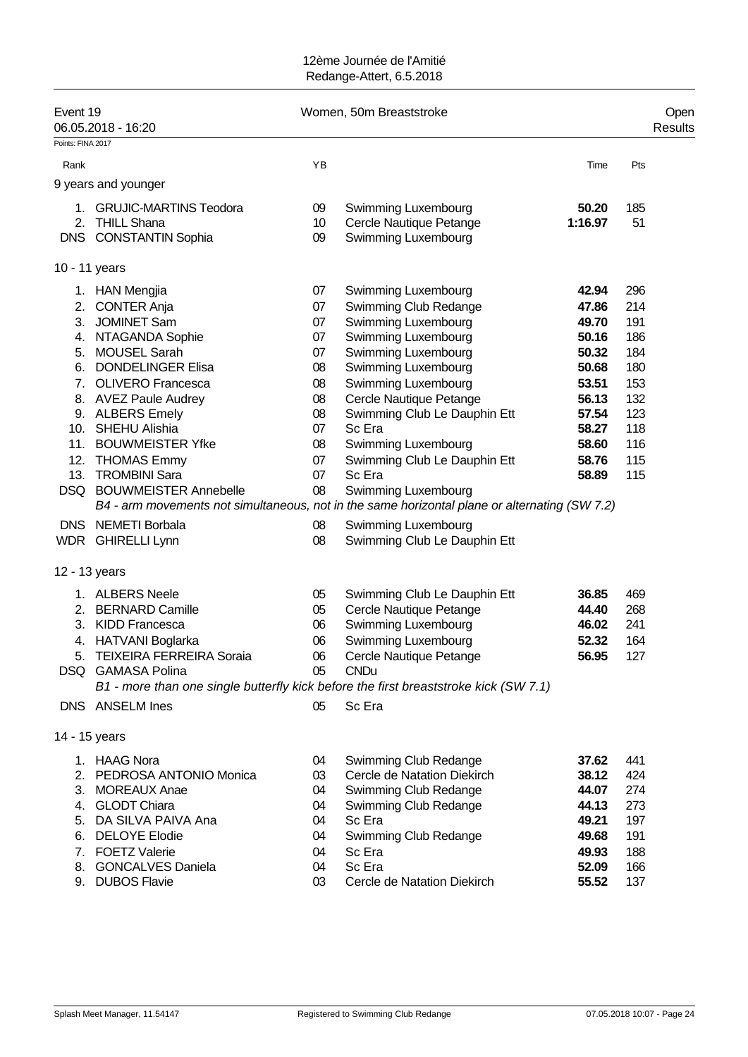| Event 19          | 06.05.2018 - 16:20              |    | Women, 50m Breaststroke                                                                       |         |     | Open<br>Results |
|-------------------|---------------------------------|----|-----------------------------------------------------------------------------------------------|---------|-----|-----------------|
| Points: FINA 2017 |                                 |    |                                                                                               |         |     |                 |
| Rank              |                                 | YB |                                                                                               | Time    | Pts |                 |
|                   | 9 years and younger             |    |                                                                                               |         |     |                 |
| 1.                | <b>GRUJIC-MARTINS Teodora</b>   | 09 | Swimming Luxembourg                                                                           | 50.20   | 185 |                 |
|                   | 2. THILL Shana                  | 10 | Cercle Nautique Petange                                                                       | 1:16.97 | 51  |                 |
|                   | DNS CONSTANTIN Sophia           | 09 | Swimming Luxembourg                                                                           |         |     |                 |
|                   | 10 - 11 years                   |    |                                                                                               |         |     |                 |
|                   | 1. HAN Mengjia                  | 07 | Swimming Luxembourg                                                                           | 42.94   | 296 |                 |
|                   | 2. CONTER Anja                  | 07 | Swimming Club Redange                                                                         | 47.86   | 214 |                 |
| 3.                | <b>JOMINET Sam</b>              | 07 | Swimming Luxembourg                                                                           | 49.70   | 191 |                 |
|                   | 4. NTAGANDA Sophie              | 07 | Swimming Luxembourg                                                                           | 50.16   | 186 |                 |
|                   | 5. MOUSEL Sarah                 | 07 | Swimming Luxembourg                                                                           | 50.32   | 184 |                 |
| 6.                | <b>DONDELINGER Elisa</b>        | 08 | Swimming Luxembourg                                                                           | 50.68   | 180 |                 |
| 7.                | <b>OLIVERO Francesca</b>        | 08 | Swimming Luxembourg                                                                           | 53.51   | 153 |                 |
|                   | 8. AVEZ Paule Audrey            | 08 | Cercle Nautique Petange                                                                       | 56.13   | 132 |                 |
|                   | 9. ALBERS Emely                 | 08 | Swimming Club Le Dauphin Ett                                                                  | 57.54   | 123 |                 |
|                   | 10. SHEHU Alishia               | 07 | Sc Era                                                                                        | 58.27   | 118 |                 |
|                   | 11. BOUWMEISTER Yfke            | 08 | Swimming Luxembourg                                                                           | 58.60   | 116 |                 |
|                   | 12. THOMAS Emmy                 | 07 | Swimming Club Le Dauphin Ett                                                                  | 58.76   | 115 |                 |
| 13.               | <b>TROMBINI Sara</b>            | 07 | Sc Era                                                                                        | 58.89   | 115 |                 |
|                   | DSQ BOUWMEISTER Annebelle       | 08 | Swimming Luxembourg                                                                           |         |     |                 |
|                   |                                 |    | B4 - arm movements not simultaneous, not in the same horizontal plane or alternating (SW 7.2) |         |     |                 |
|                   | DNS NEMETI Borbala              | 08 | Swimming Luxembourg                                                                           |         |     |                 |
|                   | WDR GHIRELLI Lynn               | 08 | Swimming Club Le Dauphin Ett                                                                  |         |     |                 |
|                   | 12 - 13 years                   |    |                                                                                               |         |     |                 |
|                   | 1. ALBERS Neele                 | 05 | Swimming Club Le Dauphin Ett                                                                  | 36.85   | 469 |                 |
|                   | 2. BERNARD Camille              | 05 | Cercle Nautique Petange                                                                       | 44.40   | 268 |                 |
|                   | 3. KIDD Francesca               | 06 | Swimming Luxembourg                                                                           | 46.02   | 241 |                 |
|                   | 4. HATVANI Boglarka             | 06 | Swimming Luxembourg                                                                           | 52.32   | 164 |                 |
| 5.                | <b>TEIXEIRA FERREIRA Soraia</b> | 06 | Cercle Nautique Petange                                                                       | 56.95   | 127 |                 |
|                   | DSQ GAMASA Polina               | 05 | <b>CNDu</b>                                                                                   |         |     |                 |
|                   |                                 |    | B1 - more than one single butterfly kick before the first breaststroke kick (SW 7.1)          |         |     |                 |
|                   | DNS ANSELM Ines                 | 05 | Sc Era                                                                                        |         |     |                 |
|                   | 14 - 15 years                   |    |                                                                                               |         |     |                 |
|                   | 1. HAAG Nora                    | 04 | Swimming Club Redange                                                                         | 37.62   | 441 |                 |
| 2.                | PEDROSA ANTONIO Monica          | 03 | Cercle de Natation Diekirch                                                                   | 38.12   | 424 |                 |
| 3.                | <b>MOREAUX Anae</b>             | 04 | Swimming Club Redange                                                                         | 44.07   | 274 |                 |
|                   | 4. GLODT Chiara                 | 04 | Swimming Club Redange                                                                         | 44.13   | 273 |                 |
| 5.                | DA SILVA PAIVA Ana              | 04 | Sc Era                                                                                        | 49.21   | 197 |                 |
| 6.                | <b>DELOYE Elodie</b>            | 04 | Swimming Club Redange                                                                         | 49.68   | 191 |                 |
| 7.                | <b>FOETZ Valerie</b>            | 04 | Sc Era                                                                                        | 49.93   | 188 |                 |
| 8.                | <b>GONCALVES Daniela</b>        | 04 | Sc Era                                                                                        | 52.09   | 166 |                 |
|                   | 9. DUBOS Flavie                 | 03 | Cercle de Natation Diekirch                                                                   | 55.52   | 137 |                 |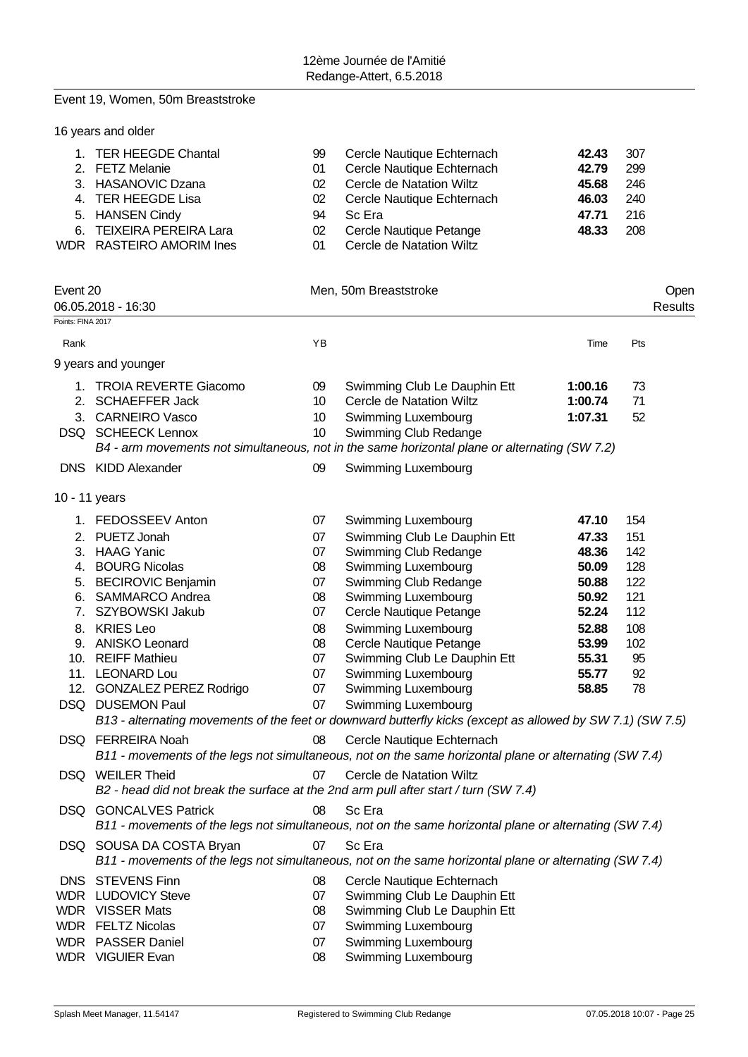#### Event 19, Women, 50m Breaststroke

| 99<br>01<br>02<br>02 | Cercle Nautique Echternach<br>Cercle Nautique Echternach<br>Cercle de Natation Wiltz<br>Cercle Nautique Echternach | 42.43<br>42.79<br>45.68<br>46.03 | 307<br>299<br>246<br>240 |
|----------------------|--------------------------------------------------------------------------------------------------------------------|----------------------------------|--------------------------|
| 94<br>02<br>01       | Sc Era<br>Cercle Nautique Petange<br>Cercle de Natation Wiltz                                                      | 47.71<br>48.33                   | 216<br>208               |
|                      |                                                                                                                    |                                  | Open<br>Results          |
|                      |                                                                                                                    | Men. 50m Breaststroke            |                          |

| Rank          |                                                                                                                | YB       |                                                                                                                                               | Time               | Pts        |
|---------------|----------------------------------------------------------------------------------------------------------------|----------|-----------------------------------------------------------------------------------------------------------------------------------------------|--------------------|------------|
|               | 9 years and younger                                                                                            |          |                                                                                                                                               |                    |            |
| 2.            | 1. TROIA REVERTE Giacomo<br><b>SCHAEFFER Jack</b>                                                              | 09<br>10 | Swimming Club Le Dauphin Ett<br>Cercle de Natation Wiltz                                                                                      | 1:00.16<br>1:00.74 | 73<br>71   |
|               | 3. CARNEIRO Vasco<br><b>DSQ SCHEECK Lennox</b>                                                                 | 10<br>10 | Swimming Luxembourg<br>Swimming Club Redange<br>B4 - arm movements not simultaneous, not in the same horizontal plane or alternating (SW 7.2) | 1:07.31            | 52         |
|               | DNS KIDD Alexander                                                                                             | 09       | Swimming Luxembourg                                                                                                                           |                    |            |
| 10 - 11 years |                                                                                                                |          |                                                                                                                                               |                    |            |
|               | 1. FEDOSSEEV Anton                                                                                             | 07       | Swimming Luxembourg                                                                                                                           | 47.10              | 154        |
| 2.            | PUETZ Jonah<br>3. HAAG Yanic                                                                                   | 07       | Swimming Club Le Dauphin Ett                                                                                                                  | 47.33              | 151        |
|               | 4. BOURG Nicolas                                                                                               | 07<br>08 | Swimming Club Redange<br>Swimming Luxembourg                                                                                                  | 48.36<br>50.09     | 142<br>128 |
|               | 5. BECIROVIC Benjamin                                                                                          | 07       | Swimming Club Redange                                                                                                                         | 50.88              | 122        |
|               | 6. SAMMARCO Andrea<br>7. SZYBOWSKI Jakub                                                                       | 08<br>07 | Swimming Luxembourg<br>Cercle Nautique Petange                                                                                                | 50.92<br>52.24     | 121<br>112 |
|               | 8. KRIES Leo                                                                                                   | 08       | Swimming Luxembourg                                                                                                                           | 52.88              | 108        |
|               | 9. ANISKO Leonard                                                                                              | 08       | Cercle Nautique Petange                                                                                                                       | 53.99              | 102        |
|               | 10. REIFF Mathieu<br>11. LEONARD Lou                                                                           | 07<br>07 | Swimming Club Le Dauphin Ett<br>Swimming Luxembourg                                                                                           | 55.31<br>55.77     | 95<br>92   |
|               | 12. GONZALEZ PEREZ Rodrigo                                                                                     | 07       | Swimming Luxembourg                                                                                                                           | 58.85              | 78         |
|               | DSQ DUSEMON Paul                                                                                               | 07       | Swimming Luxembourg<br>B13 - alternating movements of the feet or downward butterfly kicks (except as allowed by SW 7.1) (SW 7.5)             |                    |            |
|               | DSQ FERREIRA Noah                                                                                              | 08       | Cercle Nautique Echternach<br>B11 - movements of the legs not simultaneous, not on the same horizontal plane or alternating (SW 7.4)          |                    |            |
|               | DSQ WEILER Theid<br>B2 - head did not break the surface at the 2nd arm pull after start / turn (SW 7.4)        | 07       | Cercle de Natation Wiltz                                                                                                                      |                    |            |
|               | <b>DSQ GONCALVES Patrick</b>                                                                                   | 08       | Sc Era<br>B11 - movements of the legs not simultaneous, not on the same horizontal plane or alternating (SW 7.4)                              |                    |            |
|               | DSQ SOUSA DA COSTA Bryan                                                                                       | 07       | Sc Era<br>B11 - movements of the legs not simultaneous, not on the same horizontal plane or alternating (SW 7.4)                              |                    |            |
|               | $DMO$ $OPTV$ $TND$ $T_{\text{max}}$ $QQ$ $Q_{\text{rank}}$ $N_{\text{rank}}$ $N_{\text{max}}$ $T_{\text{ell}}$ |          |                                                                                                                                               |                    |            |

DNS STEVENS Finn 08 Cercle Nautique Echternach WDR LUDOVICY Steve 07 Swimming Club Le Dauphin Ett<br>
WDR VISSER Mats 08 Swimming Club Le Dauphin Ett Swimming Club Le Dauphin Ett WDR FELTZ Nicolas 67 07 Swimming Luxembourg WDR PASSER Daniel 07 Swimming Luxembourg 08 Swimming Luxembourg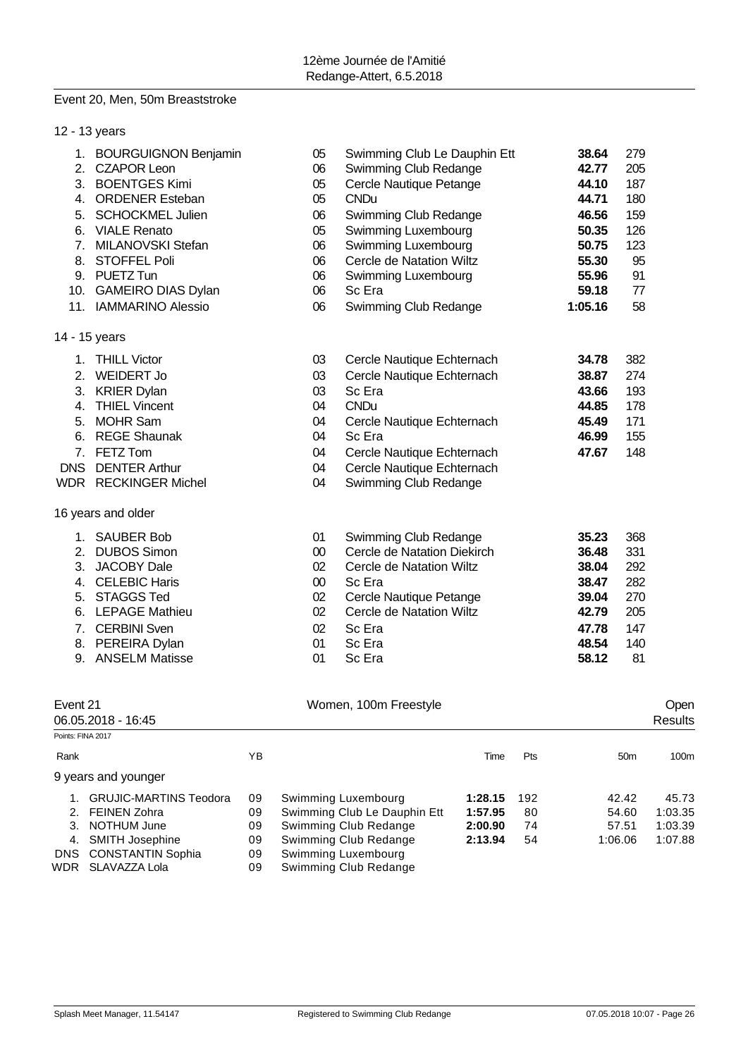#### Event 20, Men, 50m Breaststroke

|                   | 9 years and younger                     |              |                                 |                              |                |                 |                  |
|-------------------|-----------------------------------------|--------------|---------------------------------|------------------------------|----------------|-----------------|------------------|
| Rank              |                                         | YB           |                                 | Time                         | Pts            | 50 <sub>m</sub> | 100 <sub>m</sub> |
| Points: FINA 2017 | 06.05.2018 - 16:45                      |              |                                 |                              |                |                 | Results          |
| Event 21          |                                         |              | Women, 100m Freestyle           |                              |                |                 | Open             |
|                   |                                         |              |                                 |                              |                |                 |                  |
|                   | 9. ANSELM Matisse                       | 01           | Sc Era                          |                              | 58.12          | 81              |                  |
|                   | 8. PEREIRA Dylan                        | 01           | Sc Era                          |                              | 48.54          | 140             |                  |
|                   | 7. CERBINI Sven                         | 02           | Sc Era                          |                              | 47.78          | 147             |                  |
| 6.                | <b>LEPAGE Mathieu</b>                   | 02           | Cercle de Natation Wiltz        |                              | 42.79          | 205             |                  |
| 5.                | <b>STAGGS Ted</b>                       | 02           | Cercle Nautique Petange         |                              | 39.04          | 270             |                  |
| 3.                | 4. CELEBIC Haris                        | $00\,$       | Sc Era                          |                              | 38.47          | 282             |                  |
| 2.                | <b>JACOBY Dale</b>                      | $00\,$<br>02 | <b>Cercle de Natation Wiltz</b> |                              | 36.48<br>38.04 | 331<br>292      |                  |
| 1.                | <b>SAUBER Bob</b><br><b>DUBOS Simon</b> | 01           | Swimming Club Redange           | Cercle de Natation Diekirch  | 35.23          | 368             |                  |
|                   |                                         |              |                                 |                              |                |                 |                  |
|                   | 16 years and older                      |              |                                 |                              |                |                 |                  |
|                   | WDR RECKINGER Michel                    | 04           |                                 | Swimming Club Redange        |                |                 |                  |
| <b>DNS</b>        | <b>DENTER Arthur</b>                    | 04           |                                 | Cercle Nautique Echternach   |                |                 |                  |
| 7.                | FETZ Tom                                | 04           |                                 | Cercle Nautique Echternach   | 47.67          | 148             |                  |
| 6.                | <b>REGE Shaunak</b>                     | 04           | Sc Era                          |                              | 46.99          | 155             |                  |
| 5.                | <b>MOHR Sam</b>                         | 04           |                                 | Cercle Nautique Echternach   | 45.49          | 171             |                  |
|                   | 4. THIEL Vincent                        | 04           | <b>CNDu</b>                     |                              | 44.85          | 178             |                  |
|                   | 3. KRIER Dylan                          | 03           | Sc Era                          |                              | 43.66          | 193             |                  |
|                   | 2. WEIDERT Jo                           | 03           |                                 | Cercle Nautique Echternach   | 38.87          | 274             |                  |
|                   | 1. THILL Victor                         | 03           |                                 | Cercle Nautique Echternach   | 34.78          | 382             |                  |
|                   | 14 - 15 years                           |              |                                 |                              |                |                 |                  |
|                   | 11. IAMMARINO Alessio                   | 06           |                                 | Swimming Club Redange        | 1:05.16        | 58              |                  |
|                   | 10. GAMEIRO DIAS Dylan                  | 06           | Sc Era                          |                              | 59.18          | 77              |                  |
|                   | 9. PUETZ Tun                            | 06           | Swimming Luxembourg             |                              | 55.96          | 91              |                  |
| 8.                | <b>STOFFEL Poli</b>                     | 06           | Cercle de Natation Wiltz        |                              | 55.30          | 95              |                  |
| 7.                | MILANOVSKI Stefan                       | 06           | Swimming Luxembourg             |                              | 50.75          | 123             |                  |
| 6.                | <b>VIALE Renato</b>                     | 05           | Swimming Luxembourg             |                              | 50.35          | 126             |                  |
| 5.                | <b>SCHOCKMEL Julien</b>                 | 06           |                                 | Swimming Club Redange        | 46.56          | 159             |                  |
|                   | 4. ORDENER Esteban                      | 05           | <b>CNDu</b>                     |                              | 44.71          | 180             |                  |
| 3.                | <b>BOENTGES Kimi</b>                    | 05           |                                 | Cercle Nautique Petange      | 44.10          | 187             |                  |
| 2.                | <b>CZAPOR Leon</b>                      | 06           |                                 | Swimming Club Redange        | 42.77          | 205             |                  |
|                   | 1. BOURGUIGNON Benjamin                 | 05           |                                 | Swimming Club Le Dauphin Ett | 38.64          | 279             |                  |

| <u>o</u> youro and youngor    |    |                              |         |     |         |         |
|-------------------------------|----|------------------------------|---------|-----|---------|---------|
| <b>GRUJIC-MARTINS Teodora</b> | 09 | Swimming Luxembourg          | 1:28.15 | 192 | 42.42   | 45.73   |
| 2. FEINEN Zohra               | 09 | Swimming Club Le Dauphin Ett | 1:57.95 | 80  | 54.60   | 1:03.35 |
| 3. NOTHUM June                | 09 | Swimming Club Redange        | 2:00.90 | 74  | 57.51   | 1:03.39 |
| 4. SMITH Josephine            | 09 | Swimming Club Redange        | 2:13.94 | 54  | 1:06.06 | 1:07.88 |
| DNS CONSTANTIN Sophia         | 09 | Swimming Luxembourg          |         |     |         |         |
| WDR SLAVAZZA Lola             | 09 | Swimming Club Redange        |         |     |         |         |
|                               |    |                              |         |     |         |         |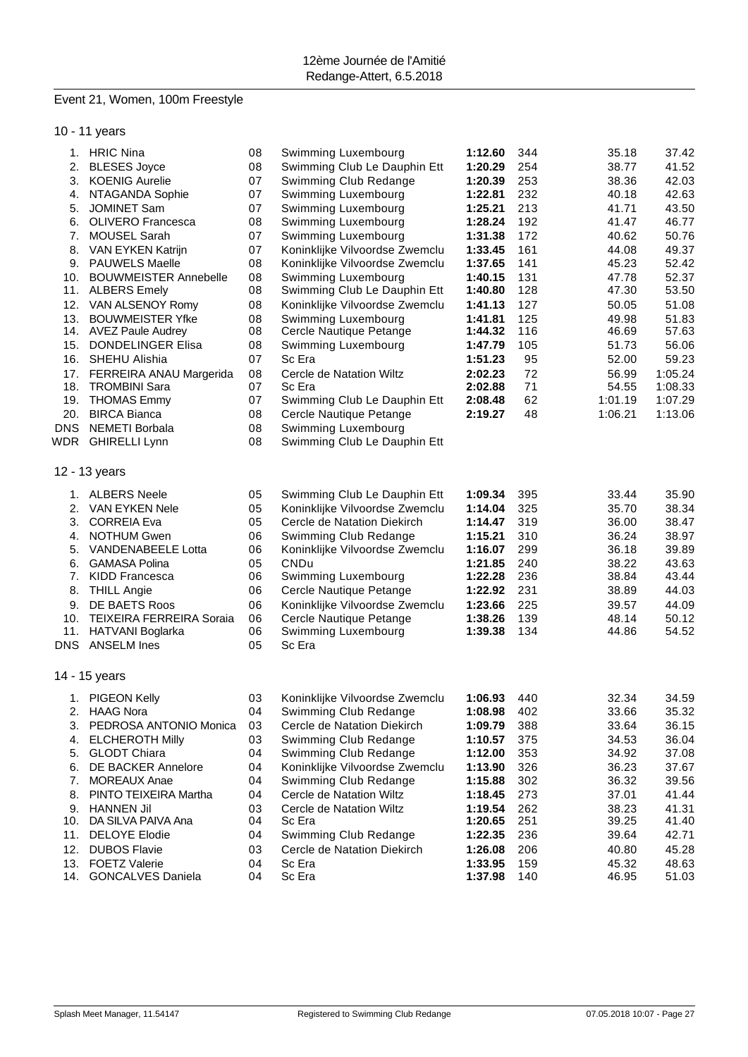# Event 21, Women, 100m Freestyle

10 - 11 years

|            | 1. HRIC Nina                                      | 08       | Swimming Luxembourg                                 | 1:12.60            | 344        | 35.18          | 37.42          |
|------------|---------------------------------------------------|----------|-----------------------------------------------------|--------------------|------------|----------------|----------------|
| 2.         | <b>BLESES Joyce</b>                               | 08       | Swimming Club Le Dauphin Ett                        | 1:20.29            | 254        | 38.77          | 41.52          |
| 3.         | <b>KOENIG Aurelie</b>                             | 07       | Swimming Club Redange                               | 1:20.39            | 253        | 38.36          | 42.03          |
|            | 4. NTAGANDA Sophie                                | 07       | Swimming Luxembourg                                 | 1:22.81            | 232        | 40.18          | 42.63          |
| 5.         | JOMINET Sam                                       | 07       | Swimming Luxembourg                                 | 1:25.21            | 213        | 41.71          | 43.50          |
|            | 6. OLIVERO Francesca                              | 08       | Swimming Luxembourg                                 | 1:28.24            | 192        | 41.47          | 46.77          |
| 7.         | <b>MOUSEL Sarah</b>                               | 07       | Swimming Luxembourg                                 | 1:31.38            | 172        | 40.62          | 50.76          |
| 8.         | VAN EYKEN Katrijn                                 | 07       | Koninklijke Vilvoordse Zwemclu                      | 1:33.45            | 161        | 44.08          | 49.37          |
|            | 9. PAUWELS Maelle<br><b>BOUWMEISTER Annebelle</b> | 08       | Koninklijke Vilvoordse Zwemclu                      | 1:37.65            | 141        | 45.23          | 52.42          |
| 10.        | 11. ALBERS Emely                                  | 08<br>08 | Swimming Luxembourg<br>Swimming Club Le Dauphin Ett | 1:40.15<br>1:40.80 | 131<br>128 | 47.78<br>47.30 | 52.37<br>53.50 |
|            |                                                   | 08       | Koninklijke Vilvoordse Zwemclu                      | 1:41.13            | 127        | 50.05          | 51.08          |
| 13.        | 12. VAN ALSENOY Romy<br><b>BOUWMEISTER Yfke</b>   | 08       | Swimming Luxembourg                                 | 1:41.81            | 125        | 49.98          | 51.83          |
|            | 14. AVEZ Paule Audrey                             | 08       | Cercle Nautique Petange                             | 1:44.32            | 116        | 46.69          | 57.63          |
| 15.        | DONDELINGER Elisa                                 | 08       | Swimming Luxembourg                                 | 1:47.79            | 105        | 51.73          | 56.06          |
|            | 16. SHEHU Alishia                                 | 07       | Sc Era                                              | 1:51.23            | 95         | 52.00          | 59.23          |
| 17.        | <b>FERREIRA ANAU Margerida</b>                    | 08       | Cercle de Natation Wiltz                            | 2:02.23            | 72         | 56.99          | 1:05.24        |
| 18.        | <b>TROMBINI Sara</b>                              | 07       | Sc Era                                              | 2:02.88            | 71         | 54.55          | 1:08.33        |
| 19.        | <b>THOMAS Emmy</b>                                | 07       | Swimming Club Le Dauphin Ett                        | 2:08.48            | 62         | 1:01.19        | 1:07.29        |
| 20.        | <b>BIRCA Bianca</b>                               | 08       | Cercle Nautique Petange                             | 2:19.27            | 48         | 1:06.21        | 1:13.06        |
| <b>DNS</b> | <b>NEMETI Borbala</b>                             | 08       | Swimming Luxembourg                                 |                    |            |                |                |
|            | WDR GHIRELLI Lynn                                 | 08       | Swimming Club Le Dauphin Ett                        |                    |            |                |                |
|            |                                                   |          |                                                     |                    |            |                |                |
|            | 12 - 13 years                                     |          |                                                     |                    |            |                |                |
|            | 1. ALBERS Neele                                   | 05       | Swimming Club Le Dauphin Ett                        | 1:09.34            | 395        | 33.44          | 35.90          |
| 2.         | VAN EYKEN Nele                                    | 05       | Koninklijke Vilvoordse Zwemclu                      | 1:14.04            | 325        | 35.70          | 38.34          |
| 3.         | <b>CORREIA Eva</b>                                | 05       | Cercle de Natation Diekirch                         | 1:14.47            | 319        | 36.00          | 38.47          |
| 4.         | <b>NOTHUM Gwen</b>                                | 06       | Swimming Club Redange                               | 1:15.21            | 310        | 36.24          | 38.97          |
| 5.         | <b>VANDENABEELE Lotta</b>                         | 06       | Koninklijke Vilvoordse Zwemclu                      | 1:16.07            | 299        | 36.18          | 39.89          |
| 6.         | <b>GAMASA Polina</b>                              | 05       | CNDu                                                | 1:21.85            | 240        | 38.22          | 43.63          |
| 7.         | <b>KIDD Francesca</b>                             | 06       | Swimming Luxembourg                                 | 1:22.28            | 236        | 38.84          | 43.44          |
| 8.         | <b>THILL Angie</b>                                | 06       | Cercle Nautique Petange                             | 1:22.92            | 231        | 38.89          | 44.03          |
| 9.         | DE BAETS Roos                                     | 06       | Koninklijke Vilvoordse Zwemclu                      | 1:23.66            | 225        | 39.57          | 44.09          |
| 10.        | <b>TEIXEIRA FERREIRA Soraia</b>                   | 06       | Cercle Nautique Petange                             | 1:38.26            | 139        | 48.14          | 50.12          |
| 11.        | <b>HATVANI Boglarka</b>                           | 06       | Swimming Luxembourg                                 | 1:39.38            | 134        | 44.86          | 54.52          |
|            | DNS ANSELM Ines                                   | 05       | Sc Era                                              |                    |            |                |                |
|            | 14 - 15 years                                     |          |                                                     |                    |            |                |                |
|            | 1. PIGEON Kelly                                   | 03       | Koninklijke Vilvoordse Zwemclu                      | 1:06.93            | 440        | 32.34          | 34.59          |
| 2.         | <b>HAAG Nora</b>                                  | 04       | Swimming Club Redange                               | 1:08.98            | 402        | 33.66          | 35.32          |
| 3.         | PEDROSA ANTONIO Monica                            | 03       | Cercle de Natation Diekirch                         | 1:09.79            | 388        | 33.64          | 36.15          |
| 4.         | <b>ELCHEROTH Milly</b>                            | 03       | Swimming Club Redange                               | 1:10.57            | 375        | 34.53          | 36.04          |
| 5.         | <b>GLODT Chiara</b>                               | 04       | Swimming Club Redange                               | 1:12.00            | 353        | 34.92          | 37.08          |
| 6.         | DE BACKER Annelore                                | 04       | Koninklijke Vilvoordse Zwemclu                      | 1:13.90            | 326        | 36.23          | 37.67          |
| 7.         | <b>MOREAUX Anae</b>                               | 04       | Swimming Club Redange                               | 1:15.88            | 302        | 36.32          | 39.56          |
| 8.         | PINTO TEIXEIRA Martha                             | 04       | Cercle de Natation Wiltz                            | 1:18.45            | 273        | 37.01          | 41.44          |
| 9.         | <b>HANNEN Jil</b>                                 | 03       | Cercle de Natation Wiltz                            | 1:19.54            | 262        | 38.23          | 41.31          |
| 10.        | DA SILVA PAIVA Ana                                | 04       | Sc Era                                              | 1:20.65            | 251        | 39.25          | 41.40          |
| 11.        | <b>DELOYE Elodie</b>                              | 04       | Swimming Club Redange                               | 1:22.35            | 236        | 39.64          | 42.71          |
| 12.        | <b>DUBOS Flavie</b>                               | 03       | Cercle de Natation Diekirch                         | 1:26.08            | 206        | 40.80          | 45.28          |
|            | 13. FOETZ Valerie                                 | 04       | Sc Era                                              | 1:33.95            | 159        | 45.32          | 48.63          |
| 14.        | <b>GONCALVES Daniela</b>                          | 04       | Sc Era                                              | 1:37.98            | 140        | 46.95          | 51.03          |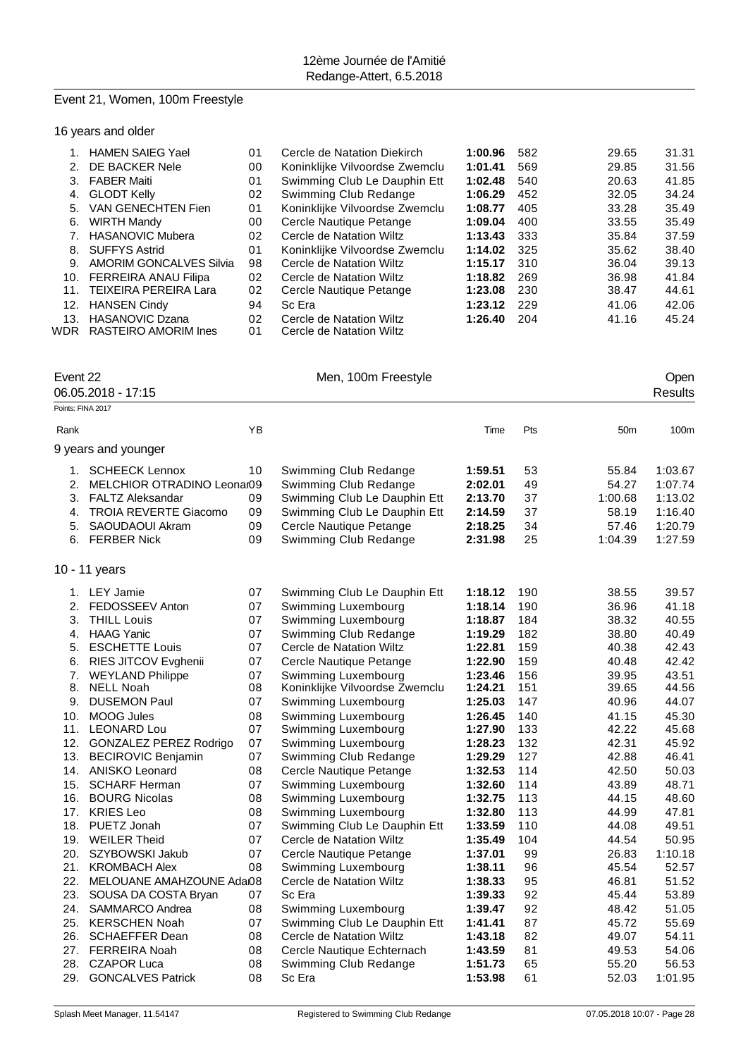# Event 21, Women, 100m Freestyle

16 years and older

|                 | <b>HAMEN SAIEG Yael</b>        | 01 | Cercle de Natation Diekirch    | 1:00.96 | 582 | 29.65 | 31.31 |
|-----------------|--------------------------------|----|--------------------------------|---------|-----|-------|-------|
| 2.              | DE BACKER Nele                 | 00 | Koninklijke Vilvoordse Zwemclu | 1:01.41 | 569 | 29.85 | 31.56 |
| 3.              | <b>FABER Maiti</b>             | 01 | Swimming Club Le Dauphin Ett   | 1:02.48 | 540 | 20.63 | 41.85 |
| 4.              | <b>GLODT Kelly</b>             | 02 | Swimming Club Redange          | 1:06.29 | 452 | 32.05 | 34.24 |
| 5.              | VAN GENECHTEN Fien             | 01 | Koninklijke Vilvoordse Zwemclu | 1:08.77 | 405 | 33.28 | 35.49 |
| 6.              | <b>WIRTH Mandy</b>             | 00 | Cercle Nautique Petange        | 1:09.04 | 400 | 33.55 | 35.49 |
|                 | <b>HASANOVIC Mubera</b>        | 02 | Cercle de Natation Wiltz       | 1:13.43 | 333 | 35.84 | 37.59 |
| 8.              | <b>SUFFYS Astrid</b>           | 01 | Koninklijke Vilvoordse Zwemclu | 1:14.02 | 325 | 35.62 | 38.40 |
| 9               | <b>AMORIM GONCALVES Silvia</b> | 98 | Cercle de Natation Wiltz       | 1:15.17 | 310 | 36.04 | 39.13 |
| 10.             | FERREIRA ANAU Filipa           | 02 | Cercle de Natation Wiltz       | 1:18.82 | 269 | 36.98 | 41.84 |
| 11 <sub>1</sub> | TEIXEIRA PEREIRA Lara          | 02 | Cercle Nautique Petange        | 1:23.08 | 230 | 38.47 | 44.61 |
| 12.             | <b>HANSEN Cindy</b>            | 94 | Sc Era                         | 1:23.12 | 229 | 41.06 | 42.06 |
| 13.             | <b>HASANOVIC Dzana</b>         | 02 | Cercle de Natation Wiltz       | 1:26.40 | 204 | 41.16 | 45.24 |
| WDR             | <b>RASTEIRO AMORIM Ines</b>    | 01 | Cercle de Natation Wiltz       |         |     |       |       |

| Event 22          | 06.05.2018 - 17:15            |    | Men, 100m Freestyle            |         | Open<br><b>Results</b> |                 |         |
|-------------------|-------------------------------|----|--------------------------------|---------|------------------------|-----------------|---------|
| Points: FINA 2017 |                               |    |                                |         |                        |                 |         |
|                   |                               |    |                                |         |                        |                 |         |
| Rank              |                               | YB |                                | Time    | Pts                    | 50 <sub>m</sub> | 100m    |
|                   | 9 years and younger           |    |                                |         |                        |                 |         |
| 1.                | <b>SCHEECK Lennox</b>         | 10 | Swimming Club Redange          | 1:59.51 | 53                     | 55.84           | 1:03.67 |
| 2.                | MELCHIOR OTRADINO Leonar09    |    | Swimming Club Redange          | 2:02.01 | 49                     | 54.27           | 1:07.74 |
| 3.                | <b>FALTZ Aleksandar</b>       | 09 | Swimming Club Le Dauphin Ett   | 2:13.70 | 37                     | 1:00.68         | 1:13.02 |
| 4.                | <b>TROIA REVERTE Giacomo</b>  | 09 | Swimming Club Le Dauphin Ett   | 2:14.59 | 37                     | 58.19           | 1:16.40 |
| 5.                | SAOUDAOUI Akram               | 09 | Cercle Nautique Petange        | 2:18.25 | 34                     | 57.46           | 1:20.79 |
| 6.                | <b>FERBER Nick</b>            | 09 | Swimming Club Redange          | 2:31.98 | 25                     | 1:04.39         | 1:27.59 |
|                   | 10 - 11 years                 |    |                                |         |                        |                 |         |
|                   | 1. LEY Jamie                  | 07 | Swimming Club Le Dauphin Ett   | 1:18.12 | 190                    | 38.55           | 39.57   |
| 2.                | FEDOSSEEV Anton               | 07 | Swimming Luxembourg            | 1:18.14 | 190                    | 36.96           | 41.18   |
| 3.                | <b>THILL Louis</b>            | 07 | Swimming Luxembourg            | 1:18.87 | 184                    | 38.32           | 40.55   |
| 4.                | <b>HAAG Yanic</b>             | 07 | Swimming Club Redange          | 1:19.29 | 182                    | 38.80           | 40.49   |
| 5.                | <b>ESCHETTE Louis</b>         | 07 | Cercle de Natation Wiltz       | 1:22.81 | 159                    | 40.38           | 42.43   |
| 6.                | RIES JITCOV Evghenii          | 07 | Cercle Nautique Petange        | 1:22.90 | 159                    | 40.48           | 42.42   |
| 7.                | <b>WEYLAND Philippe</b>       | 07 | Swimming Luxembourg            | 1:23.46 | 156                    | 39.95           | 43.51   |
| 8.                | <b>NELL Noah</b>              | 08 | Koninklijke Vilvoordse Zwemclu | 1:24.21 | 151                    | 39.65           | 44.56   |
| 9.                | <b>DUSEMON Paul</b>           | 07 | Swimming Luxembourg            | 1:25.03 | 147                    | 40.96           | 44.07   |
| 10.               | <b>MOOG Jules</b>             | 08 | Swimming Luxembourg            | 1:26.45 | 140                    | 41.15           | 45.30   |
|                   | 11. LEONARD Lou               | 07 | Swimming Luxembourg            | 1:27.90 | 133                    | 42.22           | 45.68   |
| 12.               | <b>GONZALEZ PEREZ Rodrigo</b> | 07 | Swimming Luxembourg            | 1:28.23 | 132                    | 42.31           | 45.92   |
| 13.               | <b>BECIROVIC Benjamin</b>     | 07 | Swimming Club Redange          | 1:29.29 | 127                    | 42.88           | 46.41   |
|                   | 14. ANISKO Leonard            | 08 | Cercle Nautique Petange        | 1:32.53 | 114                    | 42.50           | 50.03   |
| 15.               | <b>SCHARF Herman</b>          | 07 | Swimming Luxembourg            | 1:32.60 | 114                    | 43.89           | 48.71   |
| 16.               | <b>BOURG Nicolas</b>          | 08 | Swimming Luxembourg            | 1:32.75 | 113                    | 44.15           | 48.60   |
| 17.               | <b>KRIES Leo</b>              | 08 | Swimming Luxembourg            | 1:32.80 | 113                    | 44.99           | 47.81   |
| 18.               | PUETZ Jonah                   | 07 | Swimming Club Le Dauphin Ett   | 1:33.59 | 110                    | 44.08           | 49.51   |
|                   | 19. WEILER Theid              | 07 | Cercle de Natation Wiltz       | 1:35.49 | 104                    | 44.54           | 50.95   |
| 20.               | SZYBOWSKI Jakub               | 07 | Cercle Nautique Petange        | 1:37.01 | 99                     | 26.83           | 1:10.18 |
| 21.               | <b>KROMBACH Alex</b>          | 08 | Swimming Luxembourg            | 1:38.11 | 96                     | 45.54           | 52.57   |
|                   | 22. MELOUANE AMAHZOUNE Adai08 |    | Cercle de Natation Wiltz       | 1:38.33 | 95                     | 46.81           | 51.52   |
| 23.               | SOUSA DA COSTA Bryan          | 07 | Sc Era                         | 1:39.33 | 92                     | 45.44           | 53.89   |
| 24.               | SAMMARCO Andrea               | 08 | Swimming Luxembourg            | 1:39.47 | 92                     | 48.42           | 51.05   |
|                   | 25. KERSCHEN Noah             | 07 | Swimming Club Le Dauphin Ett   | 1:41.41 | 87                     | 45.72           | 55.69   |
| 26.               | <b>SCHAEFFER Dean</b>         | 08 | Cercle de Natation Wiltz       | 1:43.18 | 82                     | 49.07           | 54.11   |
| 27.               | <b>FERREIRA Noah</b>          | 08 | Cercle Nautique Echternach     | 1:43.59 | 81                     | 49.53           | 54.06   |
| 28.               | <b>CZAPOR Luca</b>            | 08 | Swimming Club Redange          | 1:51.73 | 65                     | 55.20           | 56.53   |
| 29.               | <b>GONCALVES Patrick</b>      | 08 | Sc Era                         | 1:53.98 | 61                     | 52.03           | 1:01.95 |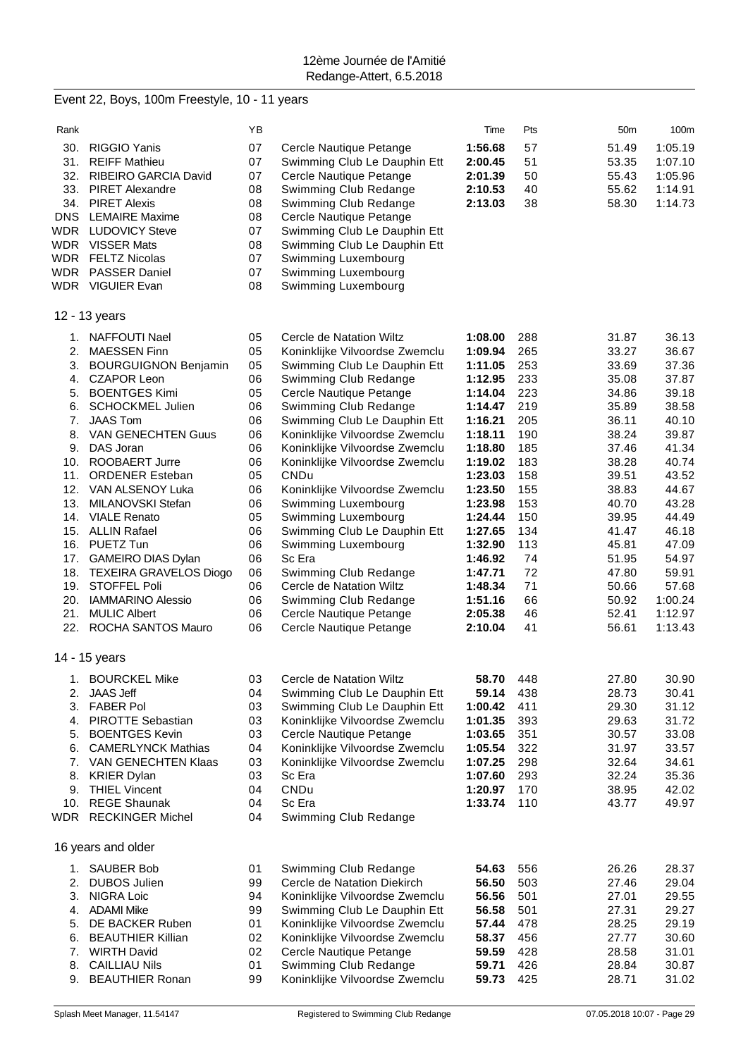# Event 22, Boys, 100m Freestyle, 10 - 11 years

| Rank              |                                                         | YB       |                                                           | Time               | Pts        | 50 <sub>m</sub> | 100m           |
|-------------------|---------------------------------------------------------|----------|-----------------------------------------------------------|--------------------|------------|-----------------|----------------|
| 30.               | <b>RIGGIO Yanis</b>                                     | 07       | Cercle Nautique Petange                                   | 1:56.68            | 57         | 51.49           | 1:05.19        |
| 31.               | <b>REIFF Mathieu</b>                                    | 07       | Swimming Club Le Dauphin Ett                              | 2:00.45            | 51         | 53.35           | 1:07.10        |
| 32.               | RIBEIRO GARCIA David                                    | 07       | Cercle Nautique Petange                                   | 2:01.39            | 50         | 55.43           | 1:05.96        |
| 33.               | <b>PIRET Alexandre</b>                                  | 08       | Swimming Club Redange                                     | 2:10.53            | 40         | 55.62           | 1:14.91        |
| 34.               | <b>PIRET Alexis</b>                                     | 08       | Swimming Club Redange                                     | 2:13.03            | 38         | 58.30           | 1:14.73        |
| <b>DNS</b>        | <b>LEMAIRE Maxime</b>                                   | 08       | Cercle Nautique Petange                                   |                    |            |                 |                |
| WDR.              | <b>LUDOVICY Steve</b>                                   | 07       | Swimming Club Le Dauphin Ett                              |                    |            |                 |                |
| <b>WDR</b>        | <b>VISSER Mats</b>                                      | 08       | Swimming Club Le Dauphin Ett                              |                    |            |                 |                |
| <b>WDR</b><br>WDR | <b>FELTZ Nicolas</b><br><b>PASSER Daniel</b>            | 07<br>07 | Swimming Luxembourg                                       |                    |            |                 |                |
|                   | WDR VIGUIER Evan                                        | 08       | Swimming Luxembourg<br>Swimming Luxembourg                |                    |            |                 |                |
|                   | 12 - 13 years                                           |          |                                                           |                    |            |                 |                |
|                   |                                                         |          |                                                           |                    |            |                 |                |
| 1.                | NAFFOUTI Nael                                           | 05       | Cercle de Natation Wiltz                                  | 1:08.00            | 288        | 31.87           | 36.13          |
| 2.                | <b>MAESSEN Finn</b>                                     | 05       | Koninklijke Vilvoordse Zwemclu                            | 1:09.94            | 265        | 33.27           | 36.67          |
| 3.                | <b>BOURGUIGNON Benjamin</b><br><b>CZAPOR Leon</b>       | 05<br>06 | Swimming Club Le Dauphin Ett<br>Swimming Club Redange     | 1:11.05<br>1:12.95 | 253<br>233 | 33.69<br>35.08  | 37.36<br>37.87 |
| 4.<br>5.          | <b>BOENTGES Kimi</b>                                    | 05       | Cercle Nautique Petange                                   | 1:14.04            | 223        | 34.86           | 39.18          |
| 6.                | <b>SCHOCKMEL Julien</b>                                 | 06       | Swimming Club Redange                                     | 1:14.47            | 219        | 35.89           | 38.58          |
| 7.                | <b>JAAS Tom</b>                                         | 06       | Swimming Club Le Dauphin Ett                              | 1:16.21            | 205        | 36.11           | 40.10          |
| 8.                | <b>VAN GENECHTEN Guus</b>                               | 06       | Koninklijke Vilvoordse Zwemclu                            | 1:18.11            | 190        | 38.24           | 39.87          |
| 9.                | DAS Joran                                               | 06       | Koninklijke Vilvoordse Zwemclu                            | 1:18.80            | 185        | 37.46           | 41.34          |
| 10.               | ROOBAERT Jurre                                          | 06       | Koninklijke Vilvoordse Zwemclu                            | 1:19.02            | 183        | 38.28           | 40.74          |
| 11.               | <b>ORDENER Esteban</b>                                  | 05       | CNDu                                                      | 1:23.03            | 158        | 39.51           | 43.52          |
| 12.               | VAN ALSENOY Luka                                        | 06       | Koninklijke Vilvoordse Zwemclu                            | 1:23.50            | 155        | 38.83           | 44.67          |
| 13.               | MILANOVSKI Stefan                                       | 06       | Swimming Luxembourg                                       | 1:23.98            | 153        | 40.70           | 43.28          |
| 14.               | <b>VIALE Renato</b>                                     | 05       | Swimming Luxembourg                                       | 1:24.44            | 150        | 39.95           | 44.49          |
|                   | 15. ALLIN Rafael                                        | 06       | Swimming Club Le Dauphin Ett                              | 1:27.65            | 134        | 41.47           | 46.18          |
|                   | 16. PUETZ Tun                                           | 06       | Swimming Luxembourg                                       | 1:32.90            | 113        | 45.81           | 47.09          |
| 17.               | <b>GAMEIRO DIAS Dylan</b><br>18. TEXEIRA GRAVELOS Diogo | 06<br>06 | Sc Era                                                    | 1:46.92<br>1:47.71 | 74<br>72   | 51.95<br>47.80  | 54.97<br>59.91 |
| 19.               | STOFFEL Poli                                            | 06       | Swimming Club Redange<br>Cercle de Natation Wiltz         | 1:48.34            | 71         | 50.66           | 57.68          |
|                   | 20. IAMMARINO Alessio                                   | 06       | Swimming Club Redange                                     | 1:51.16            | 66         | 50.92           | 1:00.24        |
| 21.               | <b>MULIC Albert</b>                                     | 06       | Cercle Nautique Petange                                   | 2:05.38            | 46         | 52.41           | 1:12.97        |
|                   | 22. ROCHA SANTOS Mauro                                  | 06       | Cercle Nautique Petange                                   | 2:10.04            | 41         | 56.61           | 1:13.43        |
|                   | 14 - 15 years                                           |          |                                                           |                    |            |                 |                |
|                   | <b>BOURCKEL Mike</b>                                    | 03       | Cercle de Natation Wiltz                                  | 58.70              | 448        | 27.80           | 30.90          |
| 1.<br>2.          | <b>JAAS Jeff</b>                                        | 04       | Swimming Club Le Dauphin Ett                              | 59.14              | 438        | 28.73           | 30.41          |
| 3.                | <b>FABER Pol</b>                                        | 03       | Swimming Club Le Dauphin Ett                              | 1:00.42            | 411        | 29.30           | 31.12          |
| 4.                | <b>PIROTTE Sebastian</b>                                | 03       | Koninklijke Vilvoordse Zwemclu                            | 1:01.35            | 393        | 29.63           | 31.72          |
| 5.                | <b>BOENTGES Kevin</b>                                   | 03       | Cercle Nautique Petange                                   | 1:03.65            | 351        | 30.57           | 33.08          |
| 6.                | <b>CAMERLYNCK Mathias</b>                               | 04       | Koninklijke Vilvoordse Zwemclu                            | 1:05.54            | 322        | 31.97           | 33.57          |
| 7.                | <b>VAN GENECHTEN Klaas</b>                              | 03       | Koninklijke Vilvoordse Zwemclu                            | 1:07.25            | 298        | 32.64           | 34.61          |
| 8.                | <b>KRIER Dylan</b>                                      | 03       | Sc Era                                                    | 1:07.60            | 293        | 32.24           | 35.36          |
| 9.                | <b>THIEL Vincent</b>                                    | 04       | <b>CNDu</b>                                               | 1:20.97            | 170        | 38.95           | 42.02          |
| 10.               | <b>REGE Shaunak</b>                                     | 04       | Sc Era                                                    | 1:33.74            | 110        | 43.77           | 49.97          |
| WDR.              | <b>RECKINGER Michel</b>                                 | 04       | Swimming Club Redange                                     |                    |            |                 |                |
|                   | 16 years and older                                      |          |                                                           |                    |            |                 |                |
| 1.                | <b>SAUBER Bob</b>                                       | 01       | Swimming Club Redange                                     | 54.63              | 556        | 26.26           | 28.37          |
| 2.                | <b>DUBOS Julien</b>                                     | 99       | Cercle de Natation Diekirch                               | 56.50              | 503        | 27.46           | 29.04          |
| 3.                | NIGRA Loic                                              | 94       | Koninklijke Vilvoordse Zwemclu                            | 56.56              | 501        | 27.01           | 29.55          |
| 4.                | <b>ADAMI Mike</b>                                       | 99       | Swimming Club Le Dauphin Ett                              | 56.58              | 501        | 27.31           | 29.27          |
| 5.                | DE BACKER Ruben                                         | 01       | Koninklijke Vilvoordse Zwemclu                            | 57.44              | 478        | 28.25           | 29.19          |
| 6.<br>7.          | <b>BEAUTHIER Killian</b><br><b>WIRTH David</b>          | 02<br>02 | Koninklijke Vilvoordse Zwemclu<br>Cercle Nautique Petange | 58.37<br>59.59     | 456<br>428 | 27.77<br>28.58  | 30.60<br>31.01 |
| 8.                | <b>CAILLIAU Nils</b>                                    | 01       | Swimming Club Redange                                     | 59.71              | 426        | 28.84           | 30.87          |
| 9.                | <b>BEAUTHIER Ronan</b>                                  | 99       | Koninklijke Vilvoordse Zwemclu                            | 59.73              | 425        | 28.71           | 31.02          |
|                   |                                                         |          |                                                           |                    |            |                 |                |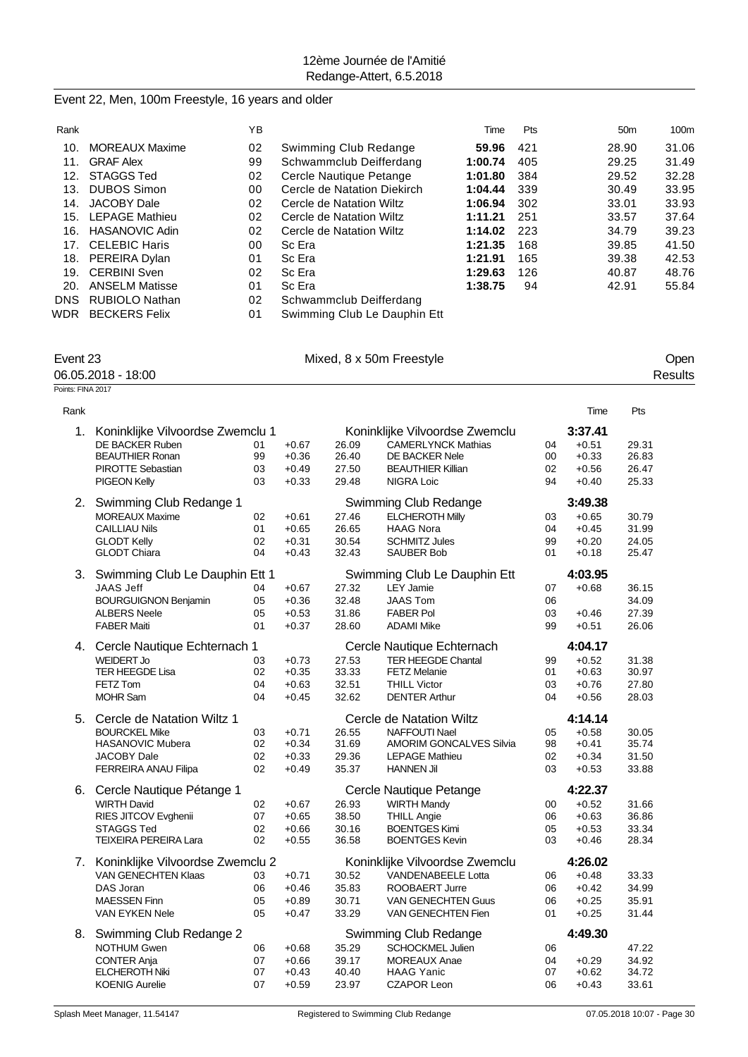### Event 22, Men, 100m Freestyle, 16 years and older

| Rank       |                       | YΒ |                              | Time    | Pts | 50 <sub>m</sub> | 100 <sub>m</sub> |
|------------|-----------------------|----|------------------------------|---------|-----|-----------------|------------------|
| 10.        | <b>MOREAUX Maxime</b> | 02 | Swimming Club Redange        | 59.96   | 421 | 28.90           | 31.06            |
| 11.        | <b>GRAF Alex</b>      | 99 | Schwammclub Deifferdang      | 1:00.74 | 405 | 29.25           | 31.49            |
| 12.        | <b>STAGGS Ted</b>     | 02 | Cercle Nautique Petange      | 1:01.80 | 384 | 29.52           | 32.28            |
| 13.        | <b>DUBOS Simon</b>    | 00 | Cercle de Natation Diekirch  | 1:04.44 | 339 | 30.49           | 33.95            |
| 14.        | JACOBY Dale           | 02 | Cercle de Natation Wiltz     | 1:06.94 | 302 | 33.01           | 33.93            |
| 15.        | <b>LEPAGE Mathieu</b> | 02 | Cercle de Natation Wiltz     | 1:11.21 | 251 | 33.57           | 37.64            |
| 16.        | <b>HASANOVIC Adin</b> | 02 | Cercle de Natation Wiltz     | 1:14.02 | 223 | 34.79           | 39.23            |
| 17.        | <b>CELEBIC Haris</b>  | 00 | Sc Era                       | 1:21.35 | 168 | 39.85           | 41.50            |
| 18.        | PEREIRA Dylan         | 01 | Sc Era                       | 1:21.91 | 165 | 39.38           | 42.53            |
| 19.        | <b>CERBINI Sven</b>   | 02 | Sc Era                       | 1:29.63 | 126 | 40.87           | 48.76            |
| 20.        | <b>ANSELM Matisse</b> | 01 | Sc Era                       | 1:38.75 | 94  | 42.91           | 55.84            |
| <b>DNS</b> | <b>RUBIOLO Nathan</b> | 02 | Schwammclub Deifferdang      |         |     |                 |                  |
| WDR        | <b>BECKERS Felix</b>  | 01 | Swimming Club Le Dauphin Ett |         |     |                 |                  |

| Event 23           | Mixed, 8 x 50m Freestyle | Jper    |  |  |
|--------------------|--------------------------|---------|--|--|
| 06.05.2018 - 18:00 |                          | Results |  |  |
| Points: FINA 2017  |                          |         |  |  |

| Rank |                                  |                              |         |       |                                |         | Time    | Pts   |
|------|----------------------------------|------------------------------|---------|-------|--------------------------------|---------|---------|-------|
| 1.   | Koninklijke Vilvoordse Zwemclu 1 |                              |         |       | Koninklijke Vilvoordse Zwemclu |         | 3:37.41 |       |
|      | DE BACKER Ruben                  | 01                           | $+0.67$ | 26.09 | <b>CAMERLYNCK Mathias</b>      | 04      | $+0.51$ | 29.31 |
|      | <b>BEAUTHIER Ronan</b>           | 99                           | $+0.36$ | 26.40 | DE BACKER Nele                 | 00      | $+0.33$ | 26.83 |
|      | <b>PIROTTE Sebastian</b>         | 03                           | $+0.49$ | 27.50 | <b>BEAUTHIER Killian</b>       | 02      | $+0.56$ | 26.47 |
|      | PIGEON Kelly                     | 03                           | $+0.33$ | 29.48 | NIGRA Loic                     | 94      | $+0.40$ | 25.33 |
| 2.   | Swimming Club Redange 1          |                              |         |       | Swimming Club Redange          |         | 3:49.38 |       |
|      | <b>MOREAUX Maxime</b>            | 02                           | $+0.61$ | 27.46 | <b>ELCHEROTH Milly</b>         | 03      | $+0.65$ | 30.79 |
|      | <b>CAILLIAU Nils</b>             | 01                           | $+0.65$ | 26.65 | <b>HAAG Nora</b>               | 04      | $+0.45$ | 31.99 |
|      | <b>GLODT Kelly</b>               | 02                           | $+0.31$ | 30.54 | <b>SCHMITZ Jules</b>           | 99      | $+0.20$ | 24.05 |
|      | <b>GLODT Chiara</b>              | 04                           | $+0.43$ | 32.43 | <b>SAUBER Bob</b>              | 01      | $+0.18$ | 25.47 |
| 3.   | Swimming Club Le Dauphin Ett 1   | Swimming Club Le Dauphin Ett |         |       |                                |         | 4:03.95 |       |
|      | <b>JAAS Jeff</b>                 | 04                           | $+0.67$ | 27.32 | <b>LEY Jamie</b>               | 07      | $+0.68$ | 36.15 |
|      | <b>BOURGUIGNON Benjamin</b>      | 05                           | $+0.36$ | 32.48 | <b>JAAS Tom</b>                | 06      |         | 34.09 |
|      | <b>ALBERS Neele</b>              | 05                           | $+0.53$ | 31.86 | <b>FABER Pol</b>               | 03      | $+0.46$ | 27.39 |
|      | <b>FABER Maiti</b>               | 01                           | $+0.37$ | 28.60 | <b>ADAMI Mike</b>              | 99      | $+0.51$ | 26.06 |
|      | 4. Cercle Nautique Echternach 1  |                              |         |       | Cercle Nautique Echternach     |         | 4:04.17 |       |
|      | <b>WEIDERT Jo</b>                | 03                           | $+0.73$ | 27.53 | <b>TER HEEGDE Chantal</b>      | 99      | $+0.52$ | 31.38 |
|      | <b>TER HEEGDE Lisa</b>           | 02                           | $+0.35$ | 33.33 | <b>FETZ Melanie</b>            | 01      | $+0.63$ | 30.97 |
|      | FETZ Tom                         | 04                           | $+0.63$ | 32.51 | <b>THILL Victor</b>            | 03      | $+0.76$ | 27.80 |
|      | <b>MOHR Sam</b>                  | 04                           | $+0.45$ | 32.62 | <b>DENTER Arthur</b>           | 04      | $+0.56$ | 28.03 |
| 5.   | Cercle de Natation Wiltz 1       | Cercle de Natation Wiltz     |         |       |                                |         | 4:14.14 |       |
|      | <b>BOURCKEL Mike</b>             | 03                           | $+0.71$ | 26.55 | <b>NAFFOUTI Nael</b>           | 05      | $+0.58$ | 30.05 |
|      | <b>HASANOVIC Mubera</b>          | 02                           | $+0.34$ | 31.69 | AMORIM GONCALVES Silvia        | 98      | $+0.41$ | 35.74 |
|      | JACOBY Dale                      | 02                           | $+0.33$ | 29.36 | <b>LEPAGE Mathieu</b>          | 02      | $+0.34$ | 31.50 |
|      | FERREIRA ANAU Filipa             | 02                           | $+0.49$ | 35.37 | <b>HANNEN Jil</b>              | 03      | $+0.53$ | 33.88 |
| 6.   | Cercle Nautique Pétange 1        |                              |         |       | Cercle Nautique Petange        | 4:22.37 |         |       |
|      | <b>WIRTH David</b>               | 02                           | $+0.67$ | 26.93 | <b>WIRTH Mandy</b>             | 00      | $+0.52$ | 31.66 |
|      | RIES JITCOV Evghenii             | 07                           | $+0.65$ | 38.50 | <b>THILL Angie</b>             | 06      | $+0.63$ | 36.86 |
|      | <b>STAGGS Ted</b>                | 02                           | $+0.66$ | 30.16 | <b>BOENTGES Kimi</b>           | 05      | $+0.53$ | 33.34 |
|      | <b>TEIXEIRA PEREIRA Lara</b>     | 02                           | $+0.55$ | 36.58 | <b>BOENTGES Kevin</b>          | 03      | $+0.46$ | 28.34 |
| 7.   | Koninklijke Vilvoordse Zwemclu 2 |                              |         |       | Koninklijke Vilvoordse Zwemclu |         |         |       |
|      | <b>VAN GENECHTEN Klaas</b>       | 03                           | $+0.71$ | 30.52 | <b>VANDENABEELE Lotta</b>      | 06      | $+0.48$ | 33.33 |
|      | DAS Joran                        | 06                           | $+0.46$ | 35.83 | <b>ROOBAERT Jurre</b>          | 06      | $+0.42$ | 34.99 |
|      | <b>MAESSEN Finn</b>              | 05                           | $+0.89$ | 30.71 | <b>VAN GENECHTEN Guus</b>      | 06      | $+0.25$ | 35.91 |
|      | VAN EYKEN Nele                   | 05                           | $+0.47$ | 33.29 | VAN GENECHTEN Fien             | 01      | $+0.25$ | 31.44 |
| 8.   | Swimming Club Redange 2          |                              |         |       | Swimming Club Redange          |         | 4:49.30 |       |
|      | <b>NOTHUM Gwen</b>               | 06                           | $+0.68$ | 35.29 | SCHOCKMEL Julien               | 06      |         | 47.22 |
|      | <b>CONTER Anja</b>               | 07                           | $+0.66$ | 39.17 | <b>MOREAUX Anae</b>            | 04      | $+0.29$ | 34.92 |
|      | <b>ELCHEROTH Niki</b>            | 07                           | $+0.43$ | 40.40 | <b>HAAG Yanic</b>              | 07      | $+0.62$ | 34.72 |
|      | <b>KOENIG Aurelie</b>            | 07                           | $+0.59$ | 23.97 | <b>CZAPOR Leon</b>             | 06      | $+0.43$ | 33.61 |
|      |                                  |                              |         |       |                                |         |         |       |